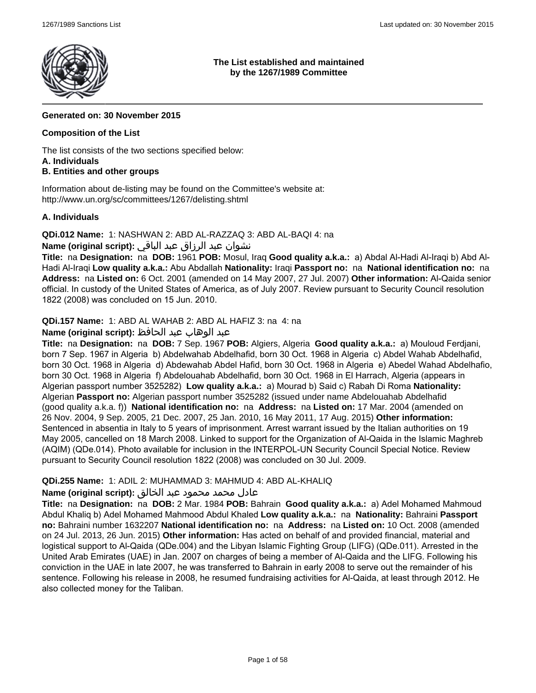

## **The List established and maintained by the 1267/1989 Committee**

## **Generated on: 30 November 2015**

## **Composition of the List**

The list consists of the two sections specified below:

### **A. Individuals**

## **B. Entities and other groups**

Information about de-listing may be found on the Committee's website at: http://www.un.org/sc/committees/1267/delisting.shtml

## **A. Individuals**

**QDi.012 Name:** 1: NASHWAN 2: ABD AL-RAZZAQ 3: ABD AL-BAQI 4: na

## نشوان عبد الرزاق عبد الباقي **:(script original (Name**

**Title:** na **Designation:** na **DOB:** 1961 **POB:** Mosul, Iraq **Good quality a.k.a.:** a) Abdal Al-Hadi Al-Iraqi b) Abd Al-Hadi Al-Iraqi **Low quality a.k.a.:** Abu Abdallah **Nationality:** Iraqi **Passport no:** na **National identification no:** na **Address:** na **Listed on:** 6 Oct. 2001 (amended on 14 May 2007, 27 Jul. 2007) **Other information:** Al-Qaida senior official. In custody of the United States of America, as of July 2007. Review pursuant to Security Council resolution 1822 (2008) was concluded on 15 Jun. 2010.

**QDi.157 Name:** 1: ABD AL WAHAB 2: ABD AL HAFIZ 3: na 4: na

## عبد الوهاب عبد الحافظ **:(script original (Name**

**Title:** na **Designation:** na **DOB:** 7 Sep. 1967 **POB:** Algiers, Algeria **Good quality a.k.a.:** a) Mouloud Ferdjani, born 7 Sep. 1967 in Algeria b) Abdelwahab Abdelhafid, born 30 Oct. 1968 in Algeria c) Abdel Wahab Abdelhafid, born 30 Oct. 1968 in Algeria d) Abdewahab Abdel Hafid, born 30 Oct. 1968 in Algeria e) Abedel Wahad Abdelhafio, born 30 Oct. 1968 in Algeria f) Abdelouahab Abdelhafid, born 30 Oct. 1968 in El Harrach, Algeria (appears in Algerian passport number 3525282) **Low quality a.k.a.:** a) Mourad b) Said c) Rabah Di Roma **Nationality:** Algerian **Passport no:** Algerian passport number 3525282 (issued under name Abdelouahab Abdelhafid (good quality a.k.a. f)) **National identification no:** na **Address:** na **Listed on:** 17 Mar. 2004 (amended on 26 Nov. 2004, 9 Sep. 2005, 21 Dec. 2007, 25 Jan. 2010, 16 May 2011, 17 Aug. 2015) **Other information:** Sentenced in absentia in Italy to 5 years of imprisonment. Arrest warrant issued by the Italian authorities on 19 May 2005, cancelled on 18 March 2008. Linked to support for the Organization of Al-Qaida in the Islamic Maghreb (AQIM) (QDe.014). Photo available for inclusion in the INTERPOL-UN Security Council Special Notice. Review pursuant to Security Council resolution 1822 (2008) was concluded on 30 Jul. 2009.

## **QDi.255 Name:** 1: ADIL 2: MUHAMMAD 3: MAHMUD 4: ABD AL-KHALIQ

## عادل محمد محمود عبد الخالق **:(script original (Name**

**Title:** na **Designation:** na **DOB:** 2 Mar. 1984 **POB:** Bahrain **Good quality a.k.a.:** a) Adel Mohamed Mahmoud Abdul Khaliq b) Adel Mohamed Mahmood Abdul Khaled **Low quality a.k.a.:** na **Nationality:** Bahraini **Passport no:** Bahraini number 1632207 **National identification no:** na **Address:** na **Listed on:** 10 Oct. 2008 (amended on 24 Jul. 2013, 26 Jun. 2015) **Other information:** Has acted on behalf of and provided financial, material and logistical support to Al-Qaida (QDe.004) and the Libyan Islamic Fighting Group (LIFG) (QDe.011). Arrested in the United Arab Emirates (UAE) in Jan. 2007 on charges of being a member of Al-Qaida and the LIFG. Following his conviction in the UAE in late 2007, he was transferred to Bahrain in early 2008 to serve out the remainder of his sentence. Following his release in 2008, he resumed fundraising activities for Al-Qaida, at least through 2012. He also collected money for the Taliban.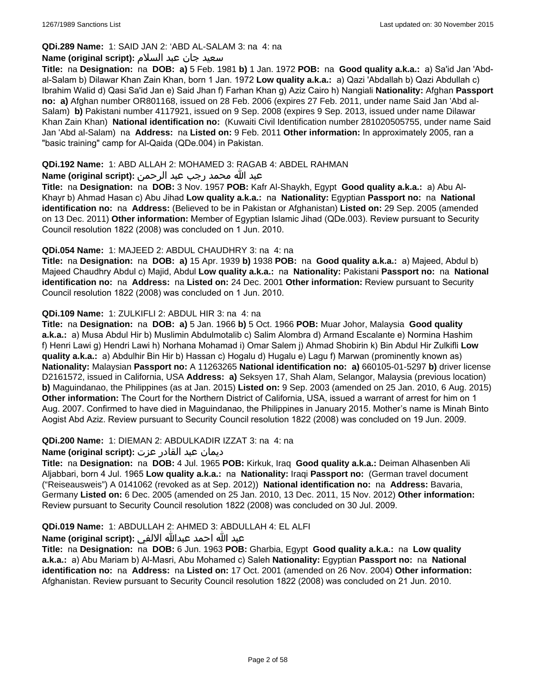## **QDi.289 Name:** 1: SAID JAN 2: 'ABD AL-SALAM 3: na 4: na

### سعید جان عبد السلام **:(script original (Name**

**Title:** na **Designation:** na **DOB: a)** 5 Feb. 1981 **b)** 1 Jan. 1972 **POB:** na **Good quality a.k.a.:** a) Sa'id Jan 'Abdal-Salam b) Dilawar Khan Zain Khan, born 1 Jan. 1972 **Low quality a.k.a.:** a) Qazi 'Abdallah b) Qazi Abdullah c) Ibrahim Walid d) Qasi Sa'id Jan e) Said Jhan f) Farhan Khan g) Aziz Cairo h) Nangiali **Nationality:** Afghan **Passport no: a)** Afghan number OR801168, issued on 28 Feb. 2006 (expires 27 Feb. 2011, under name Said Jan 'Abd al-Salam) **b)** Pakistani number 4117921, issued on 9 Sep. 2008 (expires 9 Sep. 2013, issued under name Dilawar Khan Zain Khan) **National identification no:** (Kuwaiti Civil Identification number 281020505755, under name Said Jan 'Abd al-Salam) na **Address:** na **Listed on:** 9 Feb. 2011 **Other information:** In approximately 2005, ran a "basic training" camp for Al-Qaida (QDe.004) in Pakistan.

## **QDi.192 Name:** 1: ABD ALLAH 2: MOHAMED 3: RAGAB 4: ABDEL RAHMAN

## عبد الله محمد رجب عبد الرحمن **:(script original (Name**

**Title:** na **Designation:** na **DOB:** 3 Nov. 1957 **POB:** Kafr Al-Shaykh, Egypt **Good quality a.k.a.:** a) Abu Al-Khayr b) Ahmad Hasan c) Abu Jihad **Low quality a.k.a.:** na **Nationality:** Egyptian **Passport no:** na **National identification no:** na **Address:** (Believed to be in Pakistan or Afghanistan) **Listed on:** 29 Sep. 2005 (amended on 13 Dec. 2011) **Other information:** Member of Egyptian Islamic Jihad (QDe.003). Review pursuant to Security Council resolution 1822 (2008) was concluded on 1 Jun. 2010.

### **QDi.054 Name:** 1: MAJEED 2: ABDUL CHAUDHRY 3: na 4: na

**Title:** na **Designation:** na **DOB: a)** 15 Apr. 1939 **b)** 1938 **POB:** na **Good quality a.k.a.:** a) Majeed, Abdul b) Majeed Chaudhry Abdul c) Majid, Abdul **Low quality a.k.a.:** na **Nationality:** Pakistani **Passport no:** na **National identification no:** na **Address:** na **Listed on:** 24 Dec. 2001 **Other information:** Review pursuant to Security Council resolution 1822 (2008) was concluded on 1 Jun. 2010.

### **QDi.109 Name:** 1: ZULKIFLI 2: ABDUL HIR 3: na 4: na

**Title:** na **Designation:** na **DOB: a)** 5 Jan. 1966 **b)** 5 Oct. 1966 **POB:** Muar Johor, Malaysia **Good quality a.k.a.:** a) Musa Abdul Hir b) Muslimin Abdulmotalib c) Salim Alombra d) Armand Escalante e) Normina Hashim f) Henri Lawi g) Hendri Lawi h) Norhana Mohamad i) Omar Salem j) Ahmad Shobirin k) Bin Abdul Hir Zulkifli **Low quality a.k.a.:** a) Abdulhir Bin Hir b) Hassan c) Hogalu d) Hugalu e) Lagu f) Marwan (prominently known as) **Nationality:** Malaysian **Passport no:** A 11263265 **National identification no: a)** 660105-01-5297 **b)** driver license D2161572, issued in California, USA **Address: a)** Seksyen 17, Shah Alam, Selangor, Malaysia (previous location) **b)** Maguindanao, the Philippines (as at Jan. 2015) **Listed on:** 9 Sep. 2003 (amended on 25 Jan. 2010, 6 Aug. 2015) **Other information:** The Court for the Northern District of California, USA, issued a warrant of arrest for him on 1 Aug. 2007. Confirmed to have died in Maguindanao, the Philippines in January 2015. Mother's name is Minah Binto Aogist Abd Aziz. Review pursuant to Security Council resolution 1822 (2008) was concluded on 19 Jun. 2009.

### **QDi.200 Name:** 1: DIEMAN 2: ABDULKADIR IZZAT 3: na 4: na

## ديمان عبد القادر عزت **:(script original (Name**

**Title:** na **Designation:** na **DOB:** 4 Jul. 1965 **POB:** Kirkuk, Iraq **Good quality a.k.a.:** Deiman Alhasenben Ali Aljabbari, born 4 Jul. 1965 **Low quality a.k.a.:** na **Nationality:** Iraqi **Passport no:** (German travel document ("Reiseausweis") A 0141062 (revoked as at Sep. 2012)) **National identification no:** na **Address:** Bavaria, Germany **Listed on:** 6 Dec. 2005 (amended on 25 Jan. 2010, 13 Dec. 2011, 15 Nov. 2012) **Other information:** Review pursuant to Security Council resolution 1822 (2008) was concluded on 30 Jul. 2009.

## **QDi.019 Name:** 1: ABDULLAH 2: AHMED 3: ABDULLAH 4: EL ALFI

## عبد الله احمد عبدالله الالفي **:(script original (Name**

**Title:** na **Designation:** na **DOB:** 6 Jun. 1963 **POB:** Gharbia, Egypt **Good quality a.k.a.:** na **Low quality a.k.a.:** a) Abu Mariam b) Al-Masri, Abu Mohamed c) Saleh **Nationality:** Egyptian **Passport no:** na **National identification no:** na **Address:** na **Listed on:** 17 Oct. 2001 (amended on 26 Nov. 2004) **Other information:** Afghanistan. Review pursuant to Security Council resolution 1822 (2008) was concluded on 21 Jun. 2010.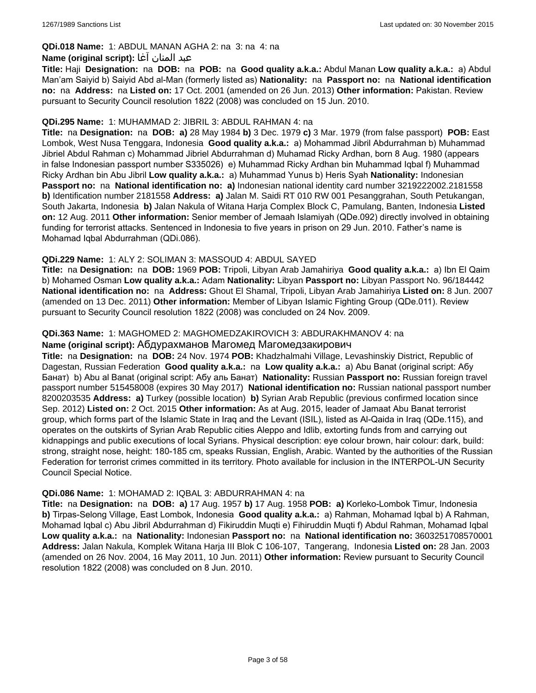## **QDi.018 Name:** 1: ABDUL MANAN AGHA 2: na 3: na 4: na

## عبد المنان آغا **:(script original (Name**

**Title:** Haji **Designation:** na **DOB:** na **POB:** na **Good quality a.k.a.:** Abdul Manan **Low quality a.k.a.:** a) Abdul Man'am Saiyid b) Saiyid Abd al-Man (formerly listed as) **Nationality:** na **Passport no:** na **National identification no:** na **Address:** na **Listed on:** 17 Oct. 2001 (amended on 26 Jun. 2013) **Other information:** Pakistan. Review pursuant to Security Council resolution 1822 (2008) was concluded on 15 Jun. 2010.

### **QDi.295 Name:** 1: MUHAMMAD 2: JIBRIL 3: ABDUL RAHMAN 4: na

**Title:** na **Designation:** na **DOB: a)** 28 May 1984 **b)** 3 Dec. 1979 **c)** 3 Mar. 1979 (from false passport) **POB:** East Lombok, West Nusa Tenggara, Indonesia **Good quality a.k.a.:** a) Mohammad Jibril Abdurrahman b) Muhammad Jibriel Abdul Rahman c) Mohammad Jibriel Abdurrahman d) Muhamad Ricky Ardhan, born 8 Aug. 1980 (appears in false Indonesian passport number S335026) e) Muhammad Ricky Ardhan bin Muhammad Iqbal f) Muhammad Ricky Ardhan bin Abu Jibril **Low quality a.k.a.:** a) Muhammad Yunus b) Heris Syah **Nationality:** Indonesian **Passport no:** na **National identification no: a)** Indonesian national identity card number 3219222002.2181558 **b)** Identification number 2181558 **Address: a)** Jalan M. Saidi RT 010 RW 001 Pesanggrahan, South Petukangan, South Jakarta, Indonesia **b)** Jalan Nakula of Witana Harja Complex Block C, Pamulang, Banten, Indonesia **Listed on:** 12 Aug. 2011 **Other information:** Senior member of Jemaah Islamiyah (QDe.092) directly involved in obtaining funding for terrorist attacks. Sentenced in Indonesia to five years in prison on 29 Jun. 2010. Father's name is Mohamad Iqbal Abdurrahman (QDi.086).

## **QDi.229 Name:** 1: ALY 2: SOLIMAN 3: MASSOUD 4: ABDUL SAYED

**Title:** na **Designation:** na **DOB:** 1969 **POB:** Tripoli, Libyan Arab Jamahiriya **Good quality a.k.a.:** a) Ibn El Qaim b) Mohamed Osman **Low quality a.k.a.:** Adam **Nationality:** Libyan **Passport no:** Libyan Passport No. 96/184442 **National identification no:** na **Address:** Ghout El Shamal, Tripoli, Libyan Arab Jamahiriya **Listed on:** 8 Jun. 2007 (amended on 13 Dec. 2011) **Other information:** Member of Libyan Islamic Fighting Group (QDe.011). Review pursuant to Security Council resolution 1822 (2008) was concluded on 24 Nov. 2009.

### **QDi.363 Name:** 1: MAGHOMED 2: MAGHOMEDZAKIROVICH 3: ABDURAKHMANOV 4: na

### **Name (original script):** Абдурахманов Магомед Магомедзакирович

**Title:** na **Designation:** na **DOB:** 24 Nov. 1974 **POB:** Khadzhalmahi Village, Levashinskiy District, Republic of Dagestan, Russian Federation **Good quality a.k.a.:** na **Low quality a.k.a.:** a) Abu Banat (original script: Абу Банат) b) Abu al Banat (original script: Абу аль Банат) **Nationality:** Russian **Passport no:** Russian foreign travel passport number 515458008 (expires 30 May 2017) **National identification no:** Russian national passport number 8200203535 **Address: a)** Turkey (possible location) **b)** Syrian Arab Republic (previous confirmed location since Sep. 2012) **Listed on:** 2 Oct. 2015 **Other information:** As at Aug. 2015, leader of Jamaat Abu Banat terrorist group, which forms part of the Islamic State in Iraq and the Levant (ISIL), listed as Al-Qaida in Iraq (QDe.115), and operates on the outskirts of Syrian Arab Republic cities Aleppo and Idlib, extorting funds from and carrying out kidnappings and public executions of local Syrians. Physical description: eye colour brown, hair colour: dark, build: strong, straight nose, height: 180-185 cm, speaks Russian, English, Arabic. Wanted by the authorities of the Russian Federation for terrorist crimes committed in its territory. Photo available for inclusion in the INTERPOL-UN Security Council Special Notice.

### **QDi.086 Name:** 1: MOHAMAD 2: IQBAL 3: ABDURRAHMAN 4: na

**Title:** na **Designation:** na **DOB: a)** 17 Aug. 1957 **b)** 17 Aug. 1958 **POB: a)** Korleko-Lombok Timur, Indonesia **b)** Tirpas-Selong Village, East Lombok, Indonesia **Good quality a.k.a.:** a) Rahman, Mohamad Iqbal b) A Rahman, Mohamad Iqbal c) Abu Jibril Abdurrahman d) Fikiruddin Muqti e) Fihiruddin Muqti f) Abdul Rahman, Mohamad Iqbal **Low quality a.k.a.:** na **Nationality:** Indonesian **Passport no:** na **National identification no:** 3603251708570001 **Address:** Jalan Nakula, Komplek Witana Harja III Blok C 106-107, Tangerang, Indonesia **Listed on:** 28 Jan. 2003 (amended on 26 Nov. 2004, 16 May 2011, 10 Jun. 2011) **Other information:** Review pursuant to Security Council resolution 1822 (2008) was concluded on 8 Jun. 2010.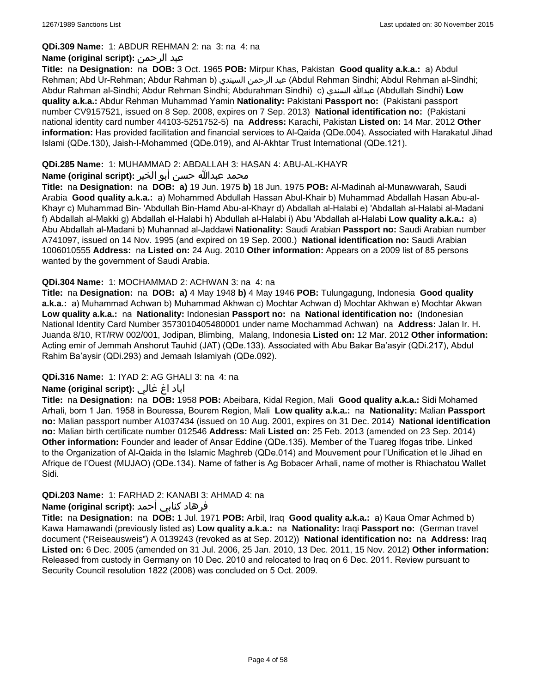### **QDi.309 Name:** 1: ABDUR REHMAN 2: na 3: na 4: na

## **Name (original script):** الرحمن عبد

**Title:** na **Designation:** na **DOB:** 3 Oct. 1965 **POB:** Mirpur Khas, Pakistan **Good quality a.k.a.:** a) Abdul Rehman; Abd Ur-Rehman; Abdur Rahman b) السيندي الرحمن عبد) Abdul Rehman Sindhi; Abdul Rehman al-Sindhi; Abdur Rahman al-Sindhi; Abdur Rehman Sindhi; Abdurahman Sindhi) c) السندي عبدالله) Abdullah Sindhi) **Low quality a.k.a.:** Abdur Rehman Muhammad Yamin **Nationality:** Pakistani **Passport no:** (Pakistani passport number CV9157521, issued on 8 Sep. 2008, expires on 7 Sep. 2013) **National identification no:** (Pakistani national identity card number 44103-5251752-5) na **Address:** Karachi, Pakistan **Listed on:** 14 Mar. 2012 **Other information:** Has provided facilitation and financial services to Al-Qaida (QDe.004). Associated with Harakatul Jihad Islami (QDe.130), Jaish-I-Mohammed (QDe.019), and Al-Akhtar Trust International (QDe.121).

## **QDi.285 Name:** 1: MUHAMMAD 2: ABDALLAH 3: HASAN 4: ABU-AL-KHAYR

## محمد عبدالله حسن أبو الخير **:Name (original script**)

**Title:** na **Designation:** na **DOB: a)** 19 Jun. 1975 **b)** 18 Jun. 1975 **POB:** Al-Madinah al-Munawwarah, Saudi Arabia **Good quality a.k.a.:** a) Mohammed Abdullah Hassan Abul-Khair b) Muhammad Abdallah Hasan Abu-al-Khayr c) Muhammad Bin- 'Abdullah Bin-Hamd Abu-al-Khayr d) Abdallah al-Halabi e) 'Abdallah al-Halabi al-Madani f) Abdallah al-Makki g) Abdallah el-Halabi h) Abdullah al-Halabi i) Abu 'Abdallah al-Halabi **Low quality a.k.a.:** a) Abu Abdallah al-Madani b) Muhannad al-Jaddawi **Nationality:** Saudi Arabian **Passport no:** Saudi Arabian number A741097, issued on 14 Nov. 1995 (and expired on 19 Sep. 2000.) **National identification no:** Saudi Arabian 1006010555 **Address:** na **Listed on:** 24 Aug. 2010 **Other information:** Appears on a 2009 list of 85 persons wanted by the government of Saudi Arabia.

### **QDi.304 Name:** 1: MOCHAMMAD 2: ACHWAN 3: na 4: na

**Title:** na **Designation:** na **DOB: a)** 4 May 1948 **b)** 4 May 1946 **POB:** Tulungagung, Indonesia **Good quality a.k.a.:** a) Muhammad Achwan b) Muhammad Akhwan c) Mochtar Achwan d) Mochtar Akhwan e) Mochtar Akwan **Low quality a.k.a.:** na **Nationality:** Indonesian **Passport no:** na **National identification no:** (Indonesian National Identity Card Number 3573010405480001 under name Mochammad Achwan) na **Address:** Jalan Ir. H. Juanda 8/10, RT/RW 002/001, Jodipan, Blimbing, Malang, Indonesia **Listed on:** 12 Mar. 2012 **Other information:** Acting emir of Jemmah Anshorut Tauhid (JAT) (QDe.133). Associated with Abu Bakar Ba'asyir (QDi.217), Abdul Rahim Ba'aysir (QDi.293) and Jemaah Islamiyah (QDe.092).

## **QDi.316 Name:** 1: IYAD 2: AG GHALI 3: na 4: na

## اياد اغ غالي **:(script original (Name**

**Title:** na **Designation:** na **DOB:** 1958 **POB:** Abeibara, Kidal Region, Mali **Good quality a.k.a.:** Sidi Mohamed Arhali, born 1 Jan. 1958 in Bouressa, Bourem Region, Mali **Low quality a.k.a.:** na **Nationality:** Malian **Passport no:** Malian passport number A1037434 (issued on 10 Aug. 2001, expires on 31 Dec. 2014) **National identification no:** Malian birth certificate number 012546 **Address:** Mali **Listed on:** 25 Feb. 2013 (amended on 23 Sep. 2014) **Other information:** Founder and leader of Ansar Eddine (QDe.135). Member of the Tuareg Ifogas tribe. Linked to the Organization of Al-Qaida in the Islamic Maghreb (QDe.014) and Mouvement pour l'Unification et le Jihad en Afrique de l'Ouest (MUJAO) (QDe.134). Name of father is Ag Bobacer Arhali, name of mother is Rhiachatou Wallet Sidi.

## **QDi.203 Name:** 1: FARHAD 2: KANABI 3: AHMAD 4: na

## فرهاد كنابي أحمد **:Name (original script)**

**Title:** na **Designation:** na **DOB:** 1 Jul. 1971 **POB:** Arbil, Iraq **Good quality a.k.a.:** a) Kaua Omar Achmed b) Kawa Hamawandi (previously listed as) **Low quality a.k.a.:** na **Nationality:** Iraqi **Passport no:** (German travel document ("Reiseausweis") A 0139243 (revoked as at Sep. 2012)) **National identification no:** na **Address:** Iraq **Listed on:** 6 Dec. 2005 (amended on 31 Jul. 2006, 25 Jan. 2010, 13 Dec. 2011, 15 Nov. 2012) **Other information:** Released from custody in Germany on 10 Dec. 2010 and relocated to Iraq on 6 Dec. 2011. Review pursuant to Security Council resolution 1822 (2008) was concluded on 5 Oct. 2009.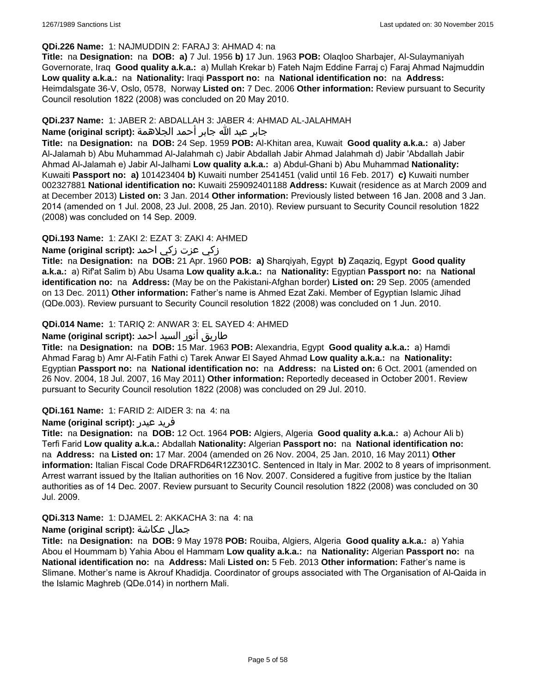### **QDi.226 Name:** 1: NAJMUDDIN 2: FARAJ 3: AHMAD 4: na

**Title:** na **Designation:** na **DOB: a)** 7 Jul. 1956 **b)** 17 Jun. 1963 **POB:** Olaqloo Sharbajer, Al-Sulaymaniyah Governorate, Iraq **Good quality a.k.a.:** a) Mullah Krekar b) Fateh Najm Eddine Farraj c) Faraj Ahmad Najmuddin **Low quality a.k.a.:** na **Nationality:** Iraqi **Passport no:** na **National identification no:** na **Address:** Heimdalsgate 36-V, Oslo, 0578, Norway **Listed on:** 7 Dec. 2006 **Other information:** Review pursuant to Security Council resolution 1822 (2008) was concluded on 20 May 2010.

## **QDi.237 Name:** 1: JABER 2: ABDALLAH 3: JABER 4: AHMAD AL-JALAHMAH

## جابر عبد الله جابر أحمد الجلاهمة **:(script original (Name**

**Title:** na **Designation:** na **DOB:** 24 Sep. 1959 **POB:** Al-Khitan area, Kuwait **Good quality a.k.a.:** a) Jaber Al-Jalamah b) Abu Muhammad Al-Jalahmah c) Jabir Abdallah Jabir Ahmad Jalahmah d) Jabir 'Abdallah Jabir Ahmad Al-Jalamah e) Jabir Al-Jalhami **Low quality a.k.a.:** a) Abdul-Ghani b) Abu Muhammad **Nationality:** Kuwaiti **Passport no: a)** 101423404 **b)** Kuwaiti number 2541451 (valid until 16 Feb. 2017) **c)** Kuwaiti number 002327881 **National identification no:** Kuwaiti 259092401188 **Address:** Kuwait (residence as at March 2009 and at December 2013) **Listed on:** 3 Jan. 2014 **Other information:** Previously listed between 16 Jan. 2008 and 3 Jan. 2014 (amended on 1 Jul. 2008, 23 Jul. 2008, 25 Jan. 2010). Review pursuant to Security Council resolution 1822 (2008) was concluded on 14 Sep. 2009.

## **QDi.193 Name:** 1: ZAKI 2: EZAT 3: ZAKI 4: AHMED

## زكي عزت زكي احمد **:(script original (Name**

**Title:** na **Designation:** na **DOB:** 21 Apr. 1960 **POB: a)** Sharqiyah, Egypt **b)** Zaqaziq, Egypt **Good quality a.k.a.:** a) Rif'at Salim b) Abu Usama **Low quality a.k.a.:** na **Nationality:** Egyptian **Passport no:** na **National identification no:** na **Address:** (May be on the Pakistani-Afghan border) **Listed on:** 29 Sep. 2005 (amended on 13 Dec. 2011) **Other information:** Father's name is Ahmed Ezat Zaki. Member of Egyptian Islamic Jihad (QDe.003). Review pursuant to Security Council resolution 1822 (2008) was concluded on 1 Jun. 2010.

## **QDi.014 Name:** 1: TARIQ 2: ANWAR 3: EL SAYED 4: AHMED

## طاريق أنور السيد احمد **:(script original (Name**

**Title:** na **Designation:** na **DOB:** 15 Mar. 1963 **POB:** Alexandria, Egypt **Good quality a.k.a.:** a) Hamdi Ahmad Farag b) Amr Al-Fatih Fathi c) Tarek Anwar El Sayed Ahmad **Low quality a.k.a.:** na **Nationality:** Egyptian **Passport no:** na **National identification no:** na **Address:** na **Listed on:** 6 Oct. 2001 (amended on 26 Nov. 2004, 18 Jul. 2007, 16 May 2011) **Other information:** Reportedly deceased in October 2001. Review pursuant to Security Council resolution 1822 (2008) was concluded on 29 Jul. 2010.

### **QDi.161 Name:** 1: FARID 2: AIDER 3: na 4: na

### **Name (original script):** عيدر فريد

**Title:** na **Designation:** na **DOB:** 12 Oct. 1964 **POB:** Algiers, Algeria **Good quality a.k.a.:** a) Achour Ali b) Terfi Farid **Low quality a.k.a.:** Abdallah **Nationality:** Algerian **Passport no:** na **National identification no:**  na **Address:** na **Listed on:** 17 Mar. 2004 (amended on 26 Nov. 2004, 25 Jan. 2010, 16 May 2011) **Other information:** Italian Fiscal Code DRAFRD64R12Z301C. Sentenced in Italy in Mar. 2002 to 8 years of imprisonment. Arrest warrant issued by the Italian authorities on 16 Nov. 2007. Considered a fugitive from justice by the Italian authorities as of 14 Dec. 2007. Review pursuant to Security Council resolution 1822 (2008) was concluded on 30 Jul. 2009.

## **QDi.313 Name:** 1: DJAMEL 2: AKKACHA 3: na 4: na

### **Name (original script):** عكاشة جمال

**Title:** na **Designation:** na **DOB:** 9 May 1978 **POB:** Rouiba, Algiers, Algeria **Good quality a.k.a.:** a) Yahia Abou el Hoummam b) Yahia Abou el Hammam **Low quality a.k.a.:** na **Nationality:** Algerian **Passport no:** na **National identification no:** na **Address:** Mali **Listed on:** 5 Feb. 2013 **Other information:** Father's name is Slimane. Mother's name is Akrouf Khadidja. Coordinator of groups associated with The Organisation of Al-Qaida in the Islamic Maghreb (QDe.014) in northern Mali.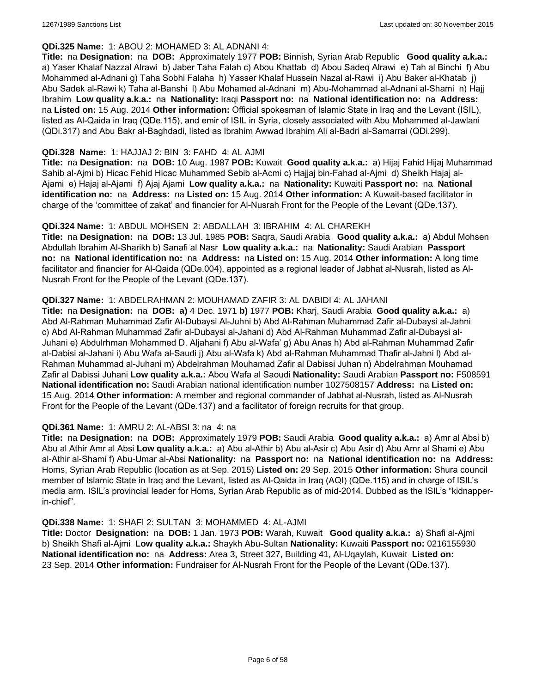### **QDi.325 Name:** 1: ABOU 2: MOHAMED 3: AL ADNANI 4:

**Title:** na **Designation:** na **DOB:** Approximately 1977 **POB:** Binnish, Syrian Arab Republic **Good quality a.k.a.:**  a) Yaser Khalaf Nazzal Alrawi b) Jaber Taha Falah c) Abou Khattab d) Abou Sadeq Alrawi e) Tah al Binchi f) Abu Mohammed al-Adnani g) Taha Sobhi Falaha h) Yasser Khalaf Hussein Nazal al-Rawi i) Abu Baker al-Khatab j) Abu Sadek al-Rawi k) Taha al-Banshi l) Abu Mohamed al-Adnani m) Abu-Mohammad al-Adnani al-Shami n) Hajj Ibrahim **Low quality a.k.a.:** na **Nationality:** Iraqi **Passport no:** na **National identification no:** na **Address:**  na **Listed on:** 15 Aug. 2014 **Other information:** Official spokesman of Islamic State in Iraq and the Levant (ISIL), listed as Al-Qaida in Iraq (QDe.115), and emir of ISIL in Syria, closely associated with Abu Mohammed al-Jawlani (QDi.317) and Abu Bakr al-Baghdadi, listed as Ibrahim Awwad Ibrahim Ali al-Badri al-Samarrai (QDi.299).

## **QDi.328 Name:** 1: HAJJAJ 2: BIN 3: FAHD 4: AL AJMI

**Title:** na **Designation:** na **DOB:** 10 Aug. 1987 **POB:** Kuwait **Good quality a.k.a.:** a) Hijaj Fahid Hijaj Muhammad Sahib al-Ajmi b) Hicac Fehid Hicac Muhammed Sebib al-Acmi c) Hajjaj bin-Fahad al-Ajmi d) Sheikh Hajaj al-Ajami e) Hajaj al-Ajami f) Ajaj Ajami **Low quality a.k.a.:** na **Nationality:** Kuwaiti **Passport no:** na **National identification no:** na **Address:** na **Listed on:** 15 Aug. 2014 **Other information:** A Kuwait-based facilitator in charge of the 'committee of zakat' and financier for Al-Nusrah Front for the People of the Levant (QDe.137).

### **QDi.324 Name:** 1: ABDUL MOHSEN 2: ABDALLAH 3: IBRAHIM 4: AL CHAREKH

**Title:** na **Designation:** na **DOB:** 13 Jul. 1985 **POB:** Saqra, Saudi Arabia **Good quality a.k.a.:** a) Abdul Mohsen Abdullah Ibrahim Al-Sharikh b) Sanafi al Nasr **Low quality a.k.a.:** na **Nationality:** Saudi Arabian **Passport no:** na **National identification no:** na **Address:** na **Listed on:** 15 Aug. 2014 **Other information:** A long time facilitator and financier for Al-Qaida (QDe.004), appointed as a regional leader of Jabhat al-Nusrah, listed as Al-Nusrah Front for the People of the Levant (QDe.137).

### **QDi.327 Name:** 1: ABDELRAHMAN 2: MOUHAMAD ZAFIR 3: AL DABIDI 4: AL JAHANI

**Title:** na **Designation:** na **DOB: a)** 4 Dec. 1971 **b)** 1977 **POB:** Kharj, Saudi Arabia **Good quality a.k.a.:** a) Abd Al-Rahman Muhammad Zafir Al-Dubaysi Al-Juhni b) Abd Al-Rahman Muhammad Zafir al-Dubaysi al-Jahni c) Abd Al-Rahman Muhammad Zafir al-Dubaysi al-Jahani d) Abd Al-Rahman Muhammad Zafir al-Dubaysi al-Juhani e) Abdulrhman Mohammed D. Aljahani f) Abu al-Wafa' g) Abu Anas h) Abd al-Rahman Muhammad Zafir al-Dabisi al-Jahani i) Abu Wafa al-Saudi j) Abu al-Wafa k) Abd al-Rahman Muhammad Thafir al-Jahni l) Abd al-Rahman Muhammad al-Juhani m) Abdelrahman Mouhamad Zafir al Dabissi Juhan n) Abdelrahman Mouhamad Zafir al Dabissi Juhani **Low quality a.k.a.:** Abou Wafa al Saoudi **Nationality:** Saudi Arabian **Passport no:** F508591 **National identification no:** Saudi Arabian national identification number 1027508157 **Address:** na **Listed on:** 15 Aug. 2014 **Other information:** A member and regional commander of Jabhat al-Nusrah, listed as Al-Nusrah Front for the People of the Levant (QDe.137) and a facilitator of foreign recruits for that group.

### **QDi.361 Name:** 1: AMRU 2: AL-ABSI 3: na 4: na

**Title:** na **Designation:** na **DOB:** Approximately 1979 **POB:** Saudi Arabia **Good quality a.k.a.:** a) Amr al Absi b) Abu al Athir Amr al Absi **Low quality a.k.a.:** a) Abu al-Athir b) Abu al-Asir c) Abu Asir d) Abu Amr al Shami e) Abu al-Athir al-Shami f) Abu-Umar al-Absi **Nationality:** na **Passport no:** na **National identification no:** na **Address:** Homs, Syrian Arab Republic (location as at Sep. 2015) **Listed on:** 29 Sep. 2015 **Other information:** Shura council member of Islamic State in Iraq and the Levant, listed as Al-Qaida in Iraq (AQI) (QDe.115) and in charge of ISIL's media arm. ISIL's provincial leader for Homs, Syrian Arab Republic as of mid-2014. Dubbed as the ISIL's "kidnapperin-chief".

### **QDi.338 Name:** 1: SHAFI 2: SULTAN 3: MOHAMMED 4: AL-AJMI

**Title:** Doctor **Designation:** na **DOB:** 1 Jan. 1973 **POB:** Warah, Kuwait **Good quality a.k.a.:** a) Shafi al-Ajmi b) Sheikh Shafi al-Ajmi **Low quality a.k.a.:** Shaykh Abu-Sultan **Nationality:** Kuwaiti **Passport no:** 0216155930 **National identification no:** na **Address:** Area 3, Street 327, Building 41, Al-Uqaylah, Kuwait **Listed on:** 23 Sep. 2014 **Other information:** Fundraiser for Al-Nusrah Front for the People of the Levant (QDe.137).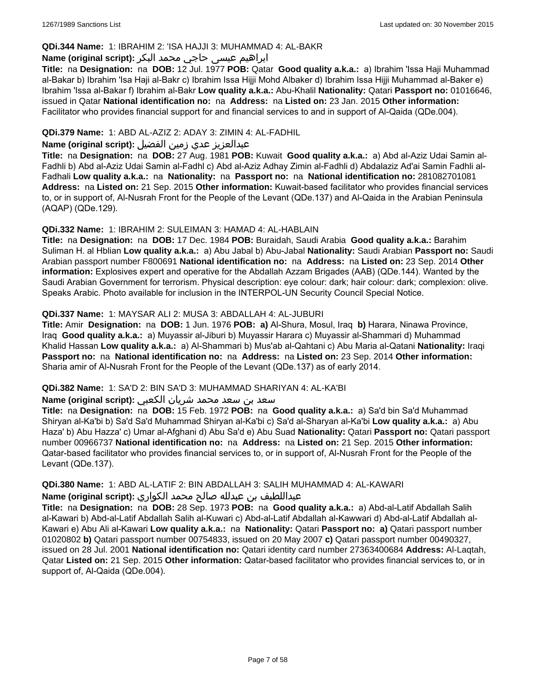### **QDi.344 Name:** 1: IBRAHIM 2: 'ISA HAJJI 3: MUHAMMAD 4: AL-BAKR

## ابراهیم عیسی حاجي محمد البکر **:(script original (Name**

**Title:** na **Designation:** na **DOB:** 12 Jul. 1977 **POB:** Qatar **Good quality a.k.a.:** a) Ibrahim 'Issa Haji Muhammad al-Bakar b) Ibrahim 'Isa Haji al-Bakr c) Ibrahim Issa Hijji Mohd Albaker d) Ibrahim Issa Hijji Muhammad al-Baker e) Ibrahim 'Issa al-Bakar f) Ibrahim al-Bakr **Low quality a.k.a.:** Abu-Khalil **Nationality:** Qatari **Passport no:** 01016646, issued in Qatar **National identification no:** na **Address:** na **Listed on:** 23 Jan. 2015 **Other information:** Facilitator who provides financial support for and financial services to and in support of Al-Qaida (QDe.004).

## **QDi.379 Name:** 1: ABD AL-AZIZ 2: ADAY 3: ZIMIN 4: AL-FADHIL

## عبدالعزیز عدي زمین الفضیل **:(script original (Name**

**Title:** na **Designation:** na **DOB:** 27 Aug. 1981 **POB:** Kuwait **Good quality a.k.a.:** a) Abd al-Aziz Udai Samin al-Fadhli b) Abd al-Aziz Udai Samin al-Fadhl c) Abd al-Aziz Adhay Zimin al-Fadhli d) Abdalaziz Ad'ai Samin Fadhli al-Fadhali **Low quality a.k.a.:** na **Nationality:** na **Passport no:** na **National identification no:** 281082701081 **Address:** na **Listed on:** 21 Sep. 2015 **Other information:** Kuwait-based facilitator who provides financial services to, or in support of, Al-Nusrah Front for the People of the Levant (QDe.137) and Al-Qaida in the Arabian Peninsula (AQAP) (QDe.129).

### **QDi.332 Name:** 1: IBRAHIM 2: SULEIMAN 3: HAMAD 4: AL-HABLAIN

**Title:** na **Designation:** na **DOB:** 17 Dec. 1984 **POB:** Buraidah, Saudi Arabia **Good quality a.k.a.:** Barahim Suliman H. al Hblian **Low quality a.k.a.:** a) Abu Jabal b) Abu-Jabal **Nationality:** Saudi Arabian **Passport no:** Saudi Arabian passport number F800691 **National identification no:** na **Address:** na **Listed on:** 23 Sep. 2014 **Other information:** Explosives expert and operative for the Abdallah Azzam Brigades (AAB) (QDe.144). Wanted by the Saudi Arabian Government for terrorism. Physical description: eye colour: dark; hair colour: dark; complexion: olive. Speaks Arabic. Photo available for inclusion in the INTERPOL-UN Security Council Special Notice.

### **QDi.337 Name:** 1: MAYSAR ALI 2: MUSA 3: ABDALLAH 4: AL-JUBURI

**Title:** Amir **Designation:** na **DOB:** 1 Jun. 1976 **POB: a)** Al-Shura, Mosul, Iraq **b)** Harara, Ninawa Province, Iraq **Good quality a.k.a.:** a) Muyassir al-Jiburi b) Muyassir Harara c) Muyassir al-Shammari d) Muhammad Khalid Hassan **Low quality a.k.a.:** a) Al-Shammari b) Mus'ab al-Qahtani c) Abu Maria al-Qatani **Nationality:** Iraqi **Passport no:** na **National identification no:** na **Address:** na **Listed on:** 23 Sep. 2014 **Other information:** Sharia amir of Al-Nusrah Front for the People of the Levant (QDe.137) as of early 2014.

### **QDi.382 Name:** 1: SA'D 2: BIN SA'D 3: MUHAMMAD SHARIYAN 4: AL-KA'BI

### سعد بن سعد محمد شریان الكعبي **:(script original (Name**

**Title:** na **Designation:** na **DOB:** 15 Feb. 1972 **POB:** na **Good quality a.k.a.:** a) Sa'd bin Sa'd Muhammad Shiryan al-Ka'bi b) Sa'd Sa'd Muhammad Shiryan al-Ka'bi c) Sa'd al-Sharyan al-Ka'bi **Low quality a.k.a.:** a) Abu Haza' b) Abu Hazza' c) Umar al-Afghani d) Abu Sa'd e) Abu Suad **Nationality:** Qatari **Passport no:** Qatari passport number 00966737 **National identification no:** na **Address:** na **Listed on:** 21 Sep. 2015 **Other information:** Qatar-based facilitator who provides financial services to, or in support of, Al-Nusrah Front for the People of the Levant (QDe.137).

# **QDi.380 Name:** 1: ABD AL-LATIF 2: BIN ABDALLAH 3: SALIH MUHAMMAD 4: AL-KAWARI

عبداللطیف بن عبدلله صالح محمد الكواري **:(script original (Name**

**Title:** na **Designation:** na **DOB:** 28 Sep. 1973 **POB:** na **Good quality a.k.a.:** a) Abd-al-Latif Abdallah Salih al-Kawari b) Abd-al-Latif Abdallah Salih al-Kuwari c) Abd-al-Latif Abdallah al-Kawwari d) Abd-al-Latif Abdallah al-Kawari e) Abu Ali al-Kawari **Low quality a.k.a.:** na **Nationality:** Qatari **Passport no: a)** Qatari passport number 01020802 **b)** Qatari passport number 00754833, issued on 20 May 2007 **c)** Qatari passport number 00490327, issued on 28 Jul. 2001 **National identification no:** Qatari identity card number 27363400684 **Address:** Al-Laqtah, Qatar **Listed on:** 21 Sep. 2015 **Other information:** Qatar-based facilitator who provides financial services to, or in support of, Al-Qaida (QDe.004).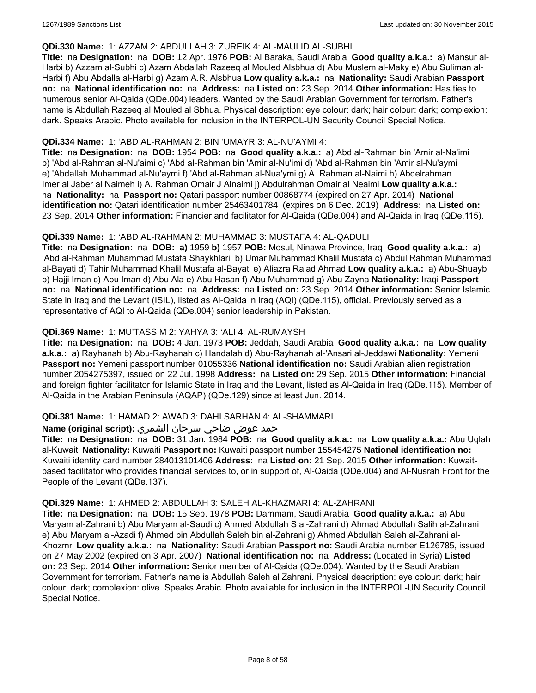### **QDi.330 Name:** 1: AZZAM 2: ABDULLAH 3: ZUREIK 4: AL-MAULID AL-SUBHI

**Title:** na **Designation:** na **DOB:** 12 Apr. 1976 **POB:** Al Baraka, Saudi Arabia **Good quality a.k.a.:** a) Mansur al-Harbi b) Azzam al-Subhi c) Azam Abdallah Razeeq al Mouled Alsbhua d) Abu Muslem al-Maky e) Abu Suliman al-Harbi f) Abu Abdalla al-Harbi g) Azam A.R. Alsbhua **Low quality a.k.a.:** na **Nationality:** Saudi Arabian **Passport no:** na **National identification no:** na **Address:** na **Listed on:** 23 Sep. 2014 **Other information:** Has ties to numerous senior Al-Qaida (QDe.004) leaders. Wanted by the Saudi Arabian Government for terrorism. Father's name is Abdullah Razeeq al Mouled al Sbhua. Physical description: eye colour: dark; hair colour: dark; complexion: dark. Speaks Arabic. Photo available for inclusion in the INTERPOL-UN Security Council Special Notice.

### **QDi.334 Name:** 1: 'ABD AL-RAHMAN 2: BIN 'UMAYR 3: AL-NU'AYMI 4:

**Title:** na **Designation:** na **DOB:** 1954 **POB:** na **Good quality a.k.a.:** a) Abd al-Rahman bin 'Amir al-Na'imi b) 'Abd al-Rahman al-Nu'aimi c) 'Abd al-Rahman bin 'Amir al-Nu'imi d) 'Abd al-Rahman bin 'Amir al-Nu'aymi e) 'Abdallah Muhammad al-Nu'aymi f) 'Abd al-Rahman al-Nua'ymi g) A. Rahman al-Naimi h) Abdelrahman Imer al Jaber al Naimeh i) A. Rahman Omair J Alnaimi j) Abdulrahman Omair al Neaimi **Low quality a.k.a.:**  na **Nationality:** na **Passport no:** Qatari passport number 00868774 (expired on 27 Apr. 2014) **National identification no:** Qatari identification number 25463401784 (expires on 6 Dec. 2019) **Address:** na **Listed on:** 23 Sep. 2014 **Other information:** Financier and facilitator for Al-Qaida (QDe.004) and Al-Qaida in Iraq (QDe.115).

### **QDi.339 Name:** 1: 'ABD AL-RAHMAN 2: MUHAMMAD 3: MUSTAFA 4: AL-QADULI

**Title:** na **Designation:** na **DOB: a)** 1959 **b)** 1957 **POB:** Mosul, Ninawa Province, Iraq **Good quality a.k.a.:** a) 'Abd al-Rahman Muhammad Mustafa Shaykhlari b) Umar Muhammad Khalil Mustafa c) Abdul Rahman Muhammad al-Bayati d) Tahir Muhammad Khalil Mustafa al-Bayati e) Aliazra Ra'ad Ahmad **Low quality a.k.a.:** a) Abu-Shuayb b) Hajji Iman c) Abu Iman d) Abu Ala e) Abu Hasan f) Abu Muhammad g) Abu Zayna **Nationality:** Iraqi **Passport no:** na **National identification no:** na **Address:** na **Listed on:** 23 Sep. 2014 **Other information:** Senior Islamic State in Iraq and the Levant (ISIL), listed as Al-Qaida in Iraq (AQI) (QDe.115), official. Previously served as a representative of AQI to Al-Qaida (QDe.004) senior leadership in Pakistan.

## **QDi.369 Name:** 1: MU'TASSIM 2: YAHYA 3: 'ALI 4: AL-RUMAYSH

**Title:** na **Designation:** na **DOB:** 4 Jan. 1973 **POB:** Jeddah, Saudi Arabia **Good quality a.k.a.:** na **Low quality a.k.a.:** a) Rayhanah b) Abu-Rayhanah c) Handalah d) Abu-Rayhanah al-'Ansari al-Jeddawi **Nationality:** Yemeni **Passport no:** Yemeni passport number 01055336 **National identification no:** Saudi Arabian alien registration number 2054275397, issued on 22 Jul. 1998 **Address:** na **Listed on:** 29 Sep. 2015 **Other information:** Financial and foreign fighter facilitator for Islamic State in Iraq and the Levant, listed as Al-Qaida in Iraq (QDe.115). Member of Al-Qaida in the Arabian Peninsula (AQAP) (QDe.129) since at least Jun. 2014.

### **QDi.381 Name:** 1: HAMAD 2: AWAD 3: DAHI SARHAN 4: AL-SHAMMARI

## حمد عوض ضاحي سرحان الشمري **:(script original (Name**

**Title:** na **Designation:** na **DOB:** 31 Jan. 1984 **POB:** na **Good quality a.k.a.:** na **Low quality a.k.a.:** Abu Uqlah al-Kuwaiti **Nationality:** Kuwaiti **Passport no:** Kuwaiti passport number 155454275 **National identification no:** Kuwaiti identity card number 284013101406 **Address:** na **Listed on:** 21 Sep. 2015 **Other information:** Kuwaitbased facilitator who provides financial services to, or in support of, Al-Qaida (QDe.004) and Al-Nusrah Front for the People of the Levant (QDe.137).

### **QDi.329 Name:** 1: AHMED 2: ABDULLAH 3: SALEH AL-KHAZMARI 4: AL-ZAHRANI

**Title:** na **Designation:** na **DOB:** 15 Sep. 1978 **POB:** Dammam, Saudi Arabia **Good quality a.k.a.:** a) Abu Maryam al-Zahrani b) Abu Maryam al-Saudi c) Ahmed Abdullah S al-Zahrani d) Ahmad Abdullah Salih al-Zahrani e) Abu Maryam al-Azadi f) Ahmed bin Abdullah Saleh bin al-Zahrani g) Ahmed Abdullah Saleh al-Zahrani al-Khozmri **Low quality a.k.a.:** na **Nationality:** Saudi Arabian **Passport no:** Saudi Arabia number E126785, issued on 27 May 2002 (expired on 3 Apr. 2007) **National identification no:** na **Address:** (Located in Syria) **Listed on:** 23 Sep. 2014 **Other information:** Senior member of Al-Qaida (QDe.004). Wanted by the Saudi Arabian Government for terrorism. Father's name is Abdullah Saleh al Zahrani. Physical description: eye colour: dark; hair colour: dark; complexion: olive. Speaks Arabic. Photo available for inclusion in the INTERPOL-UN Security Council Special Notice.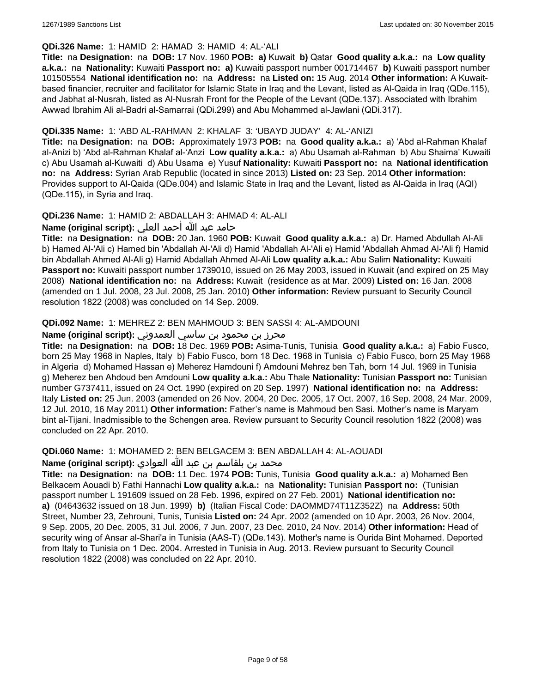### **QDi.326 Name:** 1: HAMID 2: HAMAD 3: HAMID 4: AL-'ALI

**Title:** na **Designation:** na **DOB:** 17 Nov. 1960 **POB: a)** Kuwait **b)** Qatar **Good quality a.k.a.:** na **Low quality a.k.a.:** na **Nationality:** Kuwaiti **Passport no: a)** Kuwaiti passport number 001714467 **b)** Kuwaiti passport number 101505554 **National identification no:** na **Address:** na **Listed on:** 15 Aug. 2014 **Other information:** A Kuwaitbased financier, recruiter and facilitator for Islamic State in Iraq and the Levant, listed as Al-Qaida in Iraq (QDe.115), and Jabhat al-Nusrah, listed as Al-Nusrah Front for the People of the Levant (QDe.137). Associated with Ibrahim Awwad Ibrahim Ali al-Badri al-Samarrai (QDi.299) and Abu Mohammed al-Jawlani (QDi.317).

## **QDi.335 Name:** 1: 'ABD AL-RAHMAN 2: KHALAF 3: 'UBAYD JUDAY' 4: AL-'ANIZI

**Title:** na **Designation:** na **DOB:** Approximately 1973 **POB:** na **Good quality a.k.a.:** a) 'Abd al-Rahman Khalaf al-Anizi b) 'Abd al-Rahman Khalaf al-'Anzi **Low quality a.k.a.:** a) Abu Usamah al-Rahman b) Abu Shaima' Kuwaiti c) Abu Usamah al-Kuwaiti d) Abu Usama e) Yusuf **Nationality:** Kuwaiti **Passport no:** na **National identification no:** na **Address:** Syrian Arab Republic (located in since 2013) **Listed on:** 23 Sep. 2014 **Other information:** Provides support to Al-Qaida (QDe.004) and Islamic State in Iraq and the Levant, listed as Al-Qaida in Iraq (AQI) (QDe.115), in Syria and Iraq.

## **QDi.236 Name:** 1: HAMID 2: ABDALLAH 3: AHMAD 4: AL-ALI

حامد عبد الله أحمد العلي **:(script original (Name**

**Title:** na **Designation:** na **DOB:** 20 Jan. 1960 **POB:** Kuwait **Good quality a.k.a.:** a) Dr. Hamed Abdullah Al-Ali b) Hamed Al-'Ali c) Hamed bin 'Abdallah Al-'Ali d) Hamid 'Abdallah Al-'Ali e) Hamid 'Abdallah Ahmad Al-'Ali f) Hamid bin Abdallah Ahmed Al-Ali g) Hamid Abdallah Ahmed Al-Ali **Low quality a.k.a.:** Abu Salim **Nationality:** Kuwaiti **Passport no:** Kuwaiti passport number 1739010, issued on 26 May 2003, issued in Kuwait (and expired on 25 May 2008) **National identification no:** na **Address:** Kuwait (residence as at Mar. 2009) **Listed on:** 16 Jan. 2008 (amended on 1 Jul. 2008, 23 Jul. 2008, 25 Jan. 2010) **Other information:** Review pursuant to Security Council resolution 1822 (2008) was concluded on 14 Sep. 2009.

### **QDi.092 Name:** 1: MEHREZ 2: BEN MAHMOUD 3: BEN SASSI 4: AL-AMDOUNI

## محرز بن محمود بن ساسي العمدوني **:Name (original script)**

**Title:** na **Designation:** na **DOB:** 18 Dec. 1969 **POB:** Asima-Tunis, Tunisia **Good quality a.k.a.:** a) Fabio Fusco, born 25 May 1968 in Naples, Italy b) Fabio Fusco, born 18 Dec. 1968 in Tunisia c) Fabio Fusco, born 25 May 1968 in Algeria d) Mohamed Hassan e) Meherez Hamdouni f) Amdouni Mehrez ben Tah, born 14 Jul. 1969 in Tunisia g) Meherez ben Ahdoud ben Amdouni **Low quality a.k.a.:** Abu Thale **Nationality:** Tunisian **Passport no:** Tunisian number G737411, issued on 24 Oct. 1990 (expired on 20 Sep. 1997) **National identification no:** na **Address:** Italy **Listed on:** 25 Jun. 2003 (amended on 26 Nov. 2004, 20 Dec. 2005, 17 Oct. 2007, 16 Sep. 2008, 24 Mar. 2009, 12 Jul. 2010, 16 May 2011) **Other information:** Father's name is Mahmoud ben Sasi. Mother's name is Maryam bint al-Tijani. Inadmissible to the Schengen area. Review pursuant to Security Council resolution 1822 (2008) was concluded on 22 Apr. 2010.

**QDi.060 Name:** 1: MOHAMED 2: BEN BELGACEM 3: BEN ABDALLAH 4: AL-AOUADI

محمد بن بلقاسم بن عبد الله العوادي **:Name (original script**)

**Title:** na **Designation:** na **DOB:** 11 Dec. 1974 **POB:** Tunis, Tunisia **Good quality a.k.a.:** a) Mohamed Ben Belkacem Aouadi b) Fathi Hannachi **Low quality a.k.a.:** na **Nationality:** Tunisian **Passport no:** (Tunisian passport number L 191609 issued on 28 Feb. 1996, expired on 27 Feb. 2001) **National identification no: a)** (04643632 issued on 18 Jun. 1999) **b)** (Italian Fiscal Code: DAOMMD74T11Z352Z) na **Address:** 50th Street, Number 23, Zehrouni, Tunis, Tunisia **Listed on:** 24 Apr. 2002 (amended on 10 Apr. 2003, 26 Nov. 2004, 9 Sep. 2005, 20 Dec. 2005, 31 Jul. 2006, 7 Jun. 2007, 23 Dec. 2010, 24 Nov. 2014) **Other information:** Head of security wing of Ansar al-Shari'a in Tunisia (AAS-T) (QDe.143). Mother's name is Ourida Bint Mohamed. Deported from Italy to Tunisia on 1 Dec. 2004. Arrested in Tunisia in Aug. 2013. Review pursuant to Security Council resolution 1822 (2008) was concluded on 22 Apr. 2010.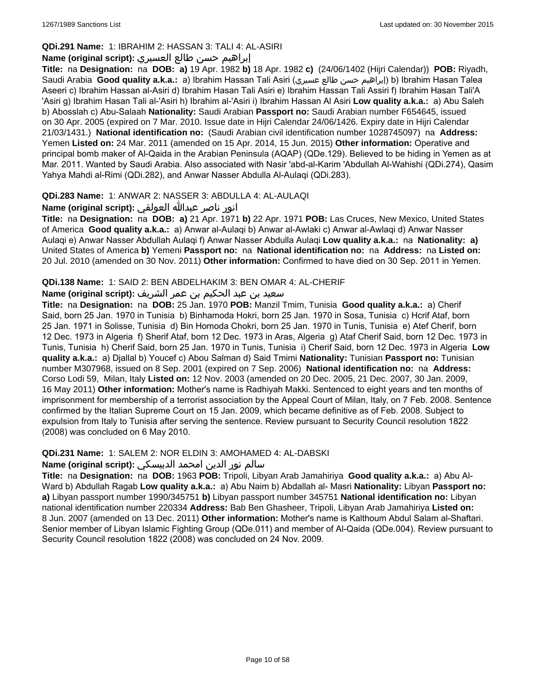## **QDi.291 Name:** 1: IBRAHIM 2: HASSAN 3: TALI 4: AL-ASIRI

## إبراهيم حسن طالع العسيري **:(script original (Name**

**Title:** na **Designation:** na **DOB: a)** 19 Apr. 1982 **b)** 18 Apr. 1982 **c)** (24/06/1402 (Hijri Calendar)) **POB:** Riyadh, Saudi Arabia **Good quality a.k.a.:** a) Ibrahim Hassan Tali Asiri (عسيري طالع حسن إبراهيم (b) Ibrahim Hasan Talea Aseeri c) Ibrahim Hassan al-Asiri d) Ibrahim Hasan Tali Asiri e) Ibrahim Hassan Tali Assiri f) Ibrahim Hasan Tali'A 'Asiri g) Ibrahim Hasan Tali al-'Asiri h) Ibrahim al-'Asiri i) Ibrahim Hassan Al Asiri **Low quality a.k.a.:** a) Abu Saleh b) Abosslah c) Abu-Salaah **Nationality:** Saudi Arabian **Passport no:** Saudi Arabian number F654645, issued on 30 Apr. 2005 (expired on 7 Mar. 2010. Issue date in Hijri Calendar 24/06/1426. Expiry date in Hijri Calendar 21/03/1431.) **National identification no:** (Saudi Arabian civil identification number 1028745097) na **Address:** Yemen **Listed on:** 24 Mar. 2011 (amended on 15 Apr. 2014, 15 Jun. 2015) **Other information:** Operative and principal bomb maker of Al-Qaida in the Arabian Peninsula (AQAP) (QDe.129). Believed to be hiding in Yemen as at Mar. 2011. Wanted by Saudi Arabia. Also associated with Nasir 'abd-al-Karim 'Abdullah Al-Wahishi (QDi.274), Qasim Yahya Mahdi al-Rimi (QDi.282), and Anwar Nasser Abdulla Al-Aulaqi (QDi.283).

## **QDi.283 Name:** 1: ANWAR 2: NASSER 3: ABDULLA 4: AL-AULAQI

انور ناصر عبدالله العولقي **:(script original (Name**

**Title:** na **Designation:** na **DOB: a)** 21 Apr. 1971 **b)** 22 Apr. 1971 **POB:** Las Cruces, New Mexico, United States of America **Good quality a.k.a.:** a) Anwar al-Aulaqi b) Anwar al-Awlaki c) Anwar al-Awlaqi d) Anwar Nasser Aulaqi e) Anwar Nasser Abdullah Aulaqi f) Anwar Nasser Abdulla Aulaqi **Low quality a.k.a.:** na **Nationality: a)** United States of America **b)** Yemeni **Passport no:** na **National identification no:** na **Address:** na **Listed on:** 20 Jul. 2010 (amended on 30 Nov. 2011) **Other information:** Confirmed to have died on 30 Sep. 2011 in Yemen.

## **QDi.138 Name:** 1: SAID 2: BEN ABDELHAKIM 3: BEN OMAR 4: AL-CHERIF

## سعيد بن عبد الحكيم بن عمر الشريف **:(script original (Name**

**Title:** na **Designation:** na **DOB:** 25 Jan. 1970 **POB:** Manzil Tmim, Tunisia **Good quality a.k.a.:** a) Cherif Said, born 25 Jan. 1970 in Tunisia b) Binhamoda Hokri, born 25 Jan. 1970 in Sosa, Tunisia c) Hcrif Ataf, born 25 Jan. 1971 in Solisse, Tunisia d) Bin Homoda Chokri, born 25 Jan. 1970 in Tunis, Tunisia e) Atef Cherif, born 12 Dec. 1973 in Algeria f) Sherif Ataf, born 12 Dec. 1973 in Aras, Algeria g) Ataf Cherif Said, born 12 Dec. 1973 in Tunis, Tunisia h) Cherif Said, born 25 Jan. 1970 in Tunis, Tunisia i) Cherif Said, born 12 Dec. 1973 in Algeria **Low quality a.k.a.:** a) Djallal b) Youcef c) Abou Salman d) Said Tmimi **Nationality:** Tunisian **Passport no:** Tunisian number M307968, issued on 8 Sep. 2001 (expired on 7 Sep. 2006) **National identification no:** na **Address:** Corso Lodi 59, Milan, Italy **Listed on:** 12 Nov. 2003 (amended on 20 Dec. 2005, 21 Dec. 2007, 30 Jan. 2009, 16 May 2011) **Other information:** Mother's name is Radhiyah Makki. Sentenced to eight years and ten months of imprisonment for membership of a terrorist association by the Appeal Court of Milan, Italy, on 7 Feb. 2008. Sentence confirmed by the Italian Supreme Court on 15 Jan. 2009, which became definitive as of Feb. 2008. Subject to expulsion from Italy to Tunisia after serving the sentence. Review pursuant to Security Council resolution 1822 (2008) was concluded on 6 May 2010.

## **QDi.231 Name:** 1: SALEM 2: NOR ELDIN 3: AMOHAMED 4: AL-DABSKI

## سالم نور الدين امحمد الدبيسكي **:Name (original script)**

**Title:** na **Designation:** na **DOB:** 1963 **POB:** Tripoli, Libyan Arab Jamahiriya **Good quality a.k.a.:** a) Abu Al-Ward b) Abdullah Ragab **Low quality a.k.a.:** a) Abu Naim b) Abdallah al- Masri **Nationality:** Libyan **Passport no: a)** Libyan passport number 1990/345751 **b)** Libyan passport number 345751 **National identification no:** Libyan national identification number 220334 **Address:** Bab Ben Ghasheer, Tripoli, Libyan Arab Jamahiriya **Listed on:** 8 Jun. 2007 (amended on 13 Dec. 2011) **Other information:** Mother's name is Kalthoum Abdul Salam al-Shaftari. Senior member of Libyan Islamic Fighting Group (QDe.011) and member of Al-Qaida (QDe.004). Review pursuant to Security Council resolution 1822 (2008) was concluded on 24 Nov. 2009.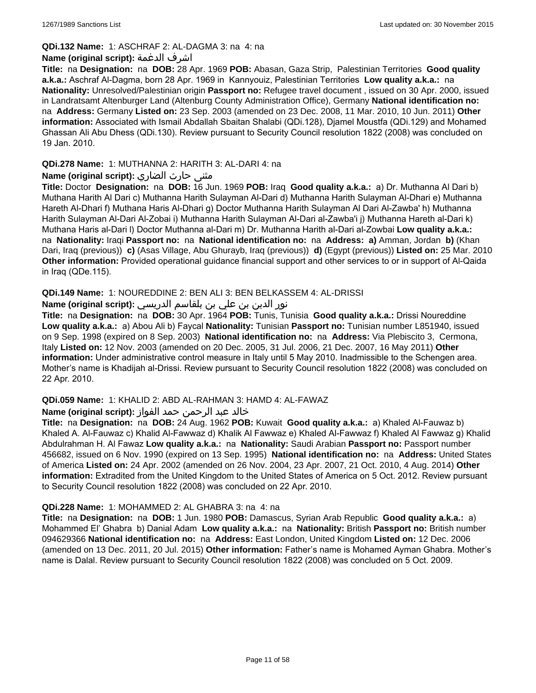### **QDi.132 Name:** 1: ASCHRAF 2: AL-DAGMA 3: na 4: na

### **Name (original script):** الدغمة اشرف

**Title:** na **Designation:** na **DOB:** 28 Apr. 1969 **POB:** Abasan, Gaza Strip, Palestinian Territories **Good quality a.k.a.:** Aschraf Al-Dagma, born 28 Apr. 1969 in Kannyouiz, Palestinian Territories **Low quality a.k.a.:** na **Nationality:** Unresolved/Palestinian origin **Passport no:** Refugee travel document , issued on 30 Apr. 2000, issued in Landratsamt Altenburger Land (Altenburg County Administration Office), Germany **National identification no:**  na **Address:** Germany **Listed on:** 23 Sep. 2003 (amended on 23 Dec. 2008, 11 Mar. 2010, 10 Jun. 2011) **Other information:** Associated with Ismail Abdallah Sbaitan Shalabi (QDi.128), Djamel Moustfa (QDi.129) and Mohamed Ghassan Ali Abu Dhess (QDi.130). Review pursuant to Security Council resolution 1822 (2008) was concluded on 19 Jan. 2010.

## **QDi.278 Name:** 1: MUTHANNA 2: HARITH 3: AL-DARI 4: na

## **مثنى حارث الضاري :(Name (original script**

**Title:** Doctor **Designation:** na **DOB:** 16 Jun. 1969 **POB:** Iraq **Good quality a.k.a.:** a) Dr. Muthanna Al Dari b) Muthana Harith Al Dari c) Muthanna Harith Sulayman Al-Dari d) Muthanna Harith Sulayman Al-Dhari e) Muthanna Hareth Al-Dhari f) Muthana Haris Al-Dhari g) Doctor Muthanna Harith Sulayman Al Dari Al-Zawba' h) Muthanna Harith Sulayman Al-Dari Al-Zobai i) Muthanna Harith Sulayman Al-Dari al-Zawba'i j) Muthanna Hareth al-Dari k) Muthana Haris al-Dari l) Doctor Muthanna al-Dari m) Dr. Muthanna Harith al-Dari al-Zowbai **Low quality a.k.a.:**  na **Nationality:** Iraqi **Passport no:** na **National identification no:** na **Address: a)** Amman, Jordan **b)** (Khan Dari, Iraq (previous)) **c)** (Asas Village, Abu Ghurayb, Iraq (previous)) **d)** (Egypt (previous)) **Listed on:** 25 Mar. 2010 **Other information:** Provided operational guidance financial support and other services to or in support of Al-Qaida in Iraq (QDe.115).

## **QDi.149 Name:** 1: NOUREDDINE 2: BEN ALI 3: BEN BELKASSEM 4: AL-DRISSI

## نور الدين بن علي بن بلقاسم الدريسي **:(script original (Name**

**Title:** na **Designation:** na **DOB:** 30 Apr. 1964 **POB:** Tunis, Tunisia **Good quality a.k.a.:** Drissi Noureddine **Low quality a.k.a.:** a) Abou Ali b) Faycal **Nationality:** Tunisian **Passport no:** Tunisian number L851940, issued on 9 Sep. 1998 (expired on 8 Sep. 2003) **National identification no:** na **Address:** Via Plebiscito 3, Cermona, Italy **Listed on:** 12 Nov. 2003 (amended on 20 Dec. 2005, 31 Jul. 2006, 21 Dec. 2007, 16 May 2011) **Other information:** Under administrative control measure in Italy until 5 May 2010. Inadmissible to the Schengen area. Mother's name is Khadijah al-Drissi. Review pursuant to Security Council resolution 1822 (2008) was concluded on 22 Apr. 2010.

**QDi.059 Name:** 1: KHALID 2: ABD AL-RAHMAN 3: HAMD 4: AL-FAWAZ

## خالد عبد الرحمن حمد الفواز **:(script original (Name**

**Title:** na **Designation:** na **DOB:** 24 Aug. 1962 **POB:** Kuwait **Good quality a.k.a.:** a) Khaled Al-Fauwaz b) Khaled A. Al-Fauwaz c) Khalid Al-Fawwaz d) Khalik Al Fawwaz e) Khaled Al-Fawwaz f) Khaled Al Fawwaz g) Khalid Abdulrahman H. Al Fawaz **Low quality a.k.a.:** na **Nationality:** Saudi Arabian **Passport no:** Passport number 456682, issued on 6 Nov. 1990 (expired on 13 Sep. 1995) **National identification no:** na **Address:** United States of America **Listed on:** 24 Apr. 2002 (amended on 26 Nov. 2004, 23 Apr. 2007, 21 Oct. 2010, 4 Aug. 2014) **Other information:** Extradited from the United Kingdom to the United States of America on 5 Oct. 2012. Review pursuant to Security Council resolution 1822 (2008) was concluded on 22 Apr. 2010.

### **QDi.228 Name:** 1: MOHAMMED 2: AL GHABRA 3: na 4: na

**Title:** na **Designation:** na **DOB:** 1 Jun. 1980 **POB:** Damascus, Syrian Arab Republic **Good quality a.k.a.:** a) Mohammed El' Ghabra b) Danial Adam **Low quality a.k.a.:** na **Nationality:** British **Passport no:** British number 094629366 **National identification no:** na **Address:** East London, United Kingdom **Listed on:** 12 Dec. 2006 (amended on 13 Dec. 2011, 20 Jul. 2015) **Other information:** Father's name is Mohamed Ayman Ghabra. Mother's name is Dalal. Review pursuant to Security Council resolution 1822 (2008) was concluded on 5 Oct. 2009.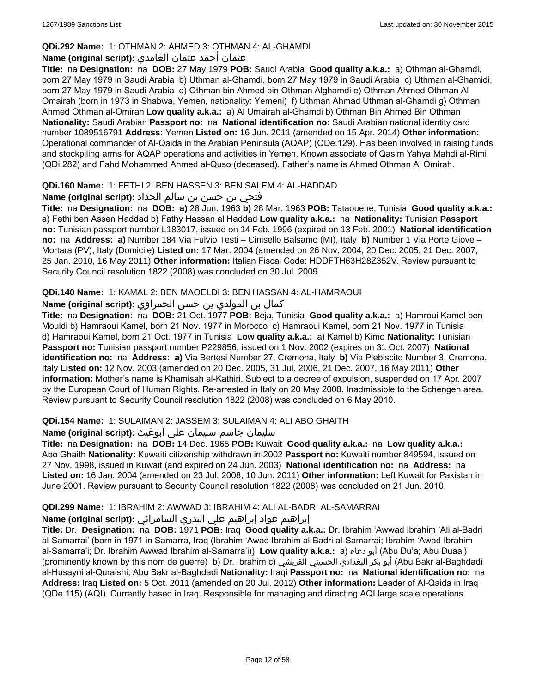## **QDi.292 Name:** 1: OTHMAN 2: AHMED 3: OTHMAN 4: AL-GHAMDI

## عثمان أحمد عثمان الغامدي **:(script original (Name**

**Title:** na **Designation:** na **DOB:** 27 May 1979 **POB:** Saudi Arabia **Good quality a.k.a.:** a) Othman al-Ghamdi, born 27 May 1979 in Saudi Arabia b) Uthman al-Ghamdi, born 27 May 1979 in Saudi Arabia c) Uthman al-Ghamidi, born 27 May 1979 in Saudi Arabia d) Othman bin Ahmed bin Othman Alghamdi e) Othman Ahmed Othman Al Omairah (born in 1973 in Shabwa, Yemen, nationality: Yemeni) f) Uthman Ahmad Uthman al-Ghamdi g) Othman Ahmed Othman al-Omirah **Low quality a.k.a.:** a) Al Umairah al-Ghamdi b) Othman Bin Ahmed Bin Othman **Nationality:** Saudi Arabian **Passport no:** na **National identification no:** Saudi Arabian national identity card number 1089516791 **Address:** Yemen **Listed on:** 16 Jun. 2011 (amended on 15 Apr. 2014) **Other information:** Operational commander of Al-Qaida in the Arabian Peninsula (AQAP) (QDe.129). Has been involved in raising funds and stockpiling arms for AQAP operations and activities in Yemen. Known associate of Qasim Yahya Mahdi al-Rimi (QDi.282) and Fahd Mohammed Ahmed al-Quso (deceased). Father's name is Ahmed Othman Al Omirah.

## **QDi.160 Name:** 1: FETHI 2: BEN HASSEN 3: BEN SALEM 4: AL-HADDAD

## فتحي بن حسن بن سالم الحداد **:(script original (Name**

**Title:** na **Designation:** na **DOB: a)** 28 Jun. 1963 **b)** 28 Mar. 1963 **POB:** Tataouene, Tunisia **Good quality a.k.a.:** a) Fethi ben Assen Haddad b) Fathy Hassan al Haddad **Low quality a.k.a.:** na **Nationality:** Tunisian **Passport no:** Tunisian passport number L183017, issued on 14 Feb. 1996 (expired on 13 Feb. 2001) **National identification no:** na **Address: a)** Number 184 Via Fulvio Testi – Cinisello Balsamo (MI), Italy **b)** Number 1 Via Porte Giove – Mortara (PV), Italy (Domicile) **Listed on:** 17 Mar. 2004 (amended on 26 Nov. 2004, 20 Dec. 2005, 21 Dec. 2007, 25 Jan. 2010, 16 May 2011) **Other information:** Italian Fiscal Code: HDDFTH63H28Z352V. Review pursuant to Security Council resolution 1822 (2008) was concluded on 30 Jul. 2009.

### **QDi.140 Name:** 1: KAMAL 2: BEN MAOELDI 3: BEN HASSAN 4: AL-HAMRAOUI

كمال بن المولدي بن حسن الحمراوي **:Name (original script)** 

**Title:** na **Designation:** na **DOB:** 21 Oct. 1977 **POB:** Beja, Tunisia **Good quality a.k.a.:** a) Hamroui Kamel ben Mouldi b) Hamraoui Kamel, born 21 Nov. 1977 in Morocco c) Hamraoui Kamel, born 21 Nov. 1977 in Tunisia d) Hamraoui Kamel, born 21 Oct. 1977 in Tunisia **Low quality a.k.a.:** a) Kamel b) Kimo **Nationality:** Tunisian **Passport no:** Tunisian passport number P229856, issued on 1 Nov. 2002 (expires on 31 Oct. 2007) **National identification no:** na **Address: a)** Via Bertesi Number 27, Cremona, Italy **b)** Via Plebiscito Number 3, Cremona, Italy **Listed on:** 12 Nov. 2003 (amended on 20 Dec. 2005, 31 Jul. 2006, 21 Dec. 2007, 16 May 2011) **Other information:** Mother's name is Khamisah al-Kathiri. Subject to a decree of expulsion, suspended on 17 Apr. 2007 by the European Court of Human Rights. Re-arrested in Italy on 20 May 2008. Inadmissible to the Schengen area. Review pursuant to Security Council resolution 1822 (2008) was concluded on 6 May 2010.

## **QDi.154 Name:** 1: SULAIMAN 2: JASSEM 3: SULAIMAN 4: ALI ABO GHAITH

## سليمان جاسم سليمان علي أبوغيث **:(script original (Name**

**Title:** na **Designation:** na **DOB:** 14 Dec. 1965 **POB:** Kuwait **Good quality a.k.a.:** na **Low quality a.k.a.:** Abo Ghaith **Nationality:** Kuwaiti citizenship withdrawn in 2002 **Passport no:** Kuwaiti number 849594, issued on 27 Nov. 1998, issued in Kuwait (and expired on 24 Jun. 2003) **National identification no:** na **Address:** na **Listed on:** 16 Jan. 2004 (amended on 23 Jul. 2008, 10 Jun. 2011) **Other information:** Left Kuwait for Pakistan in June 2001. Review pursuant to Security Council resolution 1822 (2008) was concluded on 21 Jun. 2010.

## **QDi.299 Name:** 1: IBRAHIM 2: AWWAD 3: IBRAHIM 4: ALI AL-BADRI AL-SAMARRAI

## إبراهيم عواد إبراهيم علي البدري السامرائي **:(script original (Name**

**Title:** Dr. **Designation:** na **DOB:** 1971 **POB:** Iraq **Good quality a.k.a.:** Dr. Ibrahim 'Awwad Ibrahim 'Ali al-Badri al-Samarrai' (born in 1971 in Samarra, Iraq (Ibrahim 'Awad Ibrahim al-Badri al-Samarrai; Ibrahim 'Awad Ibrahim al-Samarra'i; Dr. Ibrahim Awwad Ibrahim al-Samarra'i)) **Low quality a.k.a.:** a) دعاء أبو) Abu Du'a; Abu Duaa') (prominently known by this nom de guerre) b) Dr. Ibrahim c) القريشي الحسيني البغدادي بكر أبو) Abu Bakr al-Baghdadi al-Husayni al-Quraishi; Abu Bakr al-Baghdadi **Nationality:** Iraqi **Passport no:** na **National identification no:** na **Address:** Iraq **Listed on:** 5 Oct. 2011 (amended on 20 Jul. 2012) **Other information:** Leader of Al-Qaida in Iraq (QDe.115) (AQI). Currently based in Iraq. Responsible for managing and directing AQI large scale operations.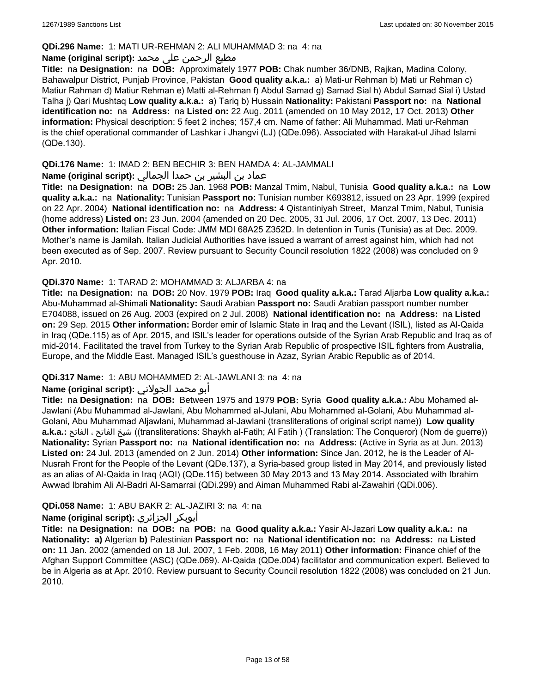## **QDi.296 Name:** 1: MATI UR-REHMAN 2: ALI MUHAMMAD 3: na 4: na

### مطیع الرحمن علی محمد **:Name (original script)**

**Title:** na **Designation:** na **DOB:** Approximately 1977 **POB:** Chak number 36/DNB, Rajkan, Madina Colony, Bahawalpur District, Punjab Province, Pakistan **Good quality a.k.a.:** a) Mati-ur Rehman b) Mati ur Rehman c) Matiur Rahman d) Matiur Rehman e) Matti al-Rehman f) Abdul Samad g) Samad Sial h) Abdul Samad Sial i) Ustad Talha j) Qari Mushtaq **Low quality a.k.a.:** a) Tariq b) Hussain **Nationality:** Pakistani **Passport no:** na **National identification no:** na **Address:** na **Listed on:** 22 Aug. 2011 (amended on 10 May 2012, 17 Oct. 2013) **Other information:** Physical description: 5 feet 2 inches; 157,4 cm. Name of father: Ali Muhammad. Mati ur-Rehman is the chief operational commander of Lashkar i Jhangvi (LJ) (QDe.096). Associated with Harakat-ul Jihad Islami (QDe.130).

## **QDi.176 Name:** 1: IMAD 2: BEN BECHIR 3: BEN HAMDA 4: AL-JAMMALI

## عماد بن البشير بن حمدا الجمالي **:(script original (Name**

**Title:** na **Designation:** na **DOB:** 25 Jan. 1968 **POB:** Manzal Tmim, Nabul, Tunisia **Good quality a.k.a.:** na **Low quality a.k.a.:** na **Nationality:** Tunisian **Passport no:** Tunisian number K693812, issued on 23 Apr. 1999 (expired on 22 Apr. 2004) **National identification no:** na **Address:** 4 Qistantiniyah Street, Manzal Tmim, Nabul, Tunisia (home address) **Listed on:** 23 Jun. 2004 (amended on 20 Dec. 2005, 31 Jul. 2006, 17 Oct. 2007, 13 Dec. 2011) **Other information:** Italian Fiscal Code: JMM MDI 68A25 Z352D. In detention in Tunis (Tunisia) as at Dec. 2009. Mother's name is Jamilah. Italian Judicial Authorities have issued a warrant of arrest against him, which had not been executed as of Sep. 2007. Review pursuant to Security Council resolution 1822 (2008) was concluded on 9 Apr. 2010.

### **QDi.370 Name:** 1: TARAD 2: MOHAMMAD 3: ALJARBA 4: na

**Title:** na **Designation:** na **DOB:** 20 Nov. 1979 **POB:** Iraq **Good quality a.k.a.:** Tarad Aljarba **Low quality a.k.a.:** Abu-Muhammad al-Shimali **Nationality:** Saudi Arabian **Passport no:** Saudi Arabian passport number number E704088, issued on 26 Aug. 2003 (expired on 2 Jul. 2008) **National identification no:** na **Address:** na **Listed on:** 29 Sep. 2015 **Other information:** Border emir of Islamic State in Iraq and the Levant (ISIL), listed as Al-Qaida in Iraq (QDe.115) as of Apr. 2015, and ISIL's leader for operations outside of the Syrian Arab Republic and Iraq as of mid-2014. Facilitated the travel from Turkey to the Syrian Arab Republic of prospective ISIL fighters from Australia, Europe, and the Middle East. Managed ISIL's guesthouse in Azaz, Syrian Arabic Republic as of 2014.

## **QDi.317 Name:** 1: ABU MOHAMMED 2: AL-JAWLANI 3: na 4: na

## أبو محمد الجولاني **:(script original (Name**

**Title:** na **Designation:** na **DOB:** Between 1975 and 1979 **POB:** Syria **Good quality a.k.a.:** Abu Mohamed al-Jawlani (Abu Muhammad al-Jawlani, Abu Mohammed al-Julani, Abu Mohammed al-Golani, Abu Muhammad al-Golani, Abu Muhammad Aljawlani, Muhammad al-Jawlani (transliterations of original script name)) **Low quality a.k.a.:** الفاتح ، الفاتح شيخ)) transliterations: Shaykh al-Fatih; Al Fatih ) (Translation: The Conqueror) (Nom de guerre)) **Nationality:** Syrian **Passport no:** na **National identification no:** na **Address:** (Active in Syria as at Jun. 2013) **Listed on:** 24 Jul. 2013 (amended on 2 Jun. 2014) **Other information:** Since Jan. 2012, he is the Leader of Al-Nusrah Front for the People of the Levant (QDe.137), a Syria-based group listed in May 2014, and previously listed as an alias of Al-Qaida in Iraq (AQI) (QDe.115) between 30 May 2013 and 13 May 2014. Associated with Ibrahim Awwad Ibrahim Ali Al-Badri Al-Samarrai (QDi.299) and Aiman Muhammed Rabi al-Zawahiri (QDi.006).

## **QDi.058 Name:** 1: ABU BAKR 2: AL-JAZIRI 3: na 4: na

## **Name (original script):** الجزائري أبوبكر

**Title:** na **Designation:** na **DOB:** na **POB:** na **Good quality a.k.a.:** Yasir Al-Jazari **Low quality a.k.a.:** na **Nationality: a)** Algerian **b)** Palestinian **Passport no:** na **National identification no:** na **Address:** na **Listed on:** 11 Jan. 2002 (amended on 18 Jul. 2007, 1 Feb. 2008, 16 May 2011) **Other information:** Finance chief of the Afghan Support Committee (ASC) (QDe.069). Al-Qaida (QDe.004) facilitator and communication expert. Believed to be in Algeria as at Apr. 2010. Review pursuant to Security Council resolution 1822 (2008) was concluded on 21 Jun. 2010.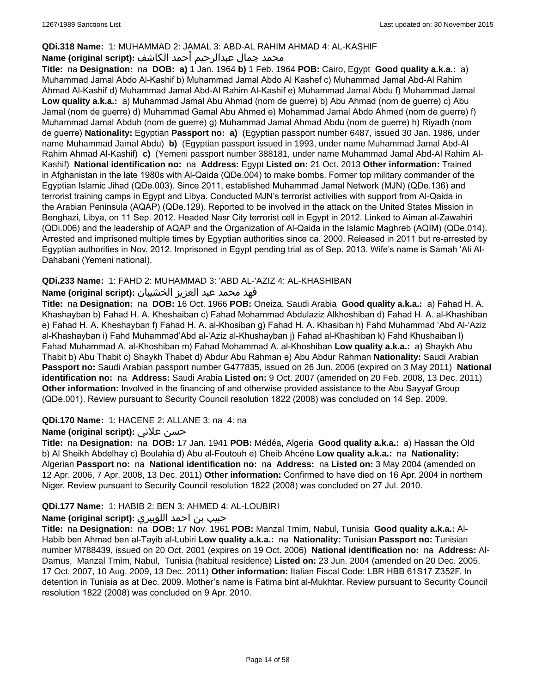## **QDi.318 Name:** 1: MUHAMMAD 2: JAMAL 3: ABD-AL RAHIM AHMAD 4: AL-KASHIF

## محمد جمال عبدالرحيم أحمد الكاشف **:Name (original script**)

**Title:** na **Designation:** na **DOB: a)** 1 Jan. 1964 **b)** 1 Feb. 1964 **POB:** Cairo, Egypt **Good quality a.k.a.:** a) Muhammad Jamal Abdo Al-Kashif b) Muhammad Jamal Abdo Al Kashef c) Muhammad Jamal Abd-Al Rahim Ahmad Al-Kashif d) Muhammad Jamal Abd-Al Rahim Al-Kashif e) Muhammad Jamal Abdu f) Muhammad Jamal **Low quality a.k.a.:** a) Muhammad Jamal Abu Ahmad (nom de guerre) b) Abu Ahmad (nom de guerre) c) Abu Jamal (nom de guerre) d) Muhammad Gamal Abu Ahmed e) Mohammad Jamal Abdo Ahmed (nom de guerre) f) Muhammad Jamal Abduh (nom de guerre) g) Muhammad Jamal Ahmad Abdu (nom de guerre) h) Riyadh (nom de guerre) **Nationality:** Egyptian **Passport no: a)** (Egyptian passport number 6487, issued 30 Jan. 1986, under name Muhammad Jamal Abdu) **b)** (Egyptian passport issued in 1993, under name Muhammad Jamal Abd-Al Rahim Ahmad Al-Kashif) **c)** (Yemeni passport number 388181, under name Muhammad Jamal Abd-Al Rahim Al-Kashif) **National identification no:** na **Address:** Egypt **Listed on:** 21 Oct. 2013 **Other information:** Trained in Afghanistan in the late 1980s with Al-Qaida (QDe.004) to make bombs. Former top military commander of the Egyptian Islamic Jihad (QDe.003). Since 2011, established Muhammad Jamal Network (MJN) (QDe.136) and terrorist training camps in Egypt and Libya. Conducted MJN's terrorist activities with support from Al-Qaida in the Arabian Peninsula (AQAP) (QDe.129). Reported to be involved in the attack on the United States Mission in Benghazi, Libya, on 11 Sep. 2012. Headed Nasr City terrorist cell in Egypt in 2012. Linked to Aiman al-Zawahiri (QDi.006) and the leadership of AQAP and the Organization of Al-Qaida in the Islamic Maghreb (AQIM) (QDe.014). Arrested and imprisoned multiple times by Egyptian authorities since ca. 2000. Released in 2011 but re-arrested by Egyptian authorities in Nov. 2012. Imprisoned in Egypt pending trial as of Sep. 2013. Wife's name is Samah 'Ali Al-Dahabani (Yemeni national).

## **QDi.233 Name:** 1: FAHD 2: MUHAMMAD 3: 'ABD AL-'AZIZ 4: AL-KHASHIBAN

## فهد محمد عبد العزيز الخشيبان **:(script original (Name**

**Title:** na **Designation:** na **DOB:** 16 Oct. 1966 **POB:** Oneiza, Saudi Arabia **Good quality a.k.a.:** a) Fahad H. A. Khashayban b) Fahad H. A. Kheshaiban c) Fahad Mohammad Abdulaziz Alkhoshiban d) Fahad H. A. al-Khashiban e) Fahad H. A. Kheshayban f) Fahad H. A. al-Khosiban g) Fahad H. A. Khasiban h) Fahd Muhammad 'Abd Al-'Aziz al-Khashayban i) Fahd Muhammad'Abd al-'Aziz al-Khushayban j) Fahad al-Khashiban k) Fahd Khushaiban l) Fahad Muhammad A. al-Khoshiban m) Fahad Mohammad A. al-Khoshiban **Low quality a.k.a.:** a) Shaykh Abu Thabit b) Abu Thabit c) Shaykh Thabet d) Abdur Abu Rahman e) Abu Abdur Rahman **Nationality:** Saudi Arabian **Passport no:** Saudi Arabian passport number G477835, issued on 26 Jun. 2006 (expired on 3 May 2011) **National identification no:** na **Address:** Saudi Arabia **Listed on:** 9 Oct. 2007 (amended on 20 Feb. 2008, 13 Dec. 2011) **Other information:** Involved in the financing of and otherwise provided assistance to the Abu Sayyaf Group (QDe.001). Review pursuant to Security Council resolution 1822 (2008) was concluded on 14 Sep. 2009.

## **QDi.170 Name:** 1: HACENE 2: ALLANE 3: na 4: na

## **Name (original script):** علاني حسن

**Title:** na **Designation:** na **DOB:** 17 Jan. 1941 **POB:** Médéa, Algeria **Good quality a.k.a.:** a) Hassan the Old b) Al Sheikh Abdelhay c) Boulahia d) Abu al-Foutouh e) Cheib Ahcéne **Low quality a.k.a.:** na **Nationality:** Algerian **Passport no:** na **National identification no:** na **Address:** na **Listed on:** 3 May 2004 (amended on 12 Apr. 2006, 7 Apr. 2008, 13 Dec. 2011) **Other information:** Confirmed to have died on 16 Apr. 2004 in northern Niger. Review pursuant to Security Council resolution 1822 (2008) was concluded on 27 Jul. 2010.

## **QDi.177 Name:** 1: HABIB 2: BEN 3: AHMED 4: AL-LOUBIRI

## حبيب بن احمد اللوبيري **:(script original (Name**

**Title:** na **Designation:** na **DOB:** 17 Nov. 1961 **POB:** Manzal Tmim, Nabul, Tunisia **Good quality a.k.a.:** Al-Habib ben Ahmad ben al-Tayib al-Lubiri **Low quality a.k.a.:** na **Nationality:** Tunisian **Passport no:** Tunisian number M788439, issued on 20 Oct. 2001 (expires on 19 Oct. 2006) **National identification no:** na **Address:** Al-Damus, Manzal Tmim, Nabul, Tunisia (habitual residence) **Listed on:** 23 Jun. 2004 (amended on 20 Dec. 2005, 17 Oct. 2007, 10 Aug. 2009, 13 Dec. 2011) **Other information:** Italian Fiscal Code: LBR HBB 61S17 Z352F. In detention in Tunisia as at Dec. 2009. Mother's name is Fatima bint al-Mukhtar. Review pursuant to Security Council resolution 1822 (2008) was concluded on 9 Apr. 2010.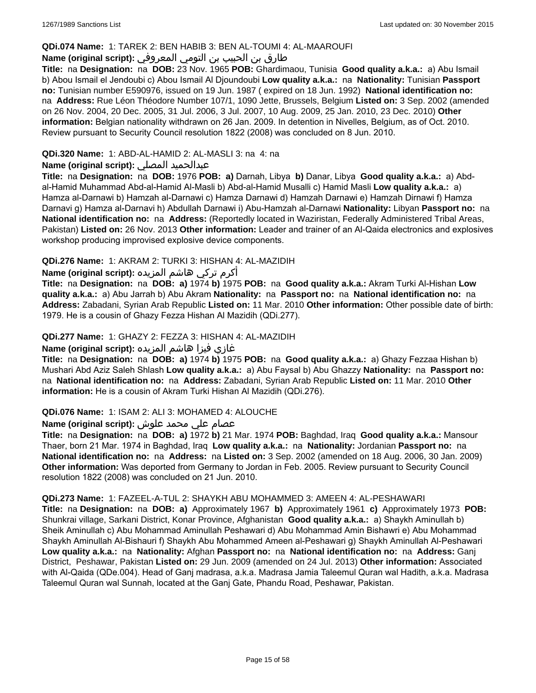### **QDi.074 Name:** 1: TAREK 2: BEN HABIB 3: BEN AL-TOUMI 4: AL-MAAROUFI

## طارق بن الحبيب بن التومي المعروفي **:Name (original script)**

**Title:** na **Designation:** na **DOB:** 23 Nov. 1965 **POB:** Ghardimaou, Tunisia **Good quality a.k.a.:** a) Abu Ismail b) Abou Ismail el Jendoubi c) Abou Ismail Al Djoundoubi **Low quality a.k.a.:** na **Nationality:** Tunisian **Passport no:** Tunisian number E590976, issued on 19 Jun. 1987 ( expired on 18 Jun. 1992) **National identification no:**  na **Address:** Rue Léon Théodore Number 107/1, 1090 Jette, Brussels, Belgium **Listed on:** 3 Sep. 2002 (amended on 26 Nov. 2004, 20 Dec. 2005, 31 Jul. 2006, 3 Jul. 2007, 10 Aug. 2009, 25 Jan. 2010, 23 Dec. 2010) **Other information:** Belgian nationality withdrawn on 26 Jan. 2009. In detention in Nivelles, Belgium, as of Oct. 2010. Review pursuant to Security Council resolution 1822 (2008) was concluded on 8 Jun. 2010.

## **QDi.320 Name:** 1: ABD-AL-HAMID 2: AL-MASLI 3: na 4: na

## **Name (original script):** المصلي عبدالحميد

**Title:** na **Designation:** na **DOB:** 1976 **POB: a)** Darnah, Libya **b)** Danar, Libya **Good quality a.k.a.:** a) Abdal-Hamid Muhammad Abd-al-Hamid Al-Masli b) Abd-al-Hamid Musalli c) Hamid Masli **Low quality a.k.a.:** a) Hamza al-Darnawi b) Hamzah al-Darnawi c) Hamza Darnawi d) Hamzah Darnawi e) Hamzah Dirnawi f) Hamza Darnavi g) Hamza al-Darnavi h) Abdullah Darnawi i) Abu-Hamzah al-Darnawi **Nationality:** Libyan **Passport no:** na **National identification no:** na **Address:** (Reportedly located in Waziristan, Federally Administered Tribal Areas, Pakistan) **Listed on:** 26 Nov. 2013 **Other information:** Leader and trainer of an Al-Qaida electronics and explosives workshop producing improvised explosive device components.

## **QDi.276 Name:** 1: AKRAM 2: TURKI 3: HISHAN 4: AL-MAZIDIH

أكرم تركي هاشم المزيده **:(script original (Name**

**Title:** na **Designation:** na **DOB: a)** 1974 **b)** 1975 **POB:** na **Good quality a.k.a.:** Akram Turki Al-Hishan **Low quality a.k.a.:** a) Abu Jarrah b) Abu Akram **Nationality:** na **Passport no:** na **National identification no:** na **Address:** Zabadani, Syrian Arab Republic **Listed on:** 11 Mar. 2010 **Other information:** Other possible date of birth: 1979. He is a cousin of Ghazy Fezza Hishan Al Mazidih (QDi.277).

### **QDi.277 Name:** 1: GHAZY 2: FEZZA 3: HISHAN 4: AL-MAZIDIH

## غازي فيزا هاشم المزيده **:(script original (Name**

**Title:** na **Designation:** na **DOB: a)** 1974 **b)** 1975 **POB:** na **Good quality a.k.a.:** a) Ghazy Fezzaa Hishan b) Mushari Abd Aziz Saleh Shlash **Low quality a.k.a.:** a) Abu Faysal b) Abu Ghazzy **Nationality:** na **Passport no:**  na **National identification no:** na **Address:** Zabadani, Syrian Arab Republic **Listed on:** 11 Mar. 2010 **Other information:** He is a cousin of Akram Turki Hishan Al Mazidih (QDi.276).

### **QDi.076 Name:** 1: ISAM 2: ALI 3: MOHAMED 4: ALOUCHE

## عصام علي محمد علوش **:(script original (Name**

**Title:** na **Designation:** na **DOB: a)** 1972 **b)** 21 Mar. 1974 **POB:** Baghdad, Iraq **Good quality a.k.a.:** Mansour Thaer, born 21 Mar. 1974 in Baghdad, Iraq **Low quality a.k.a.:** na **Nationality:** Jordanian **Passport no:** na **National identification no:** na **Address:** na **Listed on:** 3 Sep. 2002 (amended on 18 Aug. 2006, 30 Jan. 2009) **Other information:** Was deported from Germany to Jordan in Feb. 2005. Review pursuant to Security Council resolution 1822 (2008) was concluded on 21 Jun. 2010.

### **QDi.273 Name:** 1: FAZEEL-A-TUL 2: SHAYKH ABU MOHAMMED 3: AMEEN 4: AL-PESHAWARI

**Title:** na **Designation:** na **DOB: a)** Approximately 1967 **b)** Approximately 1961 **c)** Approximately 1973 **POB:** Shunkrai village, Sarkani District, Konar Province, Afghanistan **Good quality a.k.a.:** a) Shaykh Aminullah b) Sheik Aminullah c) Abu Mohammad Aminullah Peshawari d) Abu Mohammad Amin Bishawri e) Abu Mohammad Shaykh Aminullah Al-Bishauri f) Shaykh Abu Mohammed Ameen al-Peshawari g) Shaykh Aminullah Al-Peshawari **Low quality a.k.a.:** na **Nationality:** Afghan **Passport no:** na **National identification no:** na **Address:** Ganj District, Peshawar, Pakistan **Listed on:** 29 Jun. 2009 (amended on 24 Jul. 2013) **Other information:** Associated with Al-Qaida (QDe.004). Head of Ganj madrasa, a.k.a. Madrasa Jamia Taleemul Quran wal Hadith, a.k.a. Madrasa Taleemul Quran wal Sunnah, located at the Ganj Gate, Phandu Road, Peshawar, Pakistan.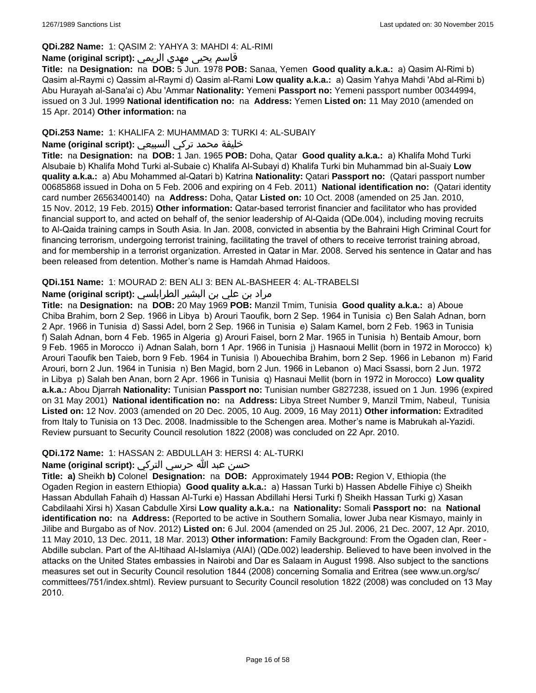## **QDi.282 Name:** 1: QASIM 2: YAHYA 3: MAHDI 4: AL-RIMI

## قاسم يحيى مهدي الريمي **:(script original (Name**

**Title:** na **Designation:** na **DOB:** 5 Jun. 1978 **POB:** Sanaa, Yemen **Good quality a.k.a.:** a) Qasim Al-Rimi b) Qasim al-Raymi c) Qassim al-Raymi d) Qasim al-Rami **Low quality a.k.a.:** a) Qasim Yahya Mahdi 'Abd al-Rimi b) Abu Hurayah al-Sana'ai c) Abu 'Ammar **Nationality:** Yemeni **Passport no:** Yemeni passport number 00344994, issued on 3 Jul. 1999 **National identification no:** na **Address:** Yemen **Listed on:** 11 May 2010 (amended on 15 Apr. 2014) **Other information:** na

## **QDi.253 Name:** 1: KHALIFA 2: MUHAMMAD 3: TURKI 4: AL-SUBAIY

## خليفة محمد تركي السبيعي **:(script original (Name**

**Title:** na **Designation:** na **DOB:** 1 Jan. 1965 **POB:** Doha, Qatar **Good quality a.k.a.:** a) Khalifa Mohd Turki Alsubaie b) Khalifa Mohd Turki al-Subaie c) Khalifa Al-Subayi d) Khalifa Turki bin Muhammad bin al-Suaiy **Low quality a.k.a.:** a) Abu Mohammed al-Qatari b) Katrina **Nationality:** Qatari **Passport no:** (Qatari passport number 00685868 issued in Doha on 5 Feb. 2006 and expiring on 4 Feb. 2011) **National identification no:** (Qatari identity card number 26563400140) na **Address:** Doha, Qatar **Listed on:** 10 Oct. 2008 (amended on 25 Jan. 2010, 15 Nov. 2012, 19 Feb. 2015) **Other information:** Qatar-based terrorist financier and facilitator who has provided financial support to, and acted on behalf of, the senior leadership of Al-Qaida (QDe.004), including moving recruits to Al-Qaida training camps in South Asia. In Jan. 2008, convicted in absentia by the Bahraini High Criminal Court for financing terrorism, undergoing terrorist training, facilitating the travel of others to receive terrorist training abroad, and for membership in a terrorist organization. Arrested in Qatar in Mar. 2008. Served his sentence in Qatar and has been released from detention. Mother's name is Hamdah Ahmad Haidoos.

### **QDi.151 Name:** 1: MOURAD 2: BEN ALI 3: BEN AL-BASHEER 4: AL-TRABELSI

## مراد بن علي بن البشير الطرابلسي **:Name (original script)**

**Title:** na **Designation:** na **DOB:** 20 May 1969 **POB:** Manzil Tmim, Tunisia **Good quality a.k.a.:** a) Aboue Chiba Brahim, born 2 Sep. 1966 in Libya b) Arouri Taoufik, born 2 Sep. 1964 in Tunisia c) Ben Salah Adnan, born 2 Apr. 1966 in Tunisia d) Sassi Adel, born 2 Sep. 1966 in Tunisia e) Salam Kamel, born 2 Feb. 1963 in Tunisia f) Salah Adnan, born 4 Feb. 1965 in Algeria g) Arouri Faisel, born 2 Mar. 1965 in Tunisia h) Bentaib Amour, born 9 Feb. 1965 in Morocco i) Adnan Salah, born 1 Apr. 1966 in Tunisia j) Hasnaoui Mellit (born in 1972 in Morocco) k) Arouri Taoufik ben Taieb, born 9 Feb. 1964 in Tunisia l) Abouechiba Brahim, born 2 Sep. 1966 in Lebanon m) Farid Arouri, born 2 Jun. 1964 in Tunisia n) Ben Magid, born 2 Jun. 1966 in Lebanon o) Maci Ssassi, born 2 Jun. 1972 in Libya p) Salah ben Anan, born 2 Apr. 1966 in Tunisia q) Hasnaui Mellit (born in 1972 in Morocco) **Low quality a.k.a.:** Abou Djarrah **Nationality:** Tunisian **Passport no:** Tunisian number G827238, issued on 1 Jun. 1996 (expired on 31 May 2001) **National identification no:** na **Address:** Libya Street Number 9, Manzil Tmim, Nabeul, Tunisia **Listed on:** 12 Nov. 2003 (amended on 20 Dec. 2005, 10 Aug. 2009, 16 May 2011) **Other information:** Extradited from Italy to Tunisia on 13 Dec. 2008. Inadmissible to the Schengen area. Mother's name is Mabrukah al-Yazidi. Review pursuant to Security Council resolution 1822 (2008) was concluded on 22 Apr. 2010.

### **QDi.172 Name:** 1: HASSAN 2: ABDULLAH 3: HERSI 4: AL-TURKI

### حسن عبد الله حرسي التركي **:(script original (Name**

**Title: a)** Sheikh **b)** Colonel **Designation:** na **DOB:** Approximately 1944 **POB:** Region V, Ethiopia (the Ogaden Region in eastern Ethiopia) **Good quality a.k.a.:** a) Hassan Turki b) Hassen Abdelle Fihiye c) Sheikh Hassan Abdullah Fahaih d) Hassan Al-Turki e) Hassan Abdillahi Hersi Turki f) Sheikh Hassan Turki g) Xasan Cabdilaahi Xirsi h) Xasan Cabdulle Xirsi **Low quality a.k.a.:** na **Nationality:** Somali **Passport no:** na **National identification no:** na **Address:** (Reported to be active in Southern Somalia, lower Juba near Kismayo, mainly in Jilibe and Burgabo as of Nov. 2012) **Listed on:** 6 Jul. 2004 (amended on 25 Jul. 2006, 21 Dec. 2007, 12 Apr. 2010, 11 May 2010, 13 Dec. 2011, 18 Mar. 2013) **Other information:** Family Background: From the Ogaden clan, Reer - Abdille subclan. Part of the Al-Itihaad Al-Islamiya (AIAI) (QDe.002) leadership. Believed to have been involved in the attacks on the United States embassies in Nairobi and Dar es Salaam in August 1998. Also subject to the sanctions measures set out in Security Council resolution 1844 (2008) concerning Somalia and Eritrea (see www.un.org/sc/ committees/751/index.shtml). Review pursuant to Security Council resolution 1822 (2008) was concluded on 13 May 2010.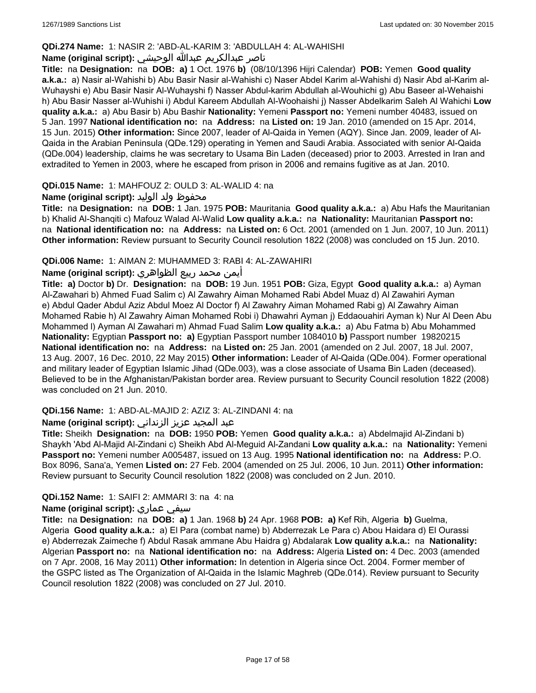## **QDi.274 Name:** 1: NASIR 2: 'ABD-AL-KARIM 3: 'ABDULLAH 4: AL-WAHISHI

## ناصر عبدالكريم عبدالله الوحيشي **:(script original (Name**

**Title:** na **Designation:** na **DOB: a)** 1 Oct. 1976 **b)** (08/10/1396 Hijri Calendar) **POB:** Yemen **Good quality a.k.a.:** a) Nasir al-Wahishi b) Abu Basir Nasir al-Wahishi c) Naser Abdel Karim al-Wahishi d) Nasir Abd al-Karim al-Wuhayshi e) Abu Basir Nasir Al-Wuhayshi f) Nasser Abdul-karim Abdullah al-Wouhichi g) Abu Baseer al-Wehaishi h) Abu Basir Nasser al-Wuhishi i) Abdul Kareem Abdullah Al-Woohaishi j) Nasser Abdelkarim Saleh Al Wahichi **Low quality a.k.a.:** a) Abu Basir b) Abu Bashir **Nationality:** Yemeni **Passport no:** Yemeni number 40483, issued on 5 Jan. 1997 **National identification no:** na **Address:** na **Listed on:** 19 Jan. 2010 (amended on 15 Apr. 2014, 15 Jun. 2015) **Other information:** Since 2007, leader of Al-Qaida in Yemen (AQY). Since Jan. 2009, leader of Al-Qaida in the Arabian Peninsula (QDe.129) operating in Yemen and Saudi Arabia. Associated with senior Al-Qaida (QDe.004) leadership, claims he was secretary to Usama Bin Laden (deceased) prior to 2003. Arrested in Iran and extradited to Yemen in 2003, where he escaped from prison in 2006 and remains fugitive as at Jan. 2010.

### **QDi.015 Name:** 1: MAHFOUZ 2: OULD 3: AL-WALID 4: na

### محفوظ ولد الوليد **:**(Name (original script

**Title:** na **Designation:** na **DOB:** 1 Jan. 1975 **POB:** Mauritania **Good quality a.k.a.:** a) Abu Hafs the Mauritanian b) Khalid Al-Shanqiti c) Mafouz Walad Al-Walid **Low quality a.k.a.:** na **Nationality:** Mauritanian **Passport no:**  na **National identification no:** na **Address:** na **Listed on:** 6 Oct. 2001 (amended on 1 Jun. 2007, 10 Jun. 2011) **Other information:** Review pursuant to Security Council resolution 1822 (2008) was concluded on 15 Jun. 2010.

### **QDi.006 Name:** 1: AIMAN 2: MUHAMMED 3: RABI 4: AL-ZAWAHIRI

### أيمن محمد ربيع الظواهري **:(script original (Name**

**Title: a)** Doctor **b)** Dr. **Designation:** na **DOB:** 19 Jun. 1951 **POB:** Giza, Egypt **Good quality a.k.a.:** a) Ayman Al-Zawahari b) Ahmed Fuad Salim c) Al Zawahry Aiman Mohamed Rabi Abdel Muaz d) Al Zawahiri Ayman e) Abdul Qader Abdul Aziz Abdul Moez Al Doctor f) Al Zawahry Aiman Mohamed Rabi g) Al Zawahry Aiman Mohamed Rabie h) Al Zawahry Aiman Mohamed Robi i) Dhawahri Ayman j) Eddaouahiri Ayman k) Nur Al Deen Abu Mohammed l) Ayman Al Zawahari m) Ahmad Fuad Salim **Low quality a.k.a.:** a) Abu Fatma b) Abu Mohammed **Nationality:** Egyptian **Passport no: a)** Egyptian Passport number 1084010 **b)** Passport number 19820215 **National identification no:** na **Address:** na **Listed on:** 25 Jan. 2001 (amended on 2 Jul. 2007, 18 Jul. 2007, 13 Aug. 2007, 16 Dec. 2010, 22 May 2015) **Other information:** Leader of Al-Qaida (QDe.004). Former operational and military leader of Egyptian Islamic Jihad (QDe.003), was a close associate of Usama Bin Laden (deceased). Believed to be in the Afghanistan/Pakistan border area. Review pursuant to Security Council resolution 1822 (2008) was concluded on 21 Jun. 2010.

## **QDi.156 Name:** 1: ABD-AL-MAJID 2: AZIZ 3: AL-ZINDANI 4: na

## عبد المجيد عزيز الزنداني **:(script original (Name**

**Title:** Sheikh **Designation:** na **DOB:** 1950 **POB:** Yemen **Good quality a.k.a.:** a) Abdelmajid Al-Zindani b) Shaykh 'Abd Al-Majid Al-Zindani c) Sheikh Abd Al-Meguid Al-Zandani **Low quality a.k.a.:** na **Nationality:** Yemeni **Passport no:** Yemeni number A005487, issued on 13 Aug. 1995 **National identification no:** na **Address:** P.O. Box 8096, Sana'a, Yemen **Listed on:** 27 Feb. 2004 (amended on 25 Jul. 2006, 10 Jun. 2011) **Other information:** Review pursuant to Security Council resolution 1822 (2008) was concluded on 2 Jun. 2010.

### **QDi.152 Name:** 1: SAIFI 2: AMMARI 3: na 4: na

### **Name (original script):** عماري سيفي

**Title:** na **Designation:** na **DOB: a)** 1 Jan. 1968 **b)** 24 Apr. 1968 **POB: a)** Kef Rih, Algeria **b)** Guelma, Algeria **Good quality a.k.a.:** a) El Para (combat name) b) Abderrezak Le Para c) Abou Haidara d) El Ourassi e) Abderrezak Zaimeche f) Abdul Rasak ammane Abu Haidra g) Abdalarak **Low quality a.k.a.:** na **Nationality:** Algerian **Passport no:** na **National identification no:** na **Address:** Algeria **Listed on:** 4 Dec. 2003 (amended on 7 Apr. 2008, 16 May 2011) **Other information:** In detention in Algeria since Oct. 2004. Former member of the GSPC listed as The Organization of Al-Qaida in the Islamic Maghreb (QDe.014). Review pursuant to Security Council resolution 1822 (2008) was concluded on 27 Jul. 2010.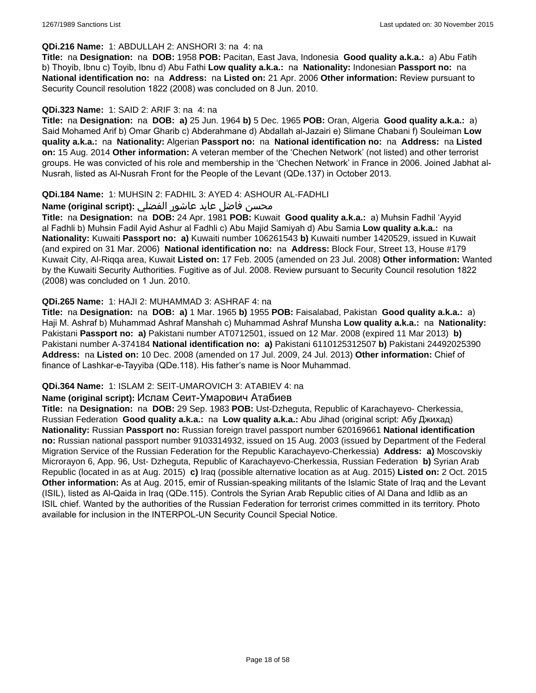### **QDi.216 Name:** 1: ABDULLAH 2: ANSHORI 3: na 4: na

**Title:** na **Designation:** na **DOB:** 1958 **POB:** Pacitan, East Java, Indonesia **Good quality a.k.a.:** a) Abu Fatih b) Thoyib, Ibnu c) Toyib, Ibnu d) Abu Fathi **Low quality a.k.a.:** na **Nationality:** Indonesian **Passport no:** na **National identification no:** na **Address:** na **Listed on:** 21 Apr. 2006 **Other information:** Review pursuant to Security Council resolution 1822 (2008) was concluded on 8 Jun. 2010.

### **QDi.323 Name:** 1: SAID 2: ARIF 3: na 4: na

**Title:** na **Designation:** na **DOB: a)** 25 Jun. 1964 **b)** 5 Dec. 1965 **POB:** Oran, Algeria **Good quality a.k.a.:** a) Said Mohamed Arif b) Omar Gharib c) Abderahmane d) Abdallah al-Jazairi e) Slimane Chabani f) Souleiman **Low quality a.k.a.:** na **Nationality:** Algerian **Passport no:** na **National identification no:** na **Address:** na **Listed on:** 15 Aug. 2014 **Other information:** A veteran member of the 'Chechen Network' (not listed) and other terrorist groups. He was convicted of his role and membership in the 'Chechen Network' in France in 2006. Joined Jabhat al-Nusrah, listed as Al-Nusrah Front for the People of the Levant (QDe.137) in October 2013.

### **QDi.184 Name:** 1: MUHSIN 2: FADHIL 3: AYED 4: ASHOUR AL-FADHLI

## محسن فاضل عايد عاشور الفضلي **:Name (original script**)

**Title:** na **Designation:** na **DOB:** 24 Apr. 1981 **POB:** Kuwait **Good quality a.k.a.:** a) Muhsin Fadhil 'Ayyid al Fadhli b) Muhsin Fadil Ayid Ashur al Fadhli c) Abu Majid Samiyah d) Abu Samia **Low quality a.k.a.:** na **Nationality:** Kuwaiti **Passport no: a)** Kuwaiti number 106261543 **b)** Kuwaiti number 1420529, issued in Kuwait (and expired on 31 Mar. 2006) **National identification no:** na **Address:** Block Four, Street 13, House #179 Kuwait City, Al-Riqqa area, Kuwait **Listed on:** 17 Feb. 2005 (amended on 23 Jul. 2008) **Other information:** Wanted by the Kuwaiti Security Authorities. Fugitive as of Jul. 2008. Review pursuant to Security Council resolution 1822 (2008) was concluded on 1 Jun. 2010.

### **QDi.265 Name:** 1: HAJI 2: MUHAMMAD 3: ASHRAF 4: na

**Title:** na **Designation:** na **DOB: a)** 1 Mar. 1965 **b)** 1955 **POB:** Faisalabad, Pakistan **Good quality a.k.a.:** a) Haji M. Ashraf b) Muhammad Ashraf Manshah c) Muhammad Ashraf Munsha **Low quality a.k.a.:** na **Nationality:** Pakistani **Passport no: a)** Pakistani number AT0712501, issued on 12 Mar. 2008 (expired 11 Mar 2013) **b)** Pakistani number A-374184 **National identification no: a)** Pakistani 6110125312507 **b)** Pakistani 24492025390 **Address:** na **Listed on:** 10 Dec. 2008 (amended on 17 Jul. 2009, 24 Jul. 2013) **Other information:** Chief of finance of Lashkar-e-Tayyiba (QDe.118). His father's name is Noor Muhammad.

### **QDi.364 Name:** 1: ISLAM 2: SEIT-UMAROVICH 3: ATABIEV 4: na

### **Name (original script):** Ислам Сеит-Умарович Атабиев

**Title:** na **Designation:** na **DOB:** 29 Sep. 1983 **POB:** Ust-Dzheguta, Republic of Karachayevo- Cherkessia, Russian Federation **Good quality a.k.a.:** na **Low quality a.k.a.:** Abu Jihad (original script: Абу Джихад) **Nationality:** Russian **Passport no:** Russian foreign travel passport number 620169661 **National identification no:** Russian national passport number 9103314932, issued on 15 Aug. 2003 (issued by Department of the Federal Migration Service of the Russian Federation for the Republic Karachayevo-Cherkessia) **Address: a)** Moscovskiy Microrayon 6, App. 96, Ust- Dzheguta, Republic of Karachayevo-Cherkessia, Russian Federation **b)** Syrian Arab Republic (located in as at Aug. 2015) **c)** Iraq (possible alternative location as at Aug. 2015) **Listed on:** 2 Oct. 2015 **Other information:** As at Aug. 2015, emir of Russian-speaking militants of the Islamic State of Iraq and the Levant (ISIL), listed as Al-Qaida in Iraq (QDe.115). Controls the Syrian Arab Republic cities of Al Dana and Idlib as an ISIL chief. Wanted by the authorities of the Russian Federation for terrorist crimes committed in its territory. Photo available for inclusion in the INTERPOL-UN Security Council Special Notice.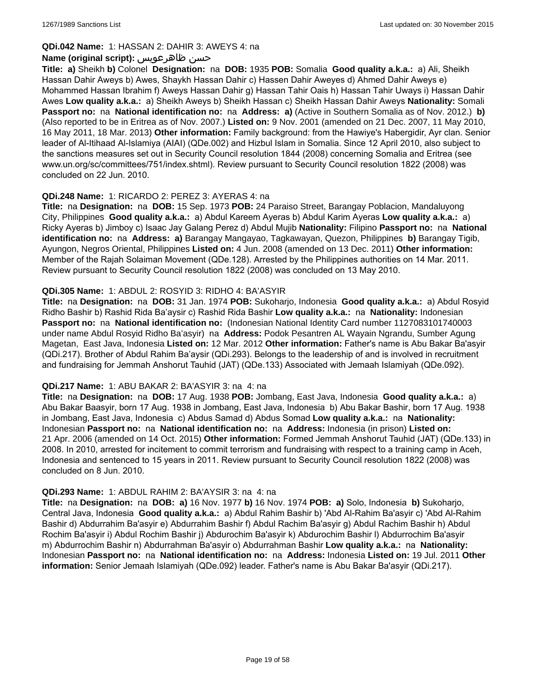### **QDi.042 Name:** 1: HASSAN 2: DAHIR 3: AWEYS 4: na

### **Name (original script):** ظاهرعويس حسن

**Title: a)** Sheikh **b)** Colonel **Designation:** na **DOB:** 1935 **POB:** Somalia **Good quality a.k.a.:** a) Ali, Sheikh Hassan Dahir Aweys b) Awes, Shaykh Hassan Dahir c) Hassen Dahir Aweyes d) Ahmed Dahir Aweys e) Mohammed Hassan Ibrahim f) Aweys Hassan Dahir g) Hassan Tahir Oais h) Hassan Tahir Uways i) Hassan Dahir Awes **Low quality a.k.a.:** a) Sheikh Aweys b) Sheikh Hassan c) Sheikh Hassan Dahir Aweys **Nationality:** Somali **Passport no:** na **National identification no:** na **Address: a)** (Active in Southern Somalia as of Nov. 2012.) **b)** (Also reported to be in Eritrea as of Nov. 2007.) **Listed on:** 9 Nov. 2001 (amended on 21 Dec. 2007, 11 May 2010, 16 May 2011, 18 Mar. 2013) **Other information:** Family background: from the Hawiye's Habergidir, Ayr clan. Senior leader of Al-Itihaad Al-Islamiya (AIAI) (QDe.002) and Hizbul Islam in Somalia. Since 12 April 2010, also subject to the sanctions measures set out in Security Council resolution 1844 (2008) concerning Somalia and Eritrea (see www.un.org/sc/committees/751/index.shtml). Review pursuant to Security Council resolution 1822 (2008) was concluded on 22 Jun. 2010.

### **QDi.248 Name:** 1: RICARDO 2: PEREZ 3: AYERAS 4: na

**Title:** na **Designation:** na **DOB:** 15 Sep. 1973 **POB:** 24 Paraiso Street, Barangay Poblacion, Mandaluyong City, Philippines **Good quality a.k.a.:** a) Abdul Kareem Ayeras b) Abdul Karim Ayeras **Low quality a.k.a.:** a) Ricky Ayeras b) Jimboy c) Isaac Jay Galang Perez d) Abdul Mujib **Nationality:** Filipino **Passport no:** na **National identification no:** na **Address: a)** Barangay Mangayao, Tagkawayan, Quezon, Philippines **b)** Barangay Tigib, Ayungon, Negros Oriental, Philippines **Listed on:** 4 Jun. 2008 (amended on 13 Dec. 2011) **Other information:** Member of the Rajah Solaiman Movement (QDe.128). Arrested by the Philippines authorities on 14 Mar. 2011. Review pursuant to Security Council resolution 1822 (2008) was concluded on 13 May 2010.

### **QDi.305 Name:** 1: ABDUL 2: ROSYID 3: RIDHO 4: BA'ASYIR

**Title:** na **Designation:** na **DOB:** 31 Jan. 1974 **POB:** Sukoharjo, Indonesia **Good quality a.k.a.:** a) Abdul Rosyid Ridho Bashir b) Rashid Rida Ba'aysir c) Rashid Rida Bashir **Low quality a.k.a.:** na **Nationality:** Indonesian **Passport no:** na **National identification no:** (Indonesian National Identity Card number 1127083101740003 under name Abdul Rosyid Ridho Ba'asyir) na **Address:** Podok Pesantren AL Wayain Ngrandu, Sumber Agung Magetan, East Java, Indonesia **Listed on:** 12 Mar. 2012 **Other information:** Father's name is Abu Bakar Ba'asyir (QDi.217). Brother of Abdul Rahim Ba'aysir (QDi.293). Belongs to the leadership of and is involved in recruitment and fundraising for Jemmah Anshorut Tauhid (JAT) (QDe.133) Associated with Jemaah Islamiyah (QDe.092).

### **QDi.217 Name:** 1: ABU BAKAR 2: BA'ASYIR 3: na 4: na

**Title:** na **Designation:** na **DOB:** 17 Aug. 1938 **POB:** Jombang, East Java, Indonesia **Good quality a.k.a.:** a) Abu Bakar Baasyir, born 17 Aug. 1938 in Jombang, East Java, Indonesia b) Abu Bakar Bashir, born 17 Aug. 1938 in Jombang, East Java, Indonesia c) Abdus Samad d) Abdus Somad **Low quality a.k.a.:** na **Nationality:** Indonesian **Passport no:** na **National identification no:** na **Address:** Indonesia (in prison) **Listed on:** 21 Apr. 2006 (amended on 14 Oct. 2015) **Other information:** Formed Jemmah Anshorut Tauhid (JAT) (QDe.133) in 2008. In 2010, arrested for incitement to commit terrorism and fundraising with respect to a training camp in Aceh, Indonesia and sentenced to 15 years in 2011. Review pursuant to Security Council resolution 1822 (2008) was concluded on 8 Jun. 2010.

## **QDi.293 Name:** 1: ABDUL RAHIM 2: BA'AYSIR 3: na 4: na

**Title:** na **Designation:** na **DOB: a)** 16 Nov. 1977 **b)** 16 Nov. 1974 **POB: a)** Solo, Indonesia **b)** Sukoharjo, Central Java, Indonesia **Good quality a.k.a.:** a) Abdul Rahim Bashir b) 'Abd Al-Rahim Ba'asyir c) 'Abd Al-Rahim Bashir d) Abdurrahim Ba'asyir e) Abdurrahim Bashir f) Abdul Rachim Ba'asyir g) Abdul Rachim Bashir h) Abdul Rochim Ba'asyir i) Abdul Rochim Bashir j) Abdurochim Ba'asyir k) Abdurochim Bashir l) Abdurrochim Ba'asyir m) Abdurrochim Bashir n) Abdurrahman Ba'asyir o) Abdurrahman Bashir **Low quality a.k.a.:** na **Nationality:** Indonesian **Passport no:** na **National identification no:** na **Address:** Indonesia **Listed on:** 19 Jul. 2011 **Other information:** Senior Jemaah Islamiyah (QDe.092) leader. Father's name is Abu Bakar Ba'asyir (QDi.217).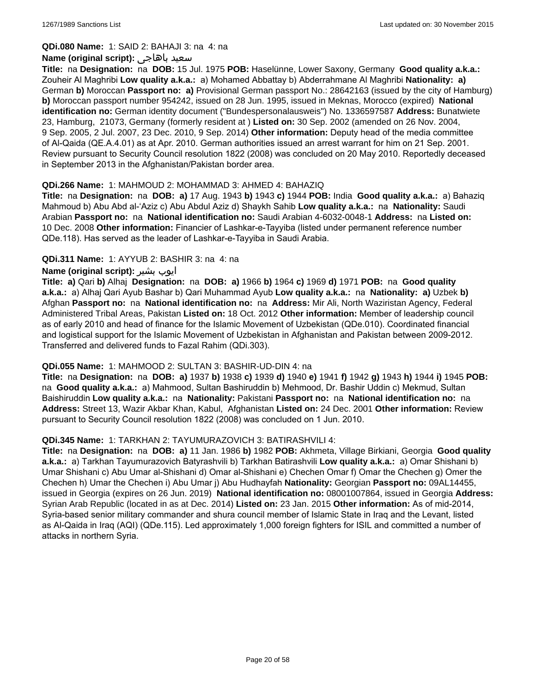### **QDi.080 Name:** 1: SAID 2: BAHAJI 3: na 4: na

### **Name (original script):** باهاجى سعيد

**Title:** na **Designation:** na **DOB:** 15 Jul. 1975 **POB:** Haselünne, Lower Saxony, Germany **Good quality a.k.a.:** Zouheir Al Maghribi **Low quality a.k.a.:** a) Mohamed Abbattay b) Abderrahmane Al Maghribi **Nationality: a)** German **b)** Moroccan **Passport no: a)** Provisional German passport No.: 28642163 (issued by the city of Hamburg) **b)** Moroccan passport number 954242, issued on 28 Jun. 1995, issued in Meknas, Morocco (expired) **National identification no:** German identity document ("Bundespersonalausweis") No. 1336597587 **Address:** Bunatwiete 23, Hamburg, 21073, Germany (formerly resident at ) **Listed on:** 30 Sep. 2002 (amended on 26 Nov. 2004, 9 Sep. 2005, 2 Jul. 2007, 23 Dec. 2010, 9 Sep. 2014) **Other information:** Deputy head of the media committee of Al-Qaida (QE.A.4.01) as at Apr. 2010. German authorities issued an arrest warrant for him on 21 Sep. 2001. Review pursuant to Security Council resolution 1822 (2008) was concluded on 20 May 2010. Reportedly deceased in September 2013 in the Afghanistan/Pakistan border area.

### **QDi.266 Name:** 1: MAHMOUD 2: MOHAMMAD 3: AHMED 4: BAHAZIQ

**Title:** na **Designation:** na **DOB: a)** 17 Aug. 1943 **b)** 1943 **c)** 1944 **POB:** India **Good quality a.k.a.:** a) Bahaziq Mahmoud b) Abu Abd al-'Aziz c) Abu Abdul Aziz d) Shaykh Sahib **Low quality a.k.a.:** na **Nationality:** Saudi Arabian **Passport no:** na **National identification no:** Saudi Arabian 4-6032-0048-1 **Address:** na **Listed on:** 10 Dec. 2008 **Other information:** Financier of Lashkar-e-Tayyiba (listed under permanent reference number QDe.118). Has served as the leader of Lashkar-e-Tayyiba in Saudi Arabia.

### **QDi.311 Name:** 1: AYYUB 2: BASHIR 3: na 4: na

### **Name (original script):** بشیر ایوب

**Title: a)** Qari **b)** Alhaj **Designation:** na **DOB: a)** 1966 **b)** 1964 **c)** 1969 **d)** 1971 **POB:** na **Good quality a.k.a.:** a) Alhaj Qari Ayub Bashar b) Qari Muhammad Ayub **Low quality a.k.a.:** na **Nationality: a)** Uzbek **b)** Afghan **Passport no:** na **National identification no:** na **Address:** Mir Ali, North Waziristan Agency, Federal Administered Tribal Areas, Pakistan **Listed on:** 18 Oct. 2012 **Other information:** Member of leadership council as of early 2010 and head of finance for the Islamic Movement of Uzbekistan (QDe.010). Coordinated financial and logistical support for the Islamic Movement of Uzbekistan in Afghanistan and Pakistan between 2009-2012. Transferred and delivered funds to Fazal Rahim (QDi.303).

### **QDi.055 Name:** 1: MAHMOOD 2: SULTAN 3: BASHIR-UD-DIN 4: na

**Title:** na **Designation:** na **DOB: a)** 1937 **b)** 1938 **c)** 1939 **d)** 1940 **e)** 1941 **f)** 1942 **g)** 1943 **h)** 1944 **i)** 1945 **POB:**  na **Good quality a.k.a.:** a) Mahmood, Sultan Bashiruddin b) Mehmood, Dr. Bashir Uddin c) Mekmud, Sultan Baishiruddin **Low quality a.k.a.:** na **Nationality:** Pakistani **Passport no:** na **National identification no:** na **Address:** Street 13, Wazir Akbar Khan, Kabul, Afghanistan **Listed on:** 24 Dec. 2001 **Other information:** Review pursuant to Security Council resolution 1822 (2008) was concluded on 1 Jun. 2010.

### **QDi.345 Name:** 1: TARKHAN 2: TAYUMURAZOVICH 3: BATIRASHVILI 4:

**Title:** na **Designation:** na **DOB: a)** 11 Jan. 1986 **b)** 1982 **POB:** Akhmeta, Village Birkiani, Georgia **Good quality a.k.a.:** a) Tarkhan Tayumurazovich Batyrashvili b) Tarkhan Batirashvili **Low quality a.k.a.:** a) Omar Shishani b) Umar Shishani c) Abu Umar al-Shishani d) Omar al-Shishani e) Chechen Omar f) Omar the Chechen g) Omer the Chechen h) Umar the Chechen i) Abu Umar j) Abu Hudhayfah **Nationality:** Georgian **Passport no:** 09AL14455, issued in Georgia (expires on 26 Jun. 2019) **National identification no:** 08001007864, issued in Georgia **Address:** Syrian Arab Republic (located in as at Dec. 2014) **Listed on:** 23 Jan. 2015 **Other information:** As of mid-2014, Syria-based senior military commander and shura council member of Islamic State in Iraq and the Levant, listed as Al-Qaida in Iraq (AQI) (QDe.115). Led approximately 1,000 foreign fighters for ISIL and committed a number of attacks in northern Syria.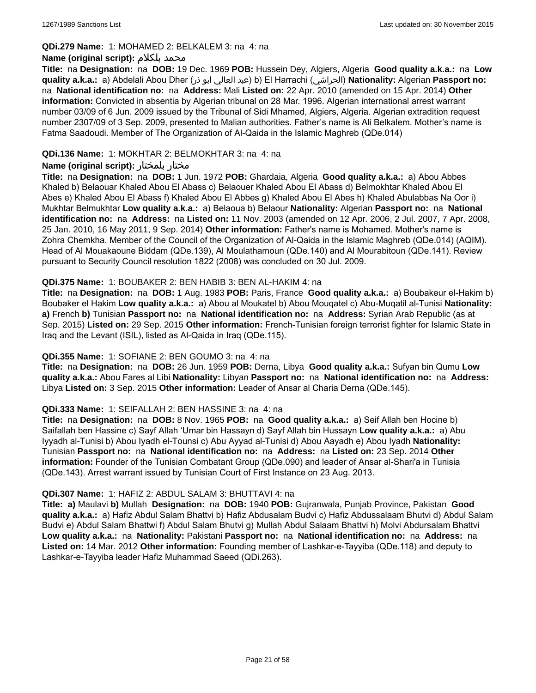### **QDi.279 Name:** 1: MOHAMED 2: BELKALEM 3: na 4: na

### **Name (original script):** بلكلام محمد

**Title:** na **Designation:** na **DOB:** 19 Dec. 1969 **POB:** Hussein Dey, Algiers, Algeria **Good quality a.k.a.:** na **Low quality a.k.a.:** a) Abdelali Abou Dher (ذر ابو العالي عبد (b) El Harrachi (الحراشي(**Nationality:** Algerian **Passport no:**  na **National identification no:** na **Address:** Mali **Listed on:** 22 Apr. 2010 (amended on 15 Apr. 2014) **Other information:** Convicted in absentia by Algerian tribunal on 28 Mar. 1996. Algerian international arrest warrant number 03/09 of 6 Jun. 2009 issued by the Tribunal of Sidi Mhamed, Algiers, Algeria. Algerian extradition request number 2307/09 of 3 Sep. 2009, presented to Malian authorities. Father's name is Ali Belkalem. Mother's name is Fatma Saadoudi. Member of The Organization of Al-Qaida in the Islamic Maghreb (QDe.014)

## **QDi.136 Name:** 1: MOKHTAR 2: BELMOKHTAR 3: na 4: na

### **Name (original script):** بلمختار مختار

**Title:** na **Designation:** na **DOB:** 1 Jun. 1972 **POB:** Ghardaia, Algeria **Good quality a.k.a.:** a) Abou Abbes Khaled b) Belaouar Khaled Abou El Abass c) Belaouer Khaled Abou El Abass d) Belmokhtar Khaled Abou El Abes e) Khaled Abou El Abass f) Khaled Abou El Abbes g) Khaled Abou El Abes h) Khaled Abulabbas Na Oor i) Mukhtar Belmukhtar **Low quality a.k.a.:** a) Belaoua b) Belaour **Nationality:** Algerian **Passport no:** na **National identification no:** na **Address:** na **Listed on:** 11 Nov. 2003 (amended on 12 Apr. 2006, 2 Jul. 2007, 7 Apr. 2008, 25 Jan. 2010, 16 May 2011, 9 Sep. 2014) **Other information:** Father's name is Mohamed. Mother's name is Zohra Chemkha. Member of the Council of the Organization of Al-Qaida in the Islamic Maghreb (QDe.014) (AQIM). Head of Al Mouakaoune Biddam (QDe.139), Al Moulathamoun (QDe.140) and Al Mourabitoun (QDe.141). Review pursuant to Security Council resolution 1822 (2008) was concluded on 30 Jul. 2009.

### **QDi.375 Name:** 1: BOUBAKER 2: BEN HABIB 3: BEN AL-HAKIM 4: na

**Title:** na **Designation:** na **DOB:** 1 Aug. 1983 **POB:** Paris, France **Good quality a.k.a.:** a) Boubakeur el-Hakim b) Boubaker el Hakim **Low quality a.k.a.:** a) Abou al Moukatel b) Abou Mouqatel c) Abu-Muqatil al-Tunisi **Nationality: a)** French **b)** Tunisian **Passport no:** na **National identification no:** na **Address:** Syrian Arab Republic (as at Sep. 2015) **Listed on:** 29 Sep. 2015 **Other information:** French-Tunisian foreign terrorist fighter for Islamic State in Iraq and the Levant (ISIL), listed as Al-Qaida in Iraq (QDe.115).

### **QDi.355 Name:** 1: SOFIANE 2: BEN GOUMO 3: na 4: na

**Title:** na **Designation:** na **DOB:** 26 Jun. 1959 **POB:** Derna, Libya **Good quality a.k.a.:** Sufyan bin Qumu **Low quality a.k.a.:** Abou Fares al Libi **Nationality:** Libyan **Passport no:** na **National identification no:** na **Address:** Libya **Listed on:** 3 Sep. 2015 **Other information:** Leader of Ansar al Charia Derna (QDe.145).

### **QDi.333 Name:** 1: SEIFALLAH 2: BEN HASSINE 3: na 4: na

**Title:** na **Designation:** na **DOB:** 8 Nov. 1965 **POB:** na **Good quality a.k.a.:** a) Seif Allah ben Hocine b) Saifallah ben Hassine c) Sayf Allah 'Umar bin Hassayn d) Sayf Allah bin Hussayn **Low quality a.k.a.:** a) Abu Iyyadh al-Tunisi b) Abou Iyadh el-Tounsi c) Abu Ayyad al-Tunisi d) Abou Aayadh e) Abou Iyadh **Nationality:** Tunisian **Passport no:** na **National identification no:** na **Address:** na **Listed on:** 23 Sep. 2014 **Other information:** Founder of the Tunisian Combatant Group (QDe.090) and leader of Ansar al-Shari'a in Tunisia (QDe.143). Arrest warrant issued by Tunisian Court of First Instance on 23 Aug. 2013.

### **QDi.307 Name:** 1: HAFIZ 2: ABDUL SALAM 3: BHUTTAVI 4: na

**Title: a)** Maulavi **b)** Mullah **Designation:** na **DOB:** 1940 **POB:** Gujranwala, Punjab Province, Pakistan **Good quality a.k.a.:** a) Hafiz Abdul Salam Bhattvi b) Hafiz Abdusalam Budvi c) Hafiz Abdussalaam Bhutvi d) Abdul Salam Budvi e) Abdul Salam Bhattwi f) Abdul Salam Bhutvi g) Mullah Abdul Salaam Bhattvi h) Molvi Abdursalam Bhattvi **Low quality a.k.a.:** na **Nationality:** Pakistani **Passport no:** na **National identification no:** na **Address:** na **Listed on:** 14 Mar. 2012 **Other information:** Founding member of Lashkar-e-Tayyiba (QDe.118) and deputy to Lashkar-e-Tayyiba leader Hafiz Muhammad Saeed (QDi.263).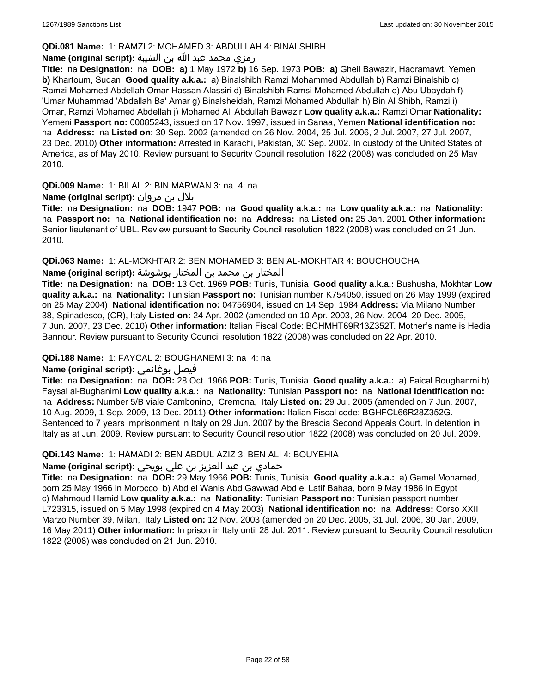## **QDi.081 Name:** 1: RAMZI 2: MOHAMED 3: ABDULLAH 4: BINALSHIBH

## رمزي محمد عبد الله بن الشيبة **:(script original (Name**

**Title:** na **Designation:** na **DOB: a)** 1 May 1972 **b)** 16 Sep. 1973 **POB: a)** Gheil Bawazir, Hadramawt, Yemen **b)** Khartoum, Sudan **Good quality a.k.a.:** a) Binalshibh Ramzi Mohammed Abdullah b) Ramzi Binalshib c) Ramzi Mohamed Abdellah Omar Hassan Alassiri d) Binalshibh Ramsi Mohamed Abdullah e) Abu Ubaydah f) 'Umar Muhammad 'Abdallah Ba' Amar g) Binalsheidah, Ramzi Mohamed Abdullah h) Bin Al Shibh, Ramzi i) Omar, Ramzi Mohamed Abdellah j) Mohamed Ali Abdullah Bawazir **Low quality a.k.a.:** Ramzi Omar **Nationality:** Yemeni **Passport no:** 00085243, issued on 17 Nov. 1997, issued in Sanaa, Yemen **National identification no:**  na **Address:** na **Listed on:** 30 Sep. 2002 (amended on 26 Nov. 2004, 25 Jul. 2006, 2 Jul. 2007, 27 Jul. 2007, 23 Dec. 2010) **Other information:** Arrested in Karachi, Pakistan, 30 Sep. 2002. In custody of the United States of America, as of May 2010. Review pursuant to Security Council resolution 1822 (2008) was concluded on 25 May 2010.

**QDi.009 Name:** 1: BILAL 2: BIN MARWAN 3: na 4: na

## بلال بن مروان **:(script original (Name**

**Title:** na **Designation:** na **DOB:** 1947 **POB:** na **Good quality a.k.a.:** na **Low quality a.k.a.:** na **Nationality:**  na **Passport no:** na **National identification no:** na **Address:** na **Listed on:** 25 Jan. 2001 **Other information:** Senior lieutenant of UBL. Review pursuant to Security Council resolution 1822 (2008) was concluded on 21 Jun. 2010.

**QDi.063 Name:** 1: AL-MOKHTAR 2: BEN MOHAMED 3: BEN AL-MOKHTAR 4: BOUCHOUCHA

المختار بن محمد بن المختار بوشوشة **:Name (original script)** 

**Title:** na **Designation:** na **DOB:** 13 Oct. 1969 **POB:** Tunis, Tunisia **Good quality a.k.a.:** Bushusha, Mokhtar **Low quality a.k.a.:** na **Nationality:** Tunisian **Passport no:** Tunisian number K754050, issued on 26 May 1999 (expired on 25 May 2004) **National identification no:** 04756904, issued on 14 Sep. 1984 **Address:** Via Milano Number 38, Spinadesco, (CR), Italy **Listed on:** 24 Apr. 2002 (amended on 10 Apr. 2003, 26 Nov. 2004, 20 Dec. 2005, 7 Jun. 2007, 23 Dec. 2010) **Other information:** Italian Fiscal Code: BCHMHT69R13Z352T. Mother's name is Hedia Bannour. Review pursuant to Security Council resolution 1822 (2008) was concluded on 22 Apr. 2010.

## **QDi.188 Name:** 1: FAYCAL 2: BOUGHANEMI 3: na 4: na

## **Name (original script):** بوغانمي فيصل

**Title:** na **Designation:** na **DOB:** 28 Oct. 1966 **POB:** Tunis, Tunisia **Good quality a.k.a.:** a) Faical Boughanmi b) Faysal al-Bughanimi **Low quality a.k.a.:** na **Nationality:** Tunisian **Passport no:** na **National identification no:**  na **Address:** Number 5/B viale Cambonino, Cremona, Italy **Listed on:** 29 Jul. 2005 (amended on 7 Jun. 2007, 10 Aug. 2009, 1 Sep. 2009, 13 Dec. 2011) **Other information:** Italian Fiscal code: BGHFCL66R28Z352G. Sentenced to 7 years imprisonment in Italy on 29 Jun. 2007 by the Brescia Second Appeals Court. In detention in Italy as at Jun. 2009. Review pursuant to Security Council resolution 1822 (2008) was concluded on 20 Jul. 2009.

### **QDi.143 Name:** 1: HAMADI 2: BEN ABDUL AZIZ 3: BEN ALI 4: BOUYEHIA

## حمادي بن عبد العزيز بن علي بويحي **:(script original (Name**

**Title:** na **Designation:** na **DOB:** 29 May 1966 **POB:** Tunis, Tunisia **Good quality a.k.a.:** a) Gamel Mohamed, born 25 May 1966 in Morocco b) Abd el Wanis Abd Gawwad Abd el Latif Bahaa, born 9 May 1986 in Egypt c) Mahmoud Hamid **Low quality a.k.a.:** na **Nationality:** Tunisian **Passport no:** Tunisian passport number L723315, issued on 5 May 1998 (expired on 4 May 2003) **National identification no:** na **Address:** Corso XXII Marzo Number 39, Milan, Italy **Listed on:** 12 Nov. 2003 (amended on 20 Dec. 2005, 31 Jul. 2006, 30 Jan. 2009, 16 May 2011) **Other information:** In prison in Italy until 28 Jul. 2011. Review pursuant to Security Council resolution 1822 (2008) was concluded on 21 Jun. 2010.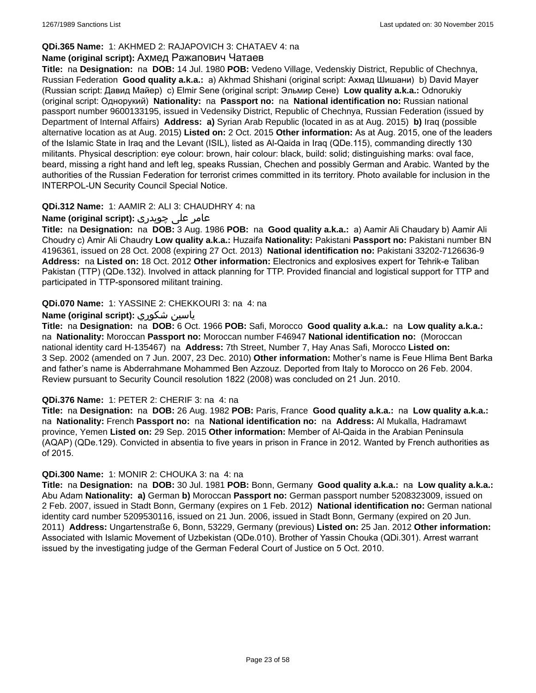## **QDi.365 Name:** 1: AKHMED 2: RAJAPOVICH 3: CHATAEV 4: na

### **Name (original script):** Ахмед Ражапович Чатаев

**Title:** na **Designation:** na **DOB:** 14 Jul. 1980 **POB:** Vedeno Village, Vedenskiy District, Republic of Chechnya, Russian Federation **Good quality a.k.a.:** a) Akhmad Shishani (original script: Ахмад Шишани) b) David Mayer (Russian script: Давид Майер) c) Elmir Sene (original script: Эльмир Сене) **Low quality a.k.a.:** Odnorukiy (original script: Однорукий) **Nationality:** na **Passport no:** na **National identification no:** Russian national passport number 9600133195, issued in Vedensiky District, Republic of Chechnya, Russian Federation (issued by Department of Internal Affairs) **Address: a)** Syrian Arab Republic (located in as at Aug. 2015) **b)** Iraq (possible alternative location as at Aug. 2015) **Listed on:** 2 Oct. 2015 **Other information:** As at Aug. 2015, one of the leaders of the Islamic State in Iraq and the Levant (ISIL), listed as Al-Qaida in Iraq (QDe.115), commanding directly 130 militants. Physical description: eye colour: brown, hair colour: black, build: solid; distinguishing marks: oval face, beard, missing a right hand and left leg, speaks Russian, Chechen and possibly German and Arabic. Wanted by the authorities of the Russian Federation for terrorist crimes committed in its territory. Photo available for inclusion in the INTERPOL-UN Security Council Special Notice.

### **QDi.312 Name:** 1: AAMIR 2: ALI 3: CHAUDHRY 4: na

## عامر علی چوہدری **:(script original (Name**

**Title:** na **Designation:** na **DOB:** 3 Aug. 1986 **POB:** na **Good quality a.k.a.:** a) Aamir Ali Chaudary b) Aamir Ali Choudry c) Amir Ali Chaudry **Low quality a.k.a.:** Huzaifa **Nationality:** Pakistani **Passport no:** Pakistani number BN 4196361, issued on 28 Oct. 2008 (expiring 27 Oct. 2013) **National identification no:** Pakistani 33202-7126636-9 **Address:** na **Listed on:** 18 Oct. 2012 **Other information:** Electronics and explosives expert for Tehrik-e Taliban Pakistan (TTP) (QDe.132). Involved in attack planning for TTP. Provided financial and logistical support for TTP and participated in TTP-sponsored militant training.

### **QDi.070 Name:** 1: YASSINE 2: CHEKKOURI 3: na 4: na

### **Name (original script):** شكوري ياسين

**Title:** na **Designation:** na **DOB:** 6 Oct. 1966 **POB:** Safi, Morocco **Good quality a.k.a.:** na **Low quality a.k.a.:**  na **Nationality:** Moroccan **Passport no:** Moroccan number F46947 **National identification no:** (Moroccan national identity card H-135467) na **Address:** 7th Street, Number 7, Hay Anas Safi, Morocco **Listed on:** 3 Sep. 2002 (amended on 7 Jun. 2007, 23 Dec. 2010) **Other information:** Mother's name is Feue Hlima Bent Barka and father's name is Abderrahmane Mohammed Ben Azzouz. Deported from Italy to Morocco on 26 Feb. 2004. Review pursuant to Security Council resolution 1822 (2008) was concluded on 21 Jun. 2010.

### **QDi.376 Name:** 1: PETER 2: CHERIF 3: na 4: na

**Title:** na **Designation:** na **DOB:** 26 Aug. 1982 **POB:** Paris, France **Good quality a.k.a.:** na **Low quality a.k.a.:**  na **Nationality:** French **Passport no:** na **National identification no:** na **Address:** Al Mukalla, Hadramawt province, Yemen **Listed on:** 29 Sep. 2015 **Other information:** Member of Al-Qaida in the Arabian Peninsula (AQAP) (QDe.129). Convicted in absentia to five years in prison in France in 2012. Wanted by French authorities as of 2015.

## **QDi.300 Name:** 1: MONIR 2: CHOUKA 3: na 4: na

**Title:** na **Designation:** na **DOB:** 30 Jul. 1981 **POB:** Bonn, Germany **Good quality a.k.a.:** na **Low quality a.k.a.:** Abu Adam **Nationality: a)** German **b)** Moroccan **Passport no:** German passport number 5208323009, issued on 2 Feb. 2007, issued in Stadt Bonn, Germany (expires on 1 Feb. 2012) **National identification no:** German national identity card number 5209530116, issued on 21 Jun. 2006, issued in Stadt Bonn, Germany (expired on 20 Jun. 2011) **Address:** Ungartenstraße 6, Bonn, 53229, Germany (previous) **Listed on:** 25 Jan. 2012 **Other information:** Associated with Islamic Movement of Uzbekistan (QDe.010). Brother of Yassin Chouka (QDi.301). Arrest warrant issued by the investigating judge of the German Federal Court of Justice on 5 Oct. 2010.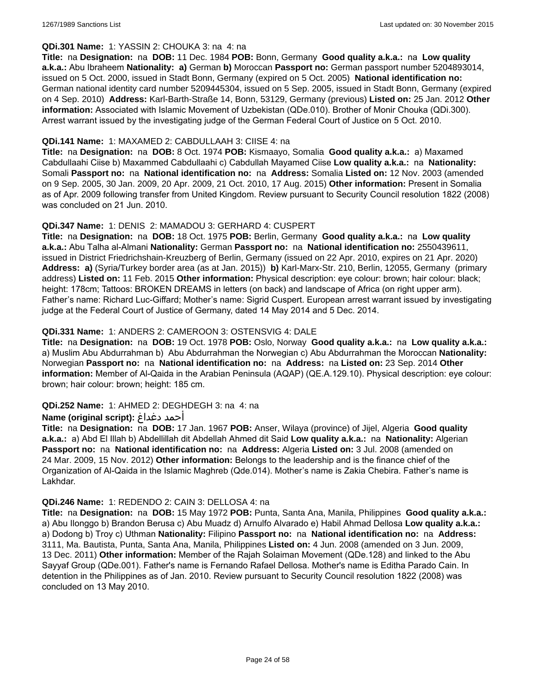### **QDi.301 Name:** 1: YASSIN 2: CHOUKA 3: na 4: na

**Title:** na **Designation:** na **DOB:** 11 Dec. 1984 **POB:** Bonn, Germany **Good quality a.k.a.:** na **Low quality a.k.a.:** Abu Ibraheem **Nationality: a)** German **b)** Moroccan **Passport no:** German passport number 5204893014, issued on 5 Oct. 2000, issued in Stadt Bonn, Germany (expired on 5 Oct. 2005) **National identification no:** German national identity card number 5209445304, issued on 5 Sep. 2005, issued in Stadt Bonn, Germany (expired on 4 Sep. 2010) **Address:** Karl-Barth-Straße 14, Bonn, 53129, Germany (previous) **Listed on:** 25 Jan. 2012 **Other information:** Associated with Islamic Movement of Uzbekistan (QDe.010). Brother of Monir Chouka (QDi.300). Arrest warrant issued by the investigating judge of the German Federal Court of Justice on 5 Oct. 2010.

## **QDi.141 Name:** 1: MAXAMED 2: CABDULLAAH 3: CIISE 4: na

**Title:** na **Designation:** na **DOB:** 8 Oct. 1974 **POB:** Kismaayo, Somalia **Good quality a.k.a.:** a) Maxamed Cabdullaahi Ciise b) Maxammed Cabdullaahi c) Cabdullah Mayamed Ciise **Low quality a.k.a.:** na **Nationality:** Somali **Passport no:** na **National identification no:** na **Address:** Somalia **Listed on:** 12 Nov. 2003 (amended on 9 Sep. 2005, 30 Jan. 2009, 20 Apr. 2009, 21 Oct. 2010, 17 Aug. 2015) **Other information:** Present in Somalia as of Apr. 2009 following transfer from United Kingdom. Review pursuant to Security Council resolution 1822 (2008) was concluded on 21 Jun. 2010.

### **QDi.347 Name:** 1: DENIS 2: MAMADOU 3: GERHARD 4: CUSPERT

**Title:** na **Designation:** na **DOB:** 18 Oct. 1975 **POB:** Berlin, Germany **Good quality a.k.a.:** na **Low quality a.k.a.:** Abu Talha al-Almani **Nationality:** German **Passport no:** na **National identification no:** 2550439611, issued in District Friedrichshain-Kreuzberg of Berlin, Germany (issued on 22 Apr. 2010, expires on 21 Apr. 2020) **Address: a)** (Syria/Turkey border area (as at Jan. 2015)) **b)** Karl-Marx-Str. 210, Berlin, 12055, Germany (primary address) **Listed on:** 11 Feb. 2015 **Other information:** Physical description: eye colour: brown; hair colour: black; height: 178cm; Tattoos: BROKEN DREAMS in letters (on back) and landscape of Africa (on right upper arm). Father's name: Richard Luc-Giffard; Mother's name: Sigrid Cuspert. European arrest warrant issued by investigating judge at the Federal Court of Justice of Germany, dated 14 May 2014 and 5 Dec. 2014.

### **QDi.331 Name:** 1: ANDERS 2: CAMEROON 3: OSTENSVIG 4: DALE

**Title:** na **Designation:** na **DOB:** 19 Oct. 1978 **POB:** Oslo, Norway **Good quality a.k.a.:** na **Low quality a.k.a.:**  a) Muslim Abu Abdurrahman b) Abu Abdurrahman the Norwegian c) Abu Abdurrahman the Moroccan **Nationality:** Norwegian **Passport no:** na **National identification no:** na **Address:** na **Listed on:** 23 Sep. 2014 **Other information:** Member of Al-Qaida in the Arabian Peninsula (AQAP) (QE.A.129.10). Physical description: eye colour: brown; hair colour: brown; height: 185 cm.

## **QDi.252 Name:** 1: AHMED 2: DEGHDEGH 3: na 4: na

### **Name (original script):** دغداغ أحمد

**Title:** na **Designation:** na **DOB:** 17 Jan. 1967 **POB:** Anser, Wilaya (province) of Jijel, Algeria **Good quality a.k.a.:** a) Abd El Illah b) Abdellillah dit Abdellah Ahmed dit Said **Low quality a.k.a.:** na **Nationality:** Algerian **Passport no:** na **National identification no:** na **Address:** Algeria **Listed on:** 3 Jul. 2008 (amended on 24 Mar. 2009, 15 Nov. 2012) **Other information:** Belongs to the leadership and is the finance chief of the Organization of Al-Qaida in the Islamic Maghreb (Qde.014). Mother's name is Zakia Chebira. Father's name is Lakhdar.

### **QDi.246 Name:** 1: REDENDO 2: CAIN 3: DELLOSA 4: na

**Title:** na **Designation:** na **DOB:** 15 May 1972 **POB:** Punta, Santa Ana, Manila, Philippines **Good quality a.k.a.:**  a) Abu Ilonggo b) Brandon Berusa c) Abu Muadz d) Arnulfo Alvarado e) Habil Ahmad Dellosa **Low quality a.k.a.:**  a) Dodong b) Troy c) Uthman **Nationality:** Filipino **Passport no:** na **National identification no:** na **Address:** 3111, Ma. Bautista, Punta, Santa Ana, Manila, Philippines **Listed on:** 4 Jun. 2008 (amended on 3 Jun. 2009, 13 Dec. 2011) **Other information:** Member of the Rajah Solaiman Movement (QDe.128) and linked to the Abu Sayyaf Group (QDe.001). Father's name is Fernando Rafael Dellosa. Mother's name is Editha Parado Cain. In detention in the Philippines as of Jan. 2010. Review pursuant to Security Council resolution 1822 (2008) was concluded on 13 May 2010.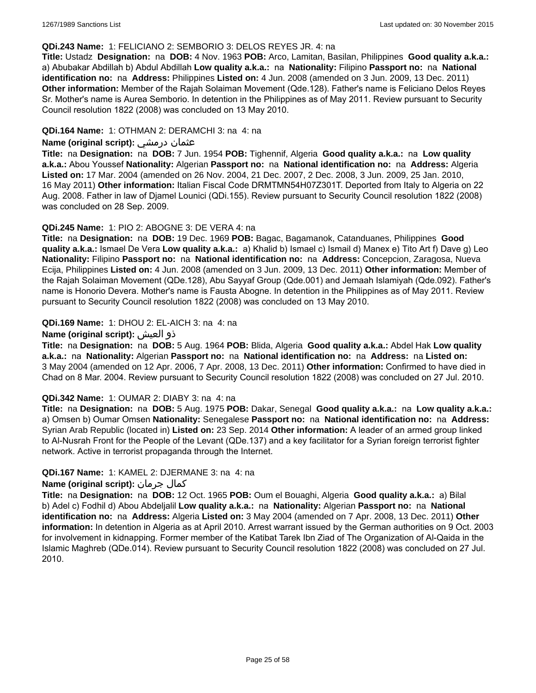### **QDi.243 Name:** 1: FELICIANO 2: SEMBORIO 3: DELOS REYES JR. 4: na

**Title:** Ustadz **Designation:** na **DOB:** 4 Nov. 1963 **POB:** Arco, Lamitan, Basilan, Philippines **Good quality a.k.a.:**  a) Abubakar Abdillah b) Abdul Abdillah **Low quality a.k.a.:** na **Nationality:** Filipino **Passport no:** na **National identification no:** na **Address:** Philippines **Listed on:** 4 Jun. 2008 (amended on 3 Jun. 2009, 13 Dec. 2011) **Other information:** Member of the Rajah Solaiman Movement (Qde.128). Father's name is Feliciano Delos Reyes Sr. Mother's name is Aurea Semborio. In detention in the Philippines as of May 2011. Review pursuant to Security Council resolution 1822 (2008) was concluded on 13 May 2010.

### **QDi.164 Name:** 1: OTHMAN 2: DERAMCHI 3: na 4: na

### **Name (original script):** درمشي عثمان

**Title:** na **Designation:** na **DOB:** 7 Jun. 1954 **POB:** Tighennif, Algeria **Good quality a.k.a.:** na **Low quality a.k.a.:** Abou Youssef **Nationality:** Algerian **Passport no:** na **National identification no:** na **Address:** Algeria **Listed on:** 17 Mar. 2004 (amended on 26 Nov. 2004, 21 Dec. 2007, 2 Dec. 2008, 3 Jun. 2009, 25 Jan. 2010, 16 May 2011) **Other information:** Italian Fiscal Code DRMTMN54H07Z301T. Deported from Italy to Algeria on 22 Aug. 2008. Father in law of Djamel Lounici (QDi.155). Review pursuant to Security Council resolution 1822 (2008) was concluded on 28 Sep. 2009.

### **QDi.245 Name:** 1: PIO 2: ABOGNE 3: DE VERA 4: na

**Title:** na **Designation:** na **DOB:** 19 Dec. 1969 **POB:** Bagac, Bagamanok, Catanduanes, Philippines **Good quality a.k.a.:** Ismael De Vera **Low quality a.k.a.:** a) Khalid b) Ismael c) Ismail d) Manex e) Tito Art f) Dave g) Leo **Nationality:** Filipino **Passport no:** na **National identification no:** na **Address:** Concepcion, Zaragosa, Nueva Ecija, Philippines **Listed on:** 4 Jun. 2008 (amended on 3 Jun. 2009, 13 Dec. 2011) **Other information:** Member of the Rajah Solaiman Movement (QDe.128), Abu Sayyaf Group (Qde.001) and Jemaah Islamiyah (Qde.092). Father's name is Honorio Devera. Mother's name is Fausta Abogne. In detention in the Philippines as of May 2011. Review pursuant to Security Council resolution 1822 (2008) was concluded on 13 May 2010.

### **QDi.169 Name:** 1: DHOU 2: EL-AICH 3: na 4: na

### **Name (original script):** العيش ذو

**Title:** na **Designation:** na **DOB:** 5 Aug. 1964 **POB:** Blida, Algeria **Good quality a.k.a.:** Abdel Hak **Low quality a.k.a.:** na **Nationality:** Algerian **Passport no:** na **National identification no:** na **Address:** na **Listed on:** 3 May 2004 (amended on 12 Apr. 2006, 7 Apr. 2008, 13 Dec. 2011) **Other information:** Confirmed to have died in Chad on 8 Mar. 2004. Review pursuant to Security Council resolution 1822 (2008) was concluded on 27 Jul. 2010.

### **QDi.342 Name:** 1: OUMAR 2: DIABY 3: na 4: na

**Title:** na **Designation:** na **DOB:** 5 Aug. 1975 **POB:** Dakar, Senegal **Good quality a.k.a.:** na **Low quality a.k.a.:** a) Omsen b) Oumar Omsen **Nationality:** Senegalese **Passport no:** na **National identification no:** na **Address:** Syrian Arab Republic (located in) **Listed on:** 23 Sep. 2014 **Other information:** A leader of an armed group linked to Al-Nusrah Front for the People of the Levant (QDe.137) and a key facilitator for a Syrian foreign terrorist fighter network. Active in terrorist propaganda through the Internet.

### **QDi.167 Name:** 1: KAMEL 2: DJERMANE 3: na 4: na

## **Name (original script):** جرمان كمال

**Title:** na **Designation:** na **DOB:** 12 Oct. 1965 **POB:** Oum el Bouaghi, Algeria **Good quality a.k.a.:** a) Bilal b) Adel c) Fodhil d) Abou Abdeljalil **Low quality a.k.a.:** na **Nationality:** Algerian **Passport no:** na **National identification no:** na **Address:** Algeria **Listed on:** 3 May 2004 (amended on 7 Apr. 2008, 13 Dec. 2011) **Other information:** In detention in Algeria as at April 2010. Arrest warrant issued by the German authorities on 9 Oct. 2003 for involvement in kidnapping. Former member of the Katibat Tarek Ibn Ziad of The Organization of Al-Qaida in the Islamic Maghreb (QDe.014). Review pursuant to Security Council resolution 1822 (2008) was concluded on 27 Jul. 2010.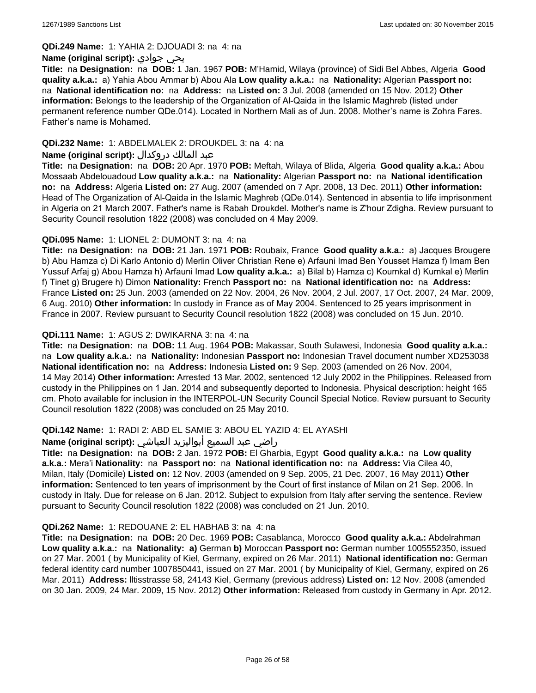### **QDi.249 Name:** 1: YAHIA 2: DJOUADI 3: na 4: na

### **Name (original script):** جوادي يحي

**Title:** na **Designation:** na **DOB:** 1 Jan. 1967 **POB:** M'Hamid, Wilaya (province) of Sidi Bel Abbes, Algeria **Good quality a.k.a.:** a) Yahia Abou Ammar b) Abou Ala **Low quality a.k.a.:** na **Nationality:** Algerian **Passport no:**  na **National identification no:** na **Address:** na **Listed on:** 3 Jul. 2008 (amended on 15 Nov. 2012) **Other information:** Belongs to the leadership of the Organization of Al-Qaida in the Islamic Maghreb (listed under permanent reference number QDe.014). Located in Northern Mali as of Jun. 2008. Mother's name is Zohra Fares. Father's name is Mohamed.

## **QDi.232 Name:** 1: ABDELMALEK 2: DROUKDEL 3: na 4: na

### عبد المالك دروكدال **:(script original (Name**

**Title:** na **Designation:** na **DOB:** 20 Apr. 1970 **POB:** Meftah, Wilaya of Blida, Algeria **Good quality a.k.a.:** Abou Mossaab Abdelouadoud **Low quality a.k.a.:** na **Nationality:** Algerian **Passport no:** na **National identification no:** na **Address:** Algeria **Listed on:** 27 Aug. 2007 (amended on 7 Apr. 2008, 13 Dec. 2011) **Other information:** Head of The Organization of Al-Qaida in the Islamic Maghreb (QDe.014). Sentenced in absentia to life imprisonment in Algeria on 21 March 2007. Father's name is Rabah Droukdel. Mother's name is Z'hour Zdigha. Review pursuant to Security Council resolution 1822 (2008) was concluded on 4 May 2009.

## **QDi.095 Name:** 1: LIONEL 2: DUMONT 3: na 4: na

**Title:** na **Designation:** na **DOB:** 21 Jan. 1971 **POB:** Roubaix, France **Good quality a.k.a.:** a) Jacques Brougere b) Abu Hamza c) Di Karlo Antonio d) Merlin Oliver Christian Rene e) Arfauni Imad Ben Yousset Hamza f) Imam Ben Yussuf Arfaj g) Abou Hamza h) Arfauni Imad **Low quality a.k.a.:** a) Bilal b) Hamza c) Koumkal d) Kumkal e) Merlin f) Tinet g) Brugere h) Dimon **Nationality:** French **Passport no:** na **National identification no:** na **Address:** France **Listed on:** 25 Jun. 2003 (amended on 22 Nov. 2004, 26 Nov. 2004, 2 Jul. 2007, 17 Oct. 2007, 24 Mar. 2009, 6 Aug. 2010) **Other information:** In custody in France as of May 2004. Sentenced to 25 years imprisonment in France in 2007. Review pursuant to Security Council resolution 1822 (2008) was concluded on 15 Jun. 2010.

### **QDi.111 Name:** 1: AGUS 2: DWIKARNA 3: na 4: na

**Title:** na **Designation:** na **DOB:** 11 Aug. 1964 **POB:** Makassar, South Sulawesi, Indonesia **Good quality a.k.a.:**  na **Low quality a.k.a.:** na **Nationality:** Indonesian **Passport no:** Indonesian Travel document number XD253038 **National identification no:** na **Address:** Indonesia **Listed on:** 9 Sep. 2003 (amended on 26 Nov. 2004, 14 May 2014) **Other information:** Arrested 13 Mar. 2002, sentenced 12 July 2002 in the Philippines. Released from custody in the Philippines on 1 Jan. 2014 and subsequently deported to Indonesia. Physical description: height 165 cm. Photo available for inclusion in the INTERPOL-UN Security Council Special Notice. Review pursuant to Security Council resolution 1822 (2008) was concluded on 25 May 2010.

## **QDi.142 Name:** 1: RADI 2: ABD EL SAMIE 3: ABOU EL YAZID 4: EL AYASHI

### راضي عبد السميع أبواليزيد العياشي **:(script original (Name**

**Title:** na **Designation:** na **DOB:** 2 Jan. 1972 **POB:** El Gharbia, Egypt **Good quality a.k.a.:** na **Low quality a.k.a.:** Mera'i **Nationality:** na **Passport no:** na **National identification no:** na **Address:** Via Cilea 40, Milan, Italy (Domicile) **Listed on:** 12 Nov. 2003 (amended on 9 Sep. 2005, 21 Dec. 2007, 16 May 2011) **Other information:** Sentenced to ten years of imprisonment by the Court of first instance of Milan on 21 Sep. 2006. In custody in Italy. Due for release on 6 Jan. 2012. Subject to expulsion from Italy after serving the sentence. Review pursuant to Security Council resolution 1822 (2008) was concluded on 21 Jun. 2010.

### **QDi.262 Name:** 1: REDOUANE 2: EL HABHAB 3: na 4: na

**Title:** na **Designation:** na **DOB:** 20 Dec. 1969 **POB:** Casablanca, Morocco **Good quality a.k.a.:** Abdelrahman **Low quality a.k.a.:** na **Nationality: a)** German **b)** Moroccan **Passport no:** German number 1005552350, issued on 27 Mar. 2001 ( by Municipality of Kiel, Germany, expired on 26 Mar. 2011) **National identification no:** German federal identity card number 1007850441, issued on 27 Mar. 2001 ( by Municipality of Kiel, Germany, expired on 26 Mar. 2011) **Address:** lltisstrasse 58, 24143 Kiel, Germany (previous address) **Listed on:** 12 Nov. 2008 (amended on 30 Jan. 2009, 24 Mar. 2009, 15 Nov. 2012) **Other information:** Released from custody in Germany in Apr. 2012.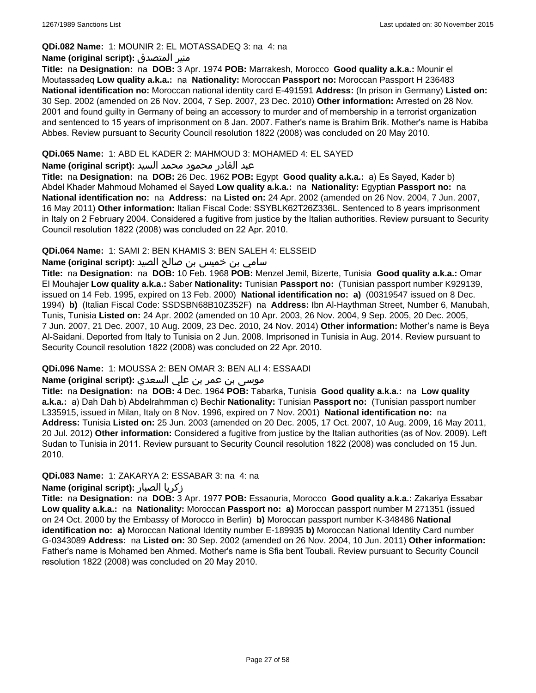## **QDi.082 Name:** 1: MOUNIR 2: EL MOTASSADEQ 3: na 4: na

### **Name (original script):** المتصدق منير

**Title:** na **Designation:** na **DOB:** 3 Apr. 1974 **POB:** Marrakesh, Morocco **Good quality a.k.a.:** Mounir el Moutassadeq **Low quality a.k.a.:** na **Nationality:** Moroccan **Passport no:** Moroccan Passport H 236483 **National identification no:** Moroccan national identity card E-491591 **Address:** (In prison in Germany) **Listed on:** 30 Sep. 2002 (amended on 26 Nov. 2004, 7 Sep. 2007, 23 Dec. 2010) **Other information:** Arrested on 28 Nov. 2001 and found guilty in Germany of being an accessory to murder and of membership in a terrorist organization and sentenced to 15 years of imprisonment on 8 Jan. 2007. Father's name is Brahim Brik. Mother's name is Habiba Abbes. Review pursuant to Security Council resolution 1822 (2008) was concluded on 20 May 2010.

## **QDi.065 Name:** 1: ABD EL KADER 2: MAHMOUD 3: MOHAMED 4: EL SAYED

### عبد القادر محمود محمد السيد **:(script original (Name**

**Title:** na **Designation:** na **DOB:** 26 Dec. 1962 **POB:** Egypt **Good quality a.k.a.:** a) Es Sayed, Kader b) Abdel Khader Mahmoud Mohamed el Sayed **Low quality a.k.a.:** na **Nationality:** Egyptian **Passport no:** na **National identification no:** na **Address:** na **Listed on:** 24 Apr. 2002 (amended on 26 Nov. 2004, 7 Jun. 2007, 16 May 2011) **Other information:** Italian Fiscal Code: SSYBLK62T26Z336L. Sentenced to 8 years imprisonment in Italy on 2 February 2004. Considered a fugitive from justice by the Italian authorities. Review pursuant to Security Council resolution 1822 (2008) was concluded on 22 Apr. 2010.

### **QDi.064 Name:** 1: SAMI 2: BEN KHAMIS 3: BEN SALEH 4: ELSSEID

## سامي بن خميس بن صالح الصيد **:Name (original script**)

**Title:** na **Designation:** na **DOB:** 10 Feb. 1968 **POB:** Menzel Jemil, Bizerte, Tunisia **Good quality a.k.a.:** Omar El Mouhajer **Low quality a.k.a.:** Saber **Nationality:** Tunisian **Passport no:** (Tunisian passport number K929139, issued on 14 Feb. 1995, expired on 13 Feb. 2000) **National identification no: a)** (00319547 issued on 8 Dec. 1994) **b)** (Italian Fiscal Code: SSDSBN68B10Z352F) na **Address:** Ibn Al-Haythman Street, Number 6, Manubah, Tunis, Tunisia **Listed on:** 24 Apr. 2002 (amended on 10 Apr. 2003, 26 Nov. 2004, 9 Sep. 2005, 20 Dec. 2005, 7 Jun. 2007, 21 Dec. 2007, 10 Aug. 2009, 23 Dec. 2010, 24 Nov. 2014) **Other information:** Mother's name is Beya Al-Saidani. Deported from Italy to Tunisia on 2 Jun. 2008. Imprisoned in Tunisia in Aug. 2014. Review pursuant to Security Council resolution 1822 (2008) was concluded on 22 Apr. 2010.

## **QDi.096 Name:** 1: MOUSSA 2: BEN OMAR 3: BEN ALI 4: ESSAADI

## موسى بن عمر بن علي السعدي **:Name (original script**)

**Title:** na **Designation:** na **DOB:** 4 Dec. 1964 **POB:** Tabarka, Tunisia **Good quality a.k.a.:** na **Low quality a.k.a.:** a) Dah Dah b) Abdelrahmman c) Bechir **Nationality:** Tunisian **Passport no:** (Tunisian passport number L335915, issued in Milan, Italy on 8 Nov. 1996, expired on 7 Nov. 2001) **National identification no:** na **Address:** Tunisia **Listed on:** 25 Jun. 2003 (amended on 20 Dec. 2005, 17 Oct. 2007, 10 Aug. 2009, 16 May 2011, 20 Jul. 2012) **Other information:** Considered a fugitive from justice by the Italian authorities (as of Nov. 2009). Left Sudan to Tunisia in 2011. Review pursuant to Security Council resolution 1822 (2008) was concluded on 15 Jun. 2010.

## **QDi.083 Name:** 1: ZAKARYA 2: ESSABAR 3: na 4: na

### **Name (original script):** الصبار زكريا

**Title:** na **Designation:** na **DOB:** 3 Apr. 1977 **POB:** Essaouria, Morocco **Good quality a.k.a.:** Zakariya Essabar **Low quality a.k.a.:** na **Nationality:** Moroccan **Passport no: a)** Moroccan passport number M 271351 (issued on 24 Oct. 2000 by the Embassy of Morocco in Berlin) **b)** Moroccan passport number K-348486 **National identification no: a)** Moroccan National Identity number E-189935 **b)** Moroccan National Identity Card number G-0343089 **Address:** na **Listed on:** 30 Sep. 2002 (amended on 26 Nov. 2004, 10 Jun. 2011) **Other information:** Father's name is Mohamed ben Ahmed. Mother's name is Sfia bent Toubali. Review pursuant to Security Council resolution 1822 (2008) was concluded on 20 May 2010.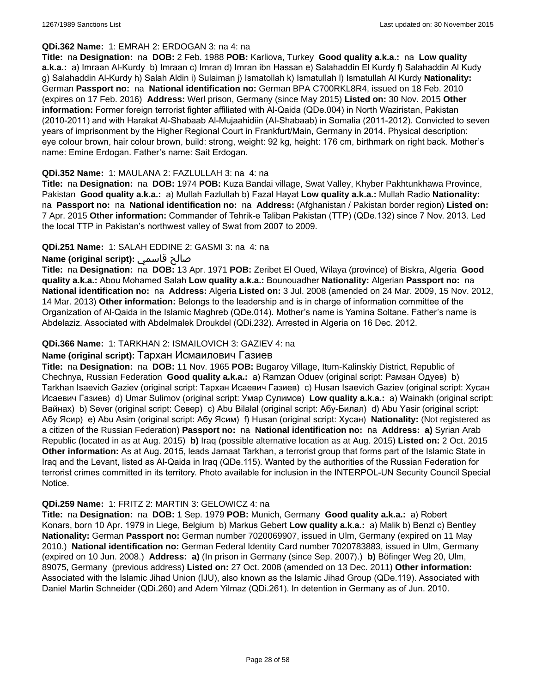### **QDi.362 Name:** 1: EMRAH 2: ERDOGAN 3: na 4: na

**Title:** na **Designation:** na **DOB:** 2 Feb. 1988 **POB:** Karliova, Turkey **Good quality a.k.a.:** na **Low quality a.k.a.:** a) Imraan Al-Kurdy b) Imraan c) Imran d) Imran ibn Hassan e) Salahaddin El Kurdy f) Salahaddin Al Kudy g) Salahaddin Al-Kurdy h) Salah Aldin i) Sulaiman j) Ismatollah k) Ismatullah l) Ismatullah Al Kurdy **Nationality:** German **Passport no:** na **National identification no:** German BPA C700RKL8R4, issued on 18 Feb. 2010 (expires on 17 Feb. 2016) **Address:** Werl prison, Germany (since May 2015) **Listed on:** 30 Nov. 2015 **Other information:** Former foreign terrorist fighter affiliated with Al-Qaida (QDe.004) in North Waziristan, Pakistan (2010-2011) and with Harakat Al-Shabaab Al-Mujaahidiin (Al-Shabaab) in Somalia (2011-2012). Convicted to seven years of imprisonment by the Higher Regional Court in Frankfurt/Main, Germany in 2014. Physical description: eye colour brown, hair colour brown, build: strong, weight: 92 kg, height: 176 cm, birthmark on right back. Mother's name: Emine Erdogan. Father's name: Sait Erdogan.

## **QDi.352 Name:** 1: MAULANA 2: FAZLULLAH 3: na 4: na

**Title:** na **Designation:** na **DOB:** 1974 **POB:** Kuza Bandai village, Swat Valley, Khyber Pakhtunkhawa Province, Pakistan **Good quality a.k.a.:** a) Mullah Fazlullah b) Fazal Hayat **Low quality a.k.a.:** Mullah Radio **Nationality:**  na **Passport no:** na **National identification no:** na **Address:** (Afghanistan / Pakistan border region) **Listed on:** 7 Apr. 2015 **Other information:** Commander of Tehrik-e Taliban Pakistan (TTP) (QDe.132) since 7 Nov. 2013. Led the local TTP in Pakistan's northwest valley of Swat from 2007 to 2009.

## **QDi.251 Name:** 1: SALAH EDDINE 2: GASMI 3: na 4: na

## **Name (original script):** قاسمي صالح

**Title:** na **Designation:** na **DOB:** 13 Apr. 1971 **POB:** Zeribet El Oued, Wilaya (province) of Biskra, Algeria **Good quality a.k.a.:** Abou Mohamed Salah **Low quality a.k.a.:** Bounouadher **Nationality:** Algerian **Passport no:** na **National identification no:** na **Address:** Algeria **Listed on:** 3 Jul. 2008 (amended on 24 Mar. 2009, 15 Nov. 2012, 14 Mar. 2013) **Other information:** Belongs to the leadership and is in charge of information committee of the Organization of Al-Qaida in the Islamic Maghreb (QDe.014). Mother's name is Yamina Soltane. Father's name is Abdelaziz. Associated with Abdelmalek Droukdel (QDi.232). Arrested in Algeria on 16 Dec. 2012.

## **QDi.366 Name:** 1: TARKHAN 2: ISMAILOVICH 3: GAZIEV 4: na

## **Name (original script):** Тархан Исмаилович Газиев

**Title:** na **Designation:** na **DOB:** 11 Nov. 1965 **POB:** Bugaroy Village, Itum-Kalinskiy District, Republic of Chechnya, Russian Federation **Good quality a.k.a.:** a) Ramzan Oduev (original script: Рамзан Одуев) b) Tarkhan Isaevich Gaziev (original script: Тархан Исаевич Газиев) c) Husan Isaevich Gaziev (original script: Хусан Исаевич Газиев) d) Umar Sulimov (original script: Умар Сулимов) **Low quality a.k.a.:** a) Wainakh (original script: Вайнах) b) Sever (original script: Север) c) Abu Bilalal (original script: Абу-Билал) d) Abu Yasir (original script: Абу Ясир) e) Abu Asim (original script: Абу Ясим) f) Husan (original script: Хусан) **Nationality:** (Not registered as a citizen of the Russian Federation) **Passport no:** na **National identification no:** na **Address: a)** Syrian Arab Republic (located in as at Aug. 2015) **b)** Iraq (possible alternative location as at Aug. 2015) **Listed on:** 2 Oct. 2015 **Other information:** As at Aug. 2015, leads Jamaat Tarkhan, a terrorist group that forms part of the Islamic State in Iraq and the Levant, listed as Al-Qaida in Iraq (QDe.115). Wanted by the authorities of the Russian Federation for terrorist crimes committed in its territory. Photo available for inclusion in the INTERPOL-UN Security Council Special Notice.

## **QDi.259 Name:** 1: FRITZ 2: MARTIN 3: GELOWICZ 4: na

**Title:** na **Designation:** na **DOB:** 1 Sep. 1979 **POB:** Munich, Germany **Good quality a.k.a.:** a) Robert Konars, born 10 Apr. 1979 in Liege, Belgium b) Markus Gebert **Low quality a.k.a.:** a) Malik b) Benzl c) Bentley **Nationality:** German **Passport no:** German number 7020069907, issued in Ulm, Germany (expired on 11 May 2010.) **National identification no:** German Federal Identity Card number 7020783883, issued in Ulm, Germany (expired on 10 Jun. 2008.) **Address: a)** (In prison in Germany (since Sep. 2007).) **b)** Böfinger Weg 20, Ulm, 89075, Germany (previous address) **Listed on:** 27 Oct. 2008 (amended on 13 Dec. 2011) **Other information:** Associated with the Islamic Jihad Union (IJU), also known as the Islamic Jihad Group (QDe.119). Associated with Daniel Martin Schneider (QDi.260) and Adem Yilmaz (QDi.261). In detention in Germany as of Jun. 2010.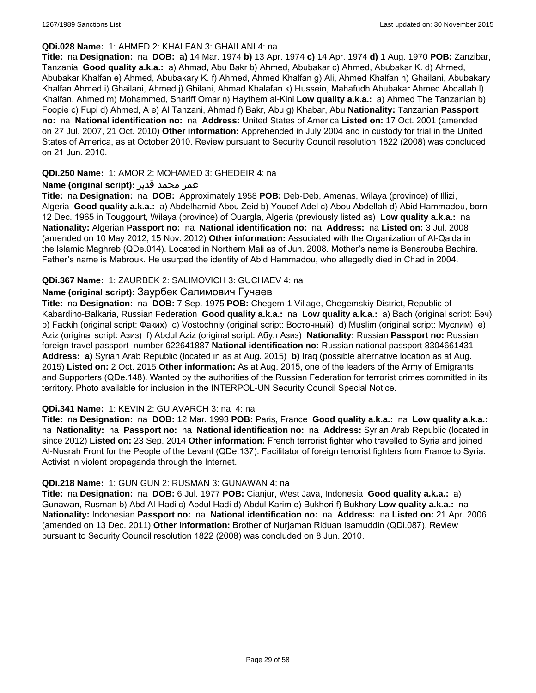### **QDi.028 Name:** 1: AHMED 2: KHALFAN 3: GHAILANI 4: na

**Title:** na **Designation:** na **DOB: a)** 14 Mar. 1974 **b)** 13 Apr. 1974 **c)** 14 Apr. 1974 **d)** 1 Aug. 1970 **POB:** Zanzibar, Tanzania **Good quality a.k.a.:** a) Ahmad, Abu Bakr b) Ahmed, Abubakar c) Ahmed, Abubakar K. d) Ahmed, Abubakar Khalfan e) Ahmed, Abubakary K. f) Ahmed, Ahmed Khalfan g) Ali, Ahmed Khalfan h) Ghailani, Abubakary Khalfan Ahmed i) Ghailani, Ahmed j) Ghilani, Ahmad Khalafan k) Hussein, Mahafudh Abubakar Ahmed Abdallah l) Khalfan, Ahmed m) Mohammed, Shariff Omar n) Haythem al-Kini **Low quality a.k.a.:** a) Ahmed The Tanzanian b) Foopie c) Fupi d) Ahmed, A e) Al Tanzani, Ahmad f) Bakr, Abu g) Khabar, Abu **Nationality:** Tanzanian **Passport no:** na **National identification no:** na **Address:** United States of America **Listed on:** 17 Oct. 2001 (amended on 27 Jul. 2007, 21 Oct. 2010) **Other information:** Apprehended in July 2004 and in custody for trial in the United States of America, as at October 2010. Review pursuant to Security Council resolution 1822 (2008) was concluded on 21 Jun. 2010.

## **QDi.250 Name:** 1: AMOR 2: MOHAMED 3: GHEDEIR 4: na

## عمر محمد قدير **:(script original (Name**

**Title:** na **Designation:** na **DOB:** Approximately 1958 **POB:** Deb-Deb, Amenas, Wilaya (province) of Illizi, Algeria **Good quality a.k.a.:** a) Abdelhamid Abou Zeid b) Youcef Adel c) Abou Abdellah d) Abid Hammadou, born 12 Dec. 1965 in Touggourt, Wilaya (province) of Ouargla, Algeria (previously listed as) **Low quality a.k.a.:** na **Nationality:** Algerian **Passport no:** na **National identification no:** na **Address:** na **Listed on:** 3 Jul. 2008 (amended on 10 May 2012, 15 Nov. 2012) **Other information:** Associated with the Organization of Al-Qaida in the Islamic Maghreb (QDe.014). Located in Northern Mali as of Jun. 2008. Mother's name is Benarouba Bachira. Father's name is Mabrouk. He usurped the identity of Abid Hammadou, who allegedly died in Chad in 2004.

## **QDi.367 Name:** 1: ZAURBEK 2: SALIMOVICH 3: GUCHAEV 4: na

## **Name (original script):** Заурбек Салимович Гучаев

**Title:** na **Designation:** na **DOB:** 7 Sep. 1975 **POB:** Chegem-1 Village, Chegemskiy District, Republic of Kabardino-Balkaria, Russian Federation **Good quality a.k.a.:** na **Low quality a.k.a.:** a) Bach (original script: Бэч) b) Fackih (original script: Факих) c) Vostochniy (original script: Восточный) d) Muslim (original script: Муслим) e) Aziz (original script: Азиз) f) Abdul Aziz (original script: Абул Азиз) **Nationality:** Russian **Passport no:** Russian foreign travel passport number 622641887 **National identification no:** Russian national passport 8304661431 **Address: a)** Syrian Arab Republic (located in as at Aug. 2015) **b)** Iraq (possible alternative location as at Aug. 2015) **Listed on:** 2 Oct. 2015 **Other information:** As at Aug. 2015, one of the leaders of the Army of Emigrants and Supporters (QDe.148). Wanted by the authorities of the Russian Federation for terrorist crimes committed in its territory. Photo available for inclusion in the INTERPOL-UN Security Council Special Notice.

## **QDi.341 Name:** 1: KEVIN 2: GUIAVARCH 3: na 4: na

**Title:** na **Designation:** na **DOB:** 12 Mar. 1993 **POB:** Paris, France **Good quality a.k.a.:** na **Low quality a.k.a.:**  na **Nationality:** na **Passport no:** na **National identification no:** na **Address:** Syrian Arab Republic (located in since 2012) **Listed on:** 23 Sep. 2014 **Other information:** French terrorist fighter who travelled to Syria and joined Al-Nusrah Front for the People of the Levant (QDe.137). Facilitator of foreign terrorist fighters from France to Syria. Activist in violent propaganda through the Internet.

## **QDi.218 Name:** 1: GUN GUN 2: RUSMAN 3: GUNAWAN 4: na

**Title:** na **Designation:** na **DOB:** 6 Jul. 1977 **POB:** Cianjur, West Java, Indonesia **Good quality a.k.a.:** a) Gunawan, Rusman b) Abd Al-Hadi c) Abdul Hadi d) Abdul Karim e) Bukhori f) Bukhory **Low quality a.k.a.:** na **Nationality:** Indonesian **Passport no:** na **National identification no:** na **Address:** na **Listed on:** 21 Apr. 2006 (amended on 13 Dec. 2011) **Other information:** Brother of Nurjaman Riduan Isamuddin (QDi.087). Review pursuant to Security Council resolution 1822 (2008) was concluded on 8 Jun. 2010.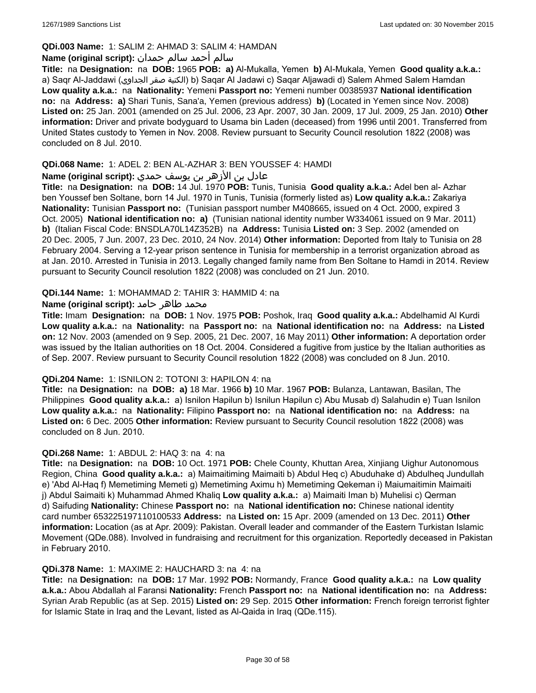## **QDi.003 Name:** 1: SALIM 2: AHMAD 3: SALIM 4: HAMDAN

## سالم أحمد سالم حمدان **:(script original (Name**

**Title:** na **Designation:** na **DOB:** 1965 **POB: a)** Al-Mukalla, Yemen **b)** AI-Mukala, Yemen **Good quality a.k.a.:**  a) Saqr Al-Jaddawi (الجداوي صقر الكنية (b) Saqar Al Jadawi c) Saqar Aljawadi d) Salem Ahmed Salem Hamdan **Low quality a.k.a.:** na **Nationality:** Yemeni **Passport no:** Yemeni number 00385937 **National identification no:** na **Address: a)** Shari Tunis, Sana'a, Yemen (previous address) **b)** (Located in Yemen since Nov. 2008) **Listed on:** 25 Jan. 2001 (amended on 25 Jul. 2006, 23 Apr. 2007, 30 Jan. 2009, 17 Jul. 2009, 25 Jan. 2010) **Other information:** Driver and private bodyguard to Usama bin Laden (deceased) from 1996 until 2001. Transferred from United States custody to Yemen in Nov. 2008. Review pursuant to Security Council resolution 1822 (2008) was concluded on 8 Jul. 2010.

## **QDi.068 Name:** 1: ADEL 2: BEN AL-AZHAR 3: BEN YOUSSEF 4: HAMDI

## عادل بن الأزهر بن يوسف حمدي **:(script original (Name**

**Title:** na **Designation:** na **DOB:** 14 Jul. 1970 **POB:** Tunis, Tunisia **Good quality a.k.a.:** Adel ben al- Azhar ben Youssef ben Soltane, born 14 Jul. 1970 in Tunis, Tunisia (formerly listed as) **Low quality a.k.a.:** Zakariya **Nationality:** Tunisian **Passport no:** (Tunisian passport number M408665, issued on 4 Oct. 2000, expired 3 Oct. 2005) **National identification no: a)** (Tunisian national identity number W334061 issued on 9 Mar. 2011) **b)** (Italian Fiscal Code: BNSDLA70L14Z352B) na **Address:** Tunisia **Listed on:** 3 Sep. 2002 (amended on 20 Dec. 2005, 7 Jun. 2007, 23 Dec. 2010, 24 Nov. 2014) **Other information:** Deported from Italy to Tunisia on 28 February 2004. Serving a 12-year prison sentence in Tunisia for membership in a terrorist organization abroad as at Jan. 2010. Arrested in Tunisia in 2013. Legally changed family name from Ben Soltane to Hamdi in 2014. Review pursuant to Security Council resolution 1822 (2008) was concluded on 21 Jun. 2010.

## **QDi.144 Name:** 1: MOHAMMAD 2: TAHIR 3: HAMMID 4: na

## محمد طاهر حامد **:**(Name (original script

**Title:** Imam **Designation:** na **DOB:** 1 Nov. 1975 **POB:** Poshok, Iraq **Good quality a.k.a.:** Abdelhamid Al Kurdi **Low quality a.k.a.:** na **Nationality:** na **Passport no:** na **National identification no:** na **Address:** na **Listed on:** 12 Nov. 2003 (amended on 9 Sep. 2005, 21 Dec. 2007, 16 May 2011) **Other information:** A deportation order was issued by the Italian authorities on 18 Oct. 2004. Considered a fugitive from justice by the Italian authorities as of Sep. 2007. Review pursuant to Security Council resolution 1822 (2008) was concluded on 8 Jun. 2010.

## **QDi.204 Name:** 1: ISNILON 2: TOTONI 3: HAPILON 4: na

**Title:** na **Designation:** na **DOB: a)** 18 Mar. 1966 **b)** 10 Mar. 1967 **POB:** Bulanza, Lantawan, Basilan, The Philippines **Good quality a.k.a.:** a) Isnilon Hapilun b) Isnilun Hapilun c) Abu Musab d) Salahudin e) Tuan Isnilon **Low quality a.k.a.:** na **Nationality:** Filipino **Passport no:** na **National identification no:** na **Address:** na **Listed on:** 6 Dec. 2005 **Other information:** Review pursuant to Security Council resolution 1822 (2008) was concluded on 8 Jun. 2010.

## **QDi.268 Name:** 1: ABDUL 2: HAQ 3: na 4: na

**Title:** na **Designation:** na **DOB:** 10 Oct. 1971 **POB:** Chele County, Khuttan Area, Xinjiang Uighur Autonomous Region, China **Good quality a.k.a.:** a) Maimaitiming Maimaiti b) Abdul Heq c) Abuduhake d) Abdulheq Jundullah e) 'Abd Al-Haq f) Memetiming Memeti g) Memetiming Aximu h) Memetiming Qekeman i) Maiumaitimin Maimaiti j) Abdul Saimaiti k) Muhammad Ahmed Khaliq **Low quality a.k.a.:** a) Maimaiti Iman b) Muhelisi c) Qerman d) Saifuding **Nationality:** Chinese **Passport no:** na **National identification no:** Chinese national identity card number 653225197110100533 **Address:** na **Listed on:** 15 Apr. 2009 (amended on 13 Dec. 2011) **Other information:** Location (as at Apr. 2009): Pakistan. Overall leader and commander of the Eastern Turkistan Islamic Movement (QDe.088). Involved in fundraising and recruitment for this organization. Reportedly deceased in Pakistan in February 2010.

### **QDi.378 Name:** 1: MAXIME 2: HAUCHARD 3: na 4: na

**Title:** na **Designation:** na **DOB:** 17 Mar. 1992 **POB:** Normandy, France **Good quality a.k.a.:** na **Low quality a.k.a.:** Abou Abdallah al Faransi **Nationality:** French **Passport no:** na **National identification no:** na **Address:** Syrian Arab Republic (as at Sep. 2015) **Listed on:** 29 Sep. 2015 **Other information:** French foreign terrorist fighter for Islamic State in Iraq and the Levant, listed as Al-Qaida in Iraq (QDe.115).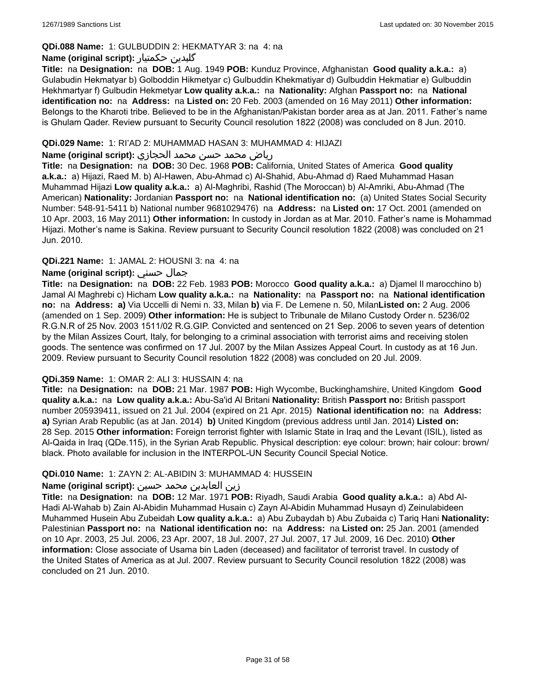## **QDi.088 Name:** 1: GULBUDDIN 2: HEKMATYAR 3: na 4: na

## **Name (original script):** حکمتیار گلبدین

**Title:** na **Designation:** na **DOB:** 1 Aug. 1949 **POB:** Kunduz Province, Afghanistan **Good quality a.k.a.:** a) Gulabudin Hekmatyar b) Golboddin Hikmetyar c) Gulbuddin Khekmatiyar d) Gulbuddin Hekmatiar e) Gulbuddin Hekhmartyar f) Gulbudin Hekmetyar **Low quality a.k.a.:** na **Nationality:** Afghan **Passport no:** na **National identification no:** na **Address:** na **Listed on:** 20 Feb. 2003 (amended on 16 May 2011) **Other information:** Belongs to the Kharoti tribe. Believed to be in the Afghanistan/Pakistan border area as at Jan. 2011. Father's name is Ghulam Qader. Review pursuant to Security Council resolution 1822 (2008) was concluded on 8 Jun. 2010.

### **QDi.029 Name:** 1: RI'AD 2: MUHAMMAD HASAN 3: MUHAMMAD 4: HIJAZI

### رياض محمد حسن محمد الحجازي **:(script original (Name**

**Title:** na **Designation:** na **DOB:** 30 Dec. 1968 **POB:** California, United States of America **Good quality a.k.a.:** a) Hijazi, Raed M. b) Al-Hawen, Abu-Ahmad c) Al-Shahid, Abu-Ahmad d) Raed Muhammad Hasan Muhammad Hijazi **Low quality a.k.a.:** a) Al-Maghribi, Rashid (The Moroccan) b) Al-Amriki, Abu-Ahmad (The American) **Nationality:** Jordanian **Passport no:** na **National identification no:** (a) United States Social Security Number: 548-91-5411 b) National number 9681029476) na **Address:** na **Listed on:** 17 Oct. 2001 (amended on 10 Apr. 2003, 16 May 2011) **Other information:** In custody in Jordan as at Mar. 2010. Father's name is Mohammad Hijazi. Mother's name is Sakina. Review pursuant to Security Council resolution 1822 (2008) was concluded on 21 Jun. 2010.

### **QDi.221 Name:** 1: JAMAL 2: HOUSNI 3: na 4: na

## **Name (original script):** حسني جمال

**Title:** na **Designation:** na **DOB:** 22 Feb. 1983 **POB:** Morocco **Good quality a.k.a.:** a) Djamel Il marocchino b) Jamal Al Maghrebi c) Hicham **Low quality a.k.a.:** na **Nationality:** na **Passport no:** na **National identification no:** na **Address: a)** Via Uccelli di Nemi n. 33, Milan **b)** via F. De Lemene n. 50, Milan**Listed on:** 2 Aug. 2006 (amended on 1 Sep. 2009) **Other information:** He is subject to Tribunale de Milano Custody Order n. 5236/02 R.G.N.R of 25 Nov. 2003 1511/02 R.G.GIP. Convicted and sentenced on 21 Sep. 2006 to seven years of detention by the Milan Assizes Court, Italy, for belonging to a criminal association with terrorist aims and receiving stolen goods. The sentence was confirmed on 17 Jul. 2007 by the Milan Assizes Appeal Court. In custody as at 16 Jun. 2009. Review pursuant to Security Council resolution 1822 (2008) was concluded on 20 Jul. 2009.

## **QDi.359 Name:** 1: OMAR 2: ALI 3: HUSSAIN 4: na

**Title:** na **Designation:** na **DOB:** 21 Mar. 1987 **POB:** High Wycombe, Buckinghamshire, United Kingdom **Good quality a.k.a.:** na **Low quality a.k.a.:** Abu-Sa'id Al Britani **Nationality:** British **Passport no:** British passport number 205939411, issued on 21 Jul. 2004 (expired on 21 Apr. 2015) **National identification no:** na **Address: a)** Syrian Arab Republic (as at Jan. 2014) **b)** United Kingdom (previous address until Jan. 2014) **Listed on:** 28 Sep. 2015 **Other information:** Foreign terrorist fighter with Islamic State in Iraq and the Levant (ISIL), listed as Al-Qaida in Iraq (QDe.115), in the Syrian Arab Republic. Physical description: eye colour: brown; hair colour: brown/ black. Photo available for inclusion in the INTERPOL-UN Security Council Special Notice.

### **QDi.010 Name:** 1: ZAYN 2: AL-ABIDIN 3: MUHAMMAD 4: HUSSEIN

## زين العابدين محمد حسين **:(script original (Name**

**Title:** na **Designation:** na **DOB:** 12 Mar. 1971 **POB:** Riyadh, Saudi Arabia **Good quality a.k.a.:** a) Abd Al-Hadi Al-Wahab b) Zain Al-Abidin Muhammad Husain c) Zayn Al-Abidin Muhammad Husayn d) Zeinulabideen Muhammed Husein Abu Zubeidah **Low quality a.k.a.:** a) Abu Zubaydah b) Abu Zubaida c) Tariq Hani **Nationality:** Palestinian **Passport no:** na **National identification no:** na **Address:** na **Listed on:** 25 Jan. 2001 (amended on 10 Apr. 2003, 25 Jul. 2006, 23 Apr. 2007, 18 Jul. 2007, 27 Jul. 2007, 17 Jul. 2009, 16 Dec. 2010) **Other information:** Close associate of Usama bin Laden (deceased) and facilitator of terrorist travel. In custody of the United States of America as at Jul. 2007. Review pursuant to Security Council resolution 1822 (2008) was concluded on 21 Jun. 2010.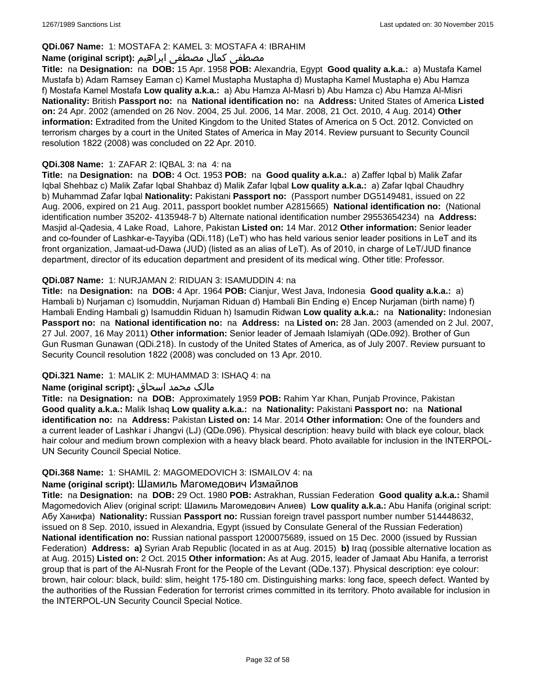## **QDi.067 Name:** 1: MOSTAFA 2: KAMEL 3: MOSTAFA 4: IBRAHIM

## مصطفى كمال مصطفى ابراهيم **:Name (original script**)

**Title:** na **Designation:** na **DOB:** 15 Apr. 1958 **POB:** Alexandria, Egypt **Good quality a.k.a.:** a) Mustafa Kamel Mustafa b) Adam Ramsey Eaman c) Kamel Mustapha Mustapha d) Mustapha Kamel Mustapha e) Abu Hamza f) Mostafa Kamel Mostafa **Low quality a.k.a.:** a) Abu Hamza Al-Masri b) Abu Hamza c) Abu Hamza Al-Misri **Nationality:** British **Passport no:** na **National identification no:** na **Address:** United States of America **Listed on:** 24 Apr. 2002 (amended on 26 Nov. 2004, 25 Jul. 2006, 14 Mar. 2008, 21 Oct. 2010, 4 Aug. 2014) **Other information:** Extradited from the United Kingdom to the United States of America on 5 Oct. 2012. Convicted on terrorism charges by a court in the United States of America in May 2014. Review pursuant to Security Council resolution 1822 (2008) was concluded on 22 Apr. 2010.

### **QDi.308 Name:** 1: ZAFAR 2: IQBAL 3: na 4: na

**Title:** na **Designation:** na **DOB:** 4 Oct. 1953 **POB:** na **Good quality a.k.a.:** a) Zaffer Iqbal b) Malik Zafar Iqbal Shehbaz c) Malik Zafar Iqbal Shahbaz d) Malik Zafar Iqbal **Low quality a.k.a.:** a) Zafar Iqbal Chaudhry b) Muhammad Zafar Iqbal **Nationality:** Pakistani **Passport no:** (Passport number DG5149481, issued on 22 Aug. 2006, expired on 21 Aug. 2011, passport booklet number A2815665) **National identification no:** (National identification number 35202- 4135948-7 b) Alternate national identification number 29553654234) na **Address:** Masjid al-Qadesia, 4 Lake Road, Lahore, Pakistan **Listed on:** 14 Mar. 2012 **Other information:** Senior leader and co-founder of Lashkar-e-Tayyiba (QDi.118) (LeT) who has held various senior leader positions in LeT and its front organization, Jamaat-ud-Dawa (JUD) (listed as an alias of LeT). As of 2010, in charge of LeT/JUD finance department, director of its education department and president of its medical wing. Other title: Professor.

### **QDi.087 Name:** 1: NURJAMAN 2: RIDUAN 3: ISAMUDDIN 4: na

**Title:** na **Designation:** na **DOB:** 4 Apr. 1964 **POB:** Cianjur, West Java, Indonesia **Good quality a.k.a.:** a) Hambali b) Nurjaman c) Isomuddin, Nurjaman Riduan d) Hambali Bin Ending e) Encep Nurjaman (birth name) f) Hambali Ending Hambali g) Isamuddin Riduan h) Isamudin Ridwan **Low quality a.k.a.:** na **Nationality:** Indonesian **Passport no:** na **National identification no:** na **Address:** na **Listed on:** 28 Jan. 2003 (amended on 2 Jul. 2007, 27 Jul. 2007, 16 May 2011) **Other information:** Senior leader of Jemaah Islamiyah (QDe.092). Brother of Gun Gun Rusman Gunawan (QDi.218). In custody of the United States of America, as of July 2007. Review pursuant to Security Council resolution 1822 (2008) was concluded on 13 Apr. 2010.

## **QDi.321 Name:** 1: MALIK 2: MUHAMMAD 3: ISHAQ 4: na

### مالک محمد اسحاق : Name (original script)

**Title:** na **Designation:** na **DOB:** Approximately 1959 **POB:** Rahim Yar Khan, Punjab Province, Pakistan **Good quality a.k.a.:** Malik Ishaq **Low quality a.k.a.:** na **Nationality:** Pakistani **Passport no:** na **National identification no:** na **Address:** Pakistan **Listed on:** 14 Mar. 2014 **Other information:** One of the founders and a current leader of Lashkar i Jhangvi (LJ) (QDe.096). Physical description: heavy build with black eye colour, black hair colour and medium brown complexion with a heavy black beard. Photo available for inclusion in the INTERPOL-UN Security Council Special Notice.

### **QDi.368 Name:** 1: SHAMIL 2: MAGOMEDOVICH 3: ISMAILOV 4: na

## **Name (original script):** Шамиль Магомедович Измайлов

**Title:** na **Designation:** na **DOB:** 29 Oct. 1980 **POB:** Astrakhan, Russian Federation **Good quality a.k.a.:** Shamil Magomedovich Aliev (original script: Шамиль Магомедович Алиев) **Low quality a.k.a.:** Abu Hanifa (original script: Абу Ханифа) **Nationality:** Russian **Passport no:** Russian foreign travel passport number number 514448632, issued on 8 Sep. 2010, issued in Alexandria, Egypt (issued by Consulate General of the Russian Federation) **National identification no:** Russian national passport 1200075689, issued on 15 Dec. 2000 (issued by Russian Federation) **Address: a)** Syrian Arab Republic (located in as at Aug. 2015) **b)** Iraq (possible alternative location as at Aug. 2015) **Listed on:** 2 Oct. 2015 **Other information:** As at Aug. 2015, leader of Jamaat Abu Hanifa, a terrorist group that is part of the Al-Nusrah Front for the People of the Levant (QDe.137). Physical description: eye colour: brown, hair colour: black, build: slim, height 175-180 cm. Distinguishing marks: long face, speech defect. Wanted by the authorities of the Russian Federation for terrorist crimes committed in its territory. Photo available for inclusion in the INTERPOL-UN Security Council Special Notice.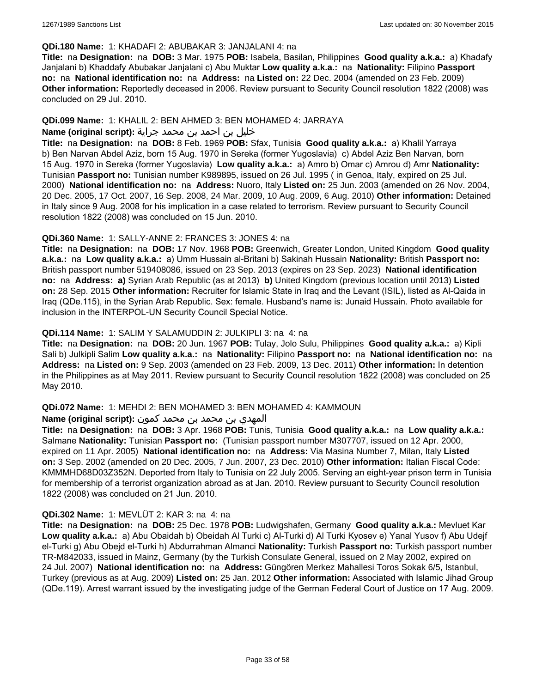### **QDi.180 Name:** 1: KHADAFI 2: ABUBAKAR 3: JANJALANI 4: na

**Title:** na **Designation:** na **DOB:** 3 Mar. 1975 **POB:** Isabela, Basilan, Philippines **Good quality a.k.a.:** a) Khadafy Janjalani b) Khaddafy Abubakar Janjalani c) Abu Muktar **Low quality a.k.a.:** na **Nationality:** Filipino **Passport no:** na **National identification no:** na **Address:** na **Listed on:** 22 Dec. 2004 (amended on 23 Feb. 2009) **Other information:** Reportedly deceased in 2006. Review pursuant to Security Council resolution 1822 (2008) was concluded on 29 Jul. 2010.

## **QDi.099 Name:** 1: KHALIL 2: BEN AHMED 3: BEN MOHAMED 4: JARRAYA

## خليل بن احمد بن محمد جراية **:(script original (Name**

**Title:** na **Designation:** na **DOB:** 8 Feb. 1969 **POB:** Sfax, Tunisia **Good quality a.k.a.:** a) Khalil Yarraya b) Ben Narvan Abdel Aziz, born 15 Aug. 1970 in Sereka (former Yugoslavia) c) Abdel Aziz Ben Narvan, born 15 Aug. 1970 in Sereka (former Yugoslavia) **Low quality a.k.a.:** a) Amro b) Omar c) Amrou d) Amr **Nationality:** Tunisian **Passport no:** Tunisian number K989895, issued on 26 Jul. 1995 ( in Genoa, Italy, expired on 25 Jul. 2000) **National identification no:** na **Address:** Nuoro, Italy **Listed on:** 25 Jun. 2003 (amended on 26 Nov. 2004, 20 Dec. 2005, 17 Oct. 2007, 16 Sep. 2008, 24 Mar. 2009, 10 Aug. 2009, 6 Aug. 2010) **Other information:** Detained in Italy since 9 Aug. 2008 for his implication in a case related to terrorism. Review pursuant to Security Council resolution 1822 (2008) was concluded on 15 Jun. 2010.

### **QDi.360 Name:** 1: SALLY-ANNE 2: FRANCES 3: JONES 4: na

**Title:** na **Designation:** na **DOB:** 17 Nov. 1968 **POB:** Greenwich, Greater London, United Kingdom **Good quality a.k.a.:** na **Low quality a.k.a.:** a) Umm Hussain al-Britani b) Sakinah Hussain **Nationality:** British **Passport no:** British passport number 519408086, issued on 23 Sep. 2013 (expires on 23 Sep. 2023) **National identification no:** na **Address: a)** Syrian Arab Republic (as at 2013) **b)** United Kingdom (previous location until 2013) **Listed on:** 28 Sep. 2015 **Other information:** Recruiter for Islamic State in Iraq and the Levant (ISIL), listed as Al-Qaida in Iraq (QDe.115), in the Syrian Arab Republic. Sex: female. Husband's name is: Junaid Hussain. Photo available for inclusion in the INTERPOL-UN Security Council Special Notice.

### **QDi.114 Name:** 1: SALIM Y SALAMUDDIN 2: JULKIPLI 3: na 4: na

**Title:** na **Designation:** na **DOB:** 20 Jun. 1967 **POB:** Tulay, Jolo Sulu, Philippines **Good quality a.k.a.:** a) Kipli Sali b) Julkipli Salim **Low quality a.k.a.:** na **Nationality:** Filipino **Passport no:** na **National identification no:** na **Address:** na **Listed on:** 9 Sep. 2003 (amended on 23 Feb. 2009, 13 Dec. 2011) **Other information:** In detention in the Philippines as at May 2011. Review pursuant to Security Council resolution 1822 (2008) was concluded on 25 May 2010.

## **QDi.072 Name:** 1: MEHDI 2: BEN MOHAMED 3: BEN MOHAMED 4: KAMMOUN

### المهدي بن محمد بن محمد كمون **:(script original (Name**

**Title:** na **Designation:** na **DOB:** 3 Apr. 1968 **POB:** Tunis, Tunisia **Good quality a.k.a.:** na **Low quality a.k.a.:** Salmane **Nationality:** Tunisian **Passport no:** (Tunisian passport number M307707, issued on 12 Apr. 2000, expired on 11 Apr. 2005) **National identification no:** na **Address:** Via Masina Number 7, Milan, Italy **Listed on:** 3 Sep. 2002 (amended on 20 Dec. 2005, 7 Jun. 2007, 23 Dec. 2010) **Other information:** Italian Fiscal Code: KMMMHD68D03Z352N. Deported from Italy to Tunisia on 22 July 2005. Serving an eight-year prison term in Tunisia for membership of a terrorist organization abroad as at Jan. 2010. Review pursuant to Security Council resolution 1822 (2008) was concluded on 21 Jun. 2010.

## **QDi.302 Name:** 1: MEVLÜT 2: KAR 3: na 4: na

**Title:** na **Designation:** na **DOB:** 25 Dec. 1978 **POB:** Ludwigshafen, Germany **Good quality a.k.a.:** Mevluet Kar **Low quality a.k.a.:** a) Abu Obaidah b) Obeidah Al Turki c) Al-Turki d) Al Turki Kyosev e) Yanal Yusov f) Abu Udejf el-Turki g) Abu Obejd el-Turki h) Abdurrahman Almanci **Nationality:** Turkish **Passport no:** Turkish passport number TR-M842033, issued in Mainz, Germany (by the Turkish Consulate General, issued on 2 May 2002, expired on 24 Jul. 2007) **National identification no:** na **Address:** Güngören Merkez Mahallesi Toros Sokak 6/5, Istanbul, Turkey (previous as at Aug. 2009) **Listed on:** 25 Jan. 2012 **Other information:** Associated with Islamic Jihad Group (QDe.119). Arrest warrant issued by the investigating judge of the German Federal Court of Justice on 17 Aug. 2009.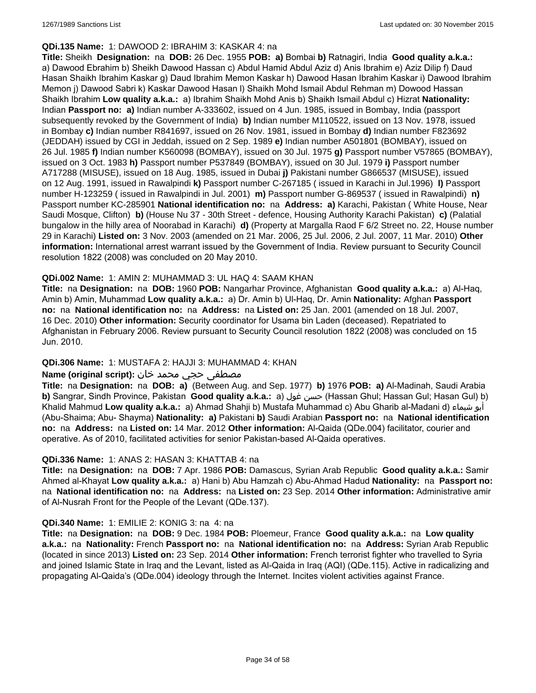### **QDi.135 Name:** 1: DAWOOD 2: IBRAHIM 3: KASKAR 4: na

**Title:** Sheikh **Designation:** na **DOB:** 26 Dec. 1955 **POB: a)** Bombai **b)** Ratnagiri, India **Good quality a.k.a.:**  a) Dawood Ebrahim b) Sheikh Dawood Hassan c) Abdul Hamid Abdul Aziz d) Anis Ibrahim e) Aziz Dilip f) Daud Hasan Shaikh Ibrahim Kaskar g) Daud Ibrahim Memon Kaskar h) Dawood Hasan Ibrahim Kaskar i) Dawood Ibrahim Memon j) Dawood Sabri k) Kaskar Dawood Hasan l) Shaikh Mohd Ismail Abdul Rehman m) Dowood Hassan Shaikh Ibrahim **Low quality a.k.a.:** a) Ibrahim Shaikh Mohd Anis b) Shaikh Ismail Abdul c) Hizrat **Nationality:** Indian **Passport no: a)** Indian number A-333602, issued on 4 Jun. 1985, issued in Bombay, India (passport subsequently revoked by the Government of India) **b)** Indian number M110522, issued on 13 Nov. 1978, issued in Bombay **c)** Indian number R841697, issued on 26 Nov. 1981, issued in Bombay **d)** Indian number F823692 (JEDDAH) issued by CGI in Jeddah, issued on 2 Sep. 1989 **e)** Indian number A501801 (BOMBAY), issued on 26 Jul. 1985 **f)** Indian number K560098 (BOMBAY), issued on 30 Jul. 1975 **g)** Passport number V57865 (BOMBAY), issued on 3 Oct. 1983 **h)** Passport number P537849 (BOMBAY), issued on 30 Jul. 1979 **i)** Passport number A717288 (MISUSE), issued on 18 Aug. 1985, issued in Dubai **j)** Pakistani number G866537 (MISUSE), issued on 12 Aug. 1991, issued in Rawalpindi **k)** Passport number C-267185 ( issued in Karachi in Jul.1996) **l)** Passport number H-123259 ( issued in Rawalpindi in Jul. 2001) **m)** Passport number G-869537 ( issued in Rawalpindi) **n)** Passport number KC-285901 **National identification no:** na **Address: a)** Karachi, Pakistan ( White House, Near Saudi Mosque, Clifton) **b)** (House Nu 37 - 30th Street - defence, Housing Authority Karachi Pakistan) **c)** (Palatial bungalow in the hilly area of Noorabad in Karachi) **d)** (Property at Margalla Raod F 6/2 Street no. 22, House number 29 in Karachi) **Listed on:** 3 Nov. 2003 (amended on 21 Mar. 2006, 25 Jul. 2006, 2 Jul. 2007, 11 Mar. 2010) **Other information:** International arrest warrant issued by the Government of India. Review pursuant to Security Council resolution 1822 (2008) was concluded on 20 May 2010.

### **QDi.002 Name:** 1: AMIN 2: MUHAMMAD 3: UL HAQ 4: SAAM KHAN

**Title:** na **Designation:** na **DOB:** 1960 **POB:** Nangarhar Province, Afghanistan **Good quality a.k.a.:** a) Al-Haq, Amin b) Amin, Muhammad **Low quality a.k.a.:** a) Dr. Amin b) Ul-Haq, Dr. Amin **Nationality:** Afghan **Passport no:** na **National identification no:** na **Address:** na **Listed on:** 25 Jan. 2001 (amended on 18 Jul. 2007, 16 Dec. 2010) **Other information:** Security coordinator for Usama bin Laden (deceased). Repatriated to Afghanistan in February 2006. Review pursuant to Security Council resolution 1822 (2008) was concluded on 15 Jun. 2010.

## **QDi.306 Name:** 1: MUSTAFA 2: HAJJI 3: MUHAMMAD 4: KHAN

### مصطفى حجي محمد خان **:**Name (original script)

**Title:** na **Designation:** na **DOB: a)** (Between Aug. and Sep. 1977) **b)** 1976 **POB: a)** Al-Madinah, Saudi Arabia **b)** Sangrar, Sindh Province, Pakistan Good quality a.k.a.: a) حسن غول (Hassan Ghul; Hassan Gul; Hasan Gul) b) Khalid Mahmud **Low quality a.k.a.:** a) Ahmad Shahji b) Mustafa Muhammad c) Abu Gharib al-Madani d) شيماء أبو (Abu-Shaima; Abu- Shayma) **Nationality: a)** Pakistani **b)** Saudi Arabian **Passport no:** na **National identification no:** na **Address:** na **Listed on:** 14 Mar. 2012 **Other information:** Al-Qaida (QDe.004) facilitator, courier and operative. As of 2010, facilitated activities for senior Pakistan-based Al-Qaida operatives.

### **QDi.336 Name:** 1: ANAS 2: HASAN 3: KHATTAB 4: na

**Title:** na **Designation:** na **DOB:** 7 Apr. 1986 **POB:** Damascus, Syrian Arab Republic **Good quality a.k.a.:** Samir Ahmed al-Khayat **Low quality a.k.a.:** a) Hani b) Abu Hamzah c) Abu-Ahmad Hadud **Nationality:** na **Passport no:** na **National identification no:** na **Address:** na **Listed on:** 23 Sep. 2014 **Other information:** Administrative amir of Al-Nusrah Front for the People of the Levant (QDe.137).

### **QDi.340 Name:** 1: EMILIE 2: KONIG 3: na 4: na

**Title:** na **Designation:** na **DOB:** 9 Dec. 1984 **POB:** Ploemeur, France **Good quality a.k.a.:** na **Low quality a.k.a.:** na **Nationality:** French **Passport no:** na **National identification no:** na **Address:** Syrian Arab Republic (located in since 2013) **Listed on:** 23 Sep. 2014 **Other information:** French terrorist fighter who travelled to Syria and joined Islamic State in Iraq and the Levant, listed as Al-Qaida in Iraq (AQI) (QDe.115). Active in radicalizing and propagating Al-Qaida's (QDe.004) ideology through the Internet. Incites violent activities against France.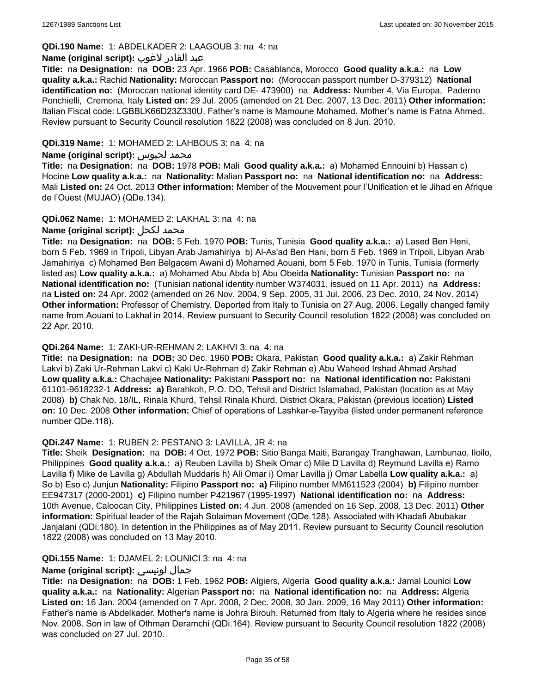## **QDi.190 Name:** 1: ABDELKADER 2: LAAGOUB 3: na 4: na

### عبد القادر لاغوب **:(script original (Name**

**Title:** na **Designation:** na **DOB:** 23 Apr. 1966 **POB:** Casablanca, Morocco **Good quality a.k.a.:** na **Low quality a.k.a.:** Rachid **Nationality:** Moroccan **Passport no:** (Moroccan passport number D-379312) **National identification no:** (Moroccan national identity card DE- 473900) na **Address:** Number 4, Via Europa, Paderno Ponchielli, Cremona, Italy **Listed on:** 29 Jul. 2005 (amended on 21 Dec. 2007, 13 Dec. 2011) **Other information:** Italian Fiscal code: LGBBLK66D23Z330U. Father's name is Mamoune Mohamed. Mother's name is Fatna Ahmed. Review pursuant to Security Council resolution 1822 (2008) was concluded on 8 Jun. 2010.

### **QDi.319 Name:** 1: MOHAMED 2: LAHBOUS 3: na 4: na

### **Name (original script):** لحبوس محمد

**Title:** na **Designation:** na **DOB:** 1978 **POB:** Mali **Good quality a.k.a.:** a) Mohamed Ennouini b) Hassan c) Hocine **Low quality a.k.a.:** na **Nationality:** Malian **Passport no:** na **National identification no:** na **Address:** Mali **Listed on:** 24 Oct. 2013 **Other information:** Member of the Mouvement pour l'Unification et le Jihad en Afrique de l'Ouest (MUJAO) (QDe.134).

### **QDi.062 Name:** 1: MOHAMED 2: LAKHAL 3: na 4: na

## **Name (original script):** لكحل محمد

**Title:** na **Designation:** na **DOB:** 5 Feb. 1970 **POB:** Tunis, Tunisia **Good quality a.k.a.:** a) Lased Ben Heni, born 5 Feb. 1969 in Tripoli, Libyan Arab Jamahiriya b) Al-As'ad Ben Hani, born 5 Feb. 1969 in Tripoli, Libyan Arab Jamahiriya c) Mohamed Ben Belgacem Awani d) Mohamed Aouani, born 5 Feb. 1970 in Tunis, Tunisia (formerly listed as) **Low quality a.k.a.:** a) Mohamed Abu Abda b) Abu Obeida **Nationality:** Tunisian **Passport no:** na **National identification no:** (Tunisian national identity number W374031, issued on 11 Apr. 2011) na **Address:**  na **Listed on:** 24 Apr. 2002 (amended on 26 Nov. 2004, 9 Sep. 2005, 31 Jul. 2006, 23 Dec. 2010, 24 Nov. 2014) **Other information:** Professor of Chemistry. Deported from Italy to Tunisia on 27 Aug. 2006. Legally changed family name from Aouani to Lakhal in 2014. Review pursuant to Security Council resolution 1822 (2008) was concluded on 22 Apr. 2010.

### **QDi.264 Name:** 1: ZAKI-UR-REHMAN 2: LAKHVI 3: na 4: na

**Title:** na **Designation:** na **DOB:** 30 Dec. 1960 **POB:** Okara, Pakistan **Good quality a.k.a.:** a) Zakir Rehman Lakvi b) Zaki Ur-Rehman Lakvi c) Kaki Ur-Rehman d) Zakir Rehman e) Abu Waheed Irshad Ahmad Arshad **Low quality a.k.a.:** Chachajee **Nationality:** Pakistani **Passport no:** na **National identification no:** Pakistani 61101-9618232-1 **Address: a)** Barahkoh, P.O. DO, Tehsil and District Islamabad, Pakistan (location as at May 2008) **b)** Chak No. 18/IL, Rinala Khurd, Tehsil Rinala Khurd, District Okara, Pakistan (previous location) **Listed on:** 10 Dec. 2008 **Other information:** Chief of operations of Lashkar-e-Tayyiba (listed under permanent reference number QDe.118).

### **QDi.247 Name:** 1: RUBEN 2: PESTANO 3: LAVILLA, JR 4: na

**Title:** Sheik **Designation:** na **DOB:** 4 Oct. 1972 **POB:** Sitio Banga Maiti, Barangay Tranghawan, Lambunao, Iloilo, Philippines **Good quality a.k.a.:** a) Reuben Lavilla b) Sheik Omar c) Mile D Lavilla d) Reymund Lavilla e) Ramo Lavilla f) Mike de Lavilla g) Abdullah Muddaris h) Ali Omar i) Omar Lavilla j) Omar Labella **Low quality a.k.a.:** a) So b) Eso c) Junjun **Nationality:** Filipino **Passport no: a)** Filipino number MM611523 (2004) **b)** Filipino number EE947317 (2000-2001) **c)** Filipino number P421967 (1995-1997) **National identification no:** na **Address:** 10th Avenue, Caloocan City, Philippines **Listed on:** 4 Jun. 2008 (amended on 16 Sep. 2008, 13 Dec. 2011) **Other information:** Spiritual leader of the Rajah Solaiman Movement (QDe.128). Associated with Khadafi Abubakar Janjalani (QDi.180). In detention in the Philippines as of May 2011. Review pursuant to Security Council resolution 1822 (2008) was concluded on 13 May 2010.

## **QDi.155 Name:** 1: DJAMEL 2: LOUNICI 3: na 4: na

## **Name (original script):** لونيسي جمال

**Title:** na **Designation:** na **DOB:** 1 Feb. 1962 **POB:** Algiers, Algeria **Good quality a.k.a.:** Jamal Lounici **Low quality a.k.a.:** na **Nationality:** Algerian **Passport no:** na **National identification no:** na **Address:** Algeria **Listed on:** 16 Jan. 2004 (amended on 7 Apr. 2008, 2 Dec. 2008, 30 Jan. 2009, 16 May 2011) **Other information:** Father's name is Abdelkader. Mother's name is Johra Birouh. Returned from Italy to Algeria where he resides since Nov. 2008. Son in law of Othman Deramchi (QDi.164). Review pursuant to Security Council resolution 1822 (2008) was concluded on 27 Jul. 2010.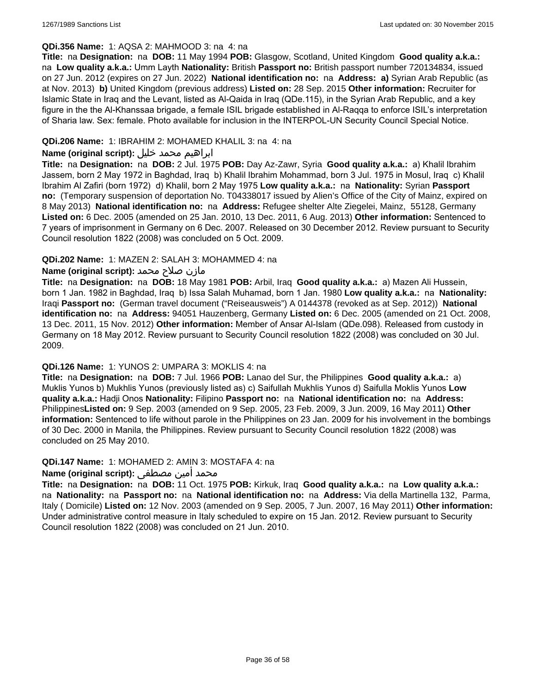### **QDi.356 Name:** 1: AQSA 2: MAHMOOD 3: na 4: na

**Title:** na **Designation:** na **DOB:** 11 May 1994 **POB:** Glasgow, Scotland, United Kingdom **Good quality a.k.a.:**  na **Low quality a.k.a.:** Umm Layth **Nationality:** British **Passport no:** British passport number 720134834, issued on 27 Jun. 2012 (expires on 27 Jun. 2022) **National identification no:** na **Address: a)** Syrian Arab Republic (as at Nov. 2013) **b)** United Kingdom (previous address) **Listed on:** 28 Sep. 2015 **Other information:** Recruiter for Islamic State in Iraq and the Levant, listed as Al-Qaida in Iraq (QDe.115), in the Syrian Arab Republic, and a key figure in the the Al-Khanssaa brigade, a female ISIL brigade established in Al-Raqqa to enforce ISIL's interpretation of Sharia law. Sex: female. Photo available for inclusion in the INTERPOL-UN Security Council Special Notice.

## **QDi.206 Name:** 1: IBRAHIM 2: MOHAMED KHALIL 3: na 4: na

## ابراهيم محمد خليل **:(script original (Name**

**Title:** na **Designation:** na **DOB:** 2 Jul. 1975 **POB:** Day Az-Zawr, Syria **Good quality a.k.a.:** a) Khalil Ibrahim Jassem, born 2 May 1972 in Baghdad, Iraq b) Khalil Ibrahim Mohammad, born 3 Jul. 1975 in Mosul, Iraq c) Khalil Ibrahim Al Zafiri (born 1972) d) Khalil, born 2 May 1975 **Low quality a.k.a.:** na **Nationality:** Syrian **Passport no:** (Temporary suspension of deportation No. T04338017 issued by Alien's Office of the City of Mainz, expired on 8 May 2013) **National identification no:** na **Address:** Refugee shelter Alte Ziegelei, Mainz, 55128, Germany **Listed on:** 6 Dec. 2005 (amended on 25 Jan. 2010, 13 Dec. 2011, 6 Aug. 2013) **Other information:** Sentenced to 7 years of imprisonment in Germany on 6 Dec. 2007. Released on 30 December 2012. Review pursuant to Security Council resolution 1822 (2008) was concluded on 5 Oct. 2009.

### **QDi.202 Name:** 1: MAZEN 2: SALAH 3: MOHAMMED 4: na

### مازن صلاح محمد **:(script original (Name**

**Title:** na **Designation:** na **DOB:** 18 May 1981 **POB:** Arbil, Iraq **Good quality a.k.a.:** a) Mazen Ali Hussein, born 1 Jan. 1982 in Baghdad, Iraq b) Issa Salah Muhamad, born 1 Jan. 1980 **Low quality a.k.a.:** na **Nationality:** Iraqi **Passport no:** (German travel document ("Reiseausweis") A 0144378 (revoked as at Sep. 2012)) **National identification no:** na **Address:** 94051 Hauzenberg, Germany **Listed on:** 6 Dec. 2005 (amended on 21 Oct. 2008, 13 Dec. 2011, 15 Nov. 2012) **Other information:** Member of Ansar Al-Islam (QDe.098). Released from custody in Germany on 18 May 2012. Review pursuant to Security Council resolution 1822 (2008) was concluded on 30 Jul. 2009.

### **QDi.126 Name:** 1: YUNOS 2: UMPARA 3: MOKLIS 4: na

**Title:** na **Designation:** na **DOB:** 7 Jul. 1966 **POB:** Lanao del Sur, the Philippines **Good quality a.k.a.:** a) Muklis Yunos b) Mukhlis Yunos (previously listed as) c) Saifullah Mukhlis Yunos d) Saifulla Moklis Yunos **Low quality a.k.a.:** Hadji Onos **Nationality:** Filipino **Passport no:** na **National identification no:** na **Address:** Philippines**Listed on:** 9 Sep. 2003 (amended on 9 Sep. 2005, 23 Feb. 2009, 3 Jun. 2009, 16 May 2011) **Other information:** Sentenced to life without parole in the Philippines on 23 Jan. 2009 for his involvement in the bombings of 30 Dec. 2000 in Manila, the Philippines. Review pursuant to Security Council resolution 1822 (2008) was concluded on 25 May 2010.

### **QDi.147 Name:** 1: MOHAMED 2: AMIN 3: MOSTAFA 4: na

## محمد أمين مصطفى :**Name (original script)**

**Title:** na **Designation:** na **DOB:** 11 Oct. 1975 **POB:** Kirkuk, Iraq **Good quality a.k.a.:** na **Low quality a.k.a.:**  na **Nationality:** na **Passport no:** na **National identification no:** na **Address:** Via della Martinella 132, Parma, Italy ( Domicile) **Listed on:** 12 Nov. 2003 (amended on 9 Sep. 2005, 7 Jun. 2007, 16 May 2011) **Other information:** Under administrative control measure in Italy scheduled to expire on 15 Jan. 2012. Review pursuant to Security Council resolution 1822 (2008) was concluded on 21 Jun. 2010.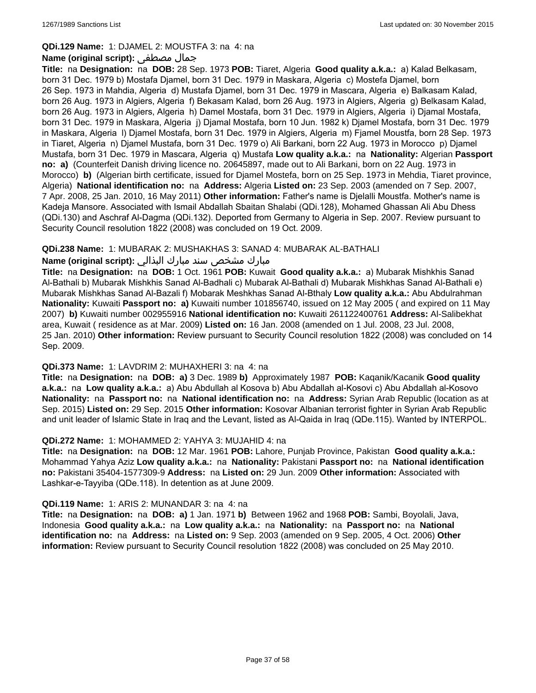### **QDi.129 Name:** 1: DJAMEL 2: MOUSTFA 3: na 4: na

### **Name (original script):** مصطفى جمال

**Title:** na **Designation:** na **DOB:** 28 Sep. 1973 **POB:** Tiaret, Algeria **Good quality a.k.a.:** a) Kalad Belkasam, born 31 Dec. 1979 b) Mostafa Djamel, born 31 Dec. 1979 in Maskara, Algeria c) Mostefa Djamel, born 26 Sep. 1973 in Mahdia, Algeria d) Mustafa Djamel, born 31 Dec. 1979 in Mascara, Algeria e) Balkasam Kalad, born 26 Aug. 1973 in Algiers, Algeria f) Bekasam Kalad, born 26 Aug. 1973 in Algiers, Algeria g) Belkasam Kalad, born 26 Aug. 1973 in Algiers, Algeria h) Damel Mostafa, born 31 Dec. 1979 in Algiers, Algeria i) Djamal Mostafa, born 31 Dec. 1979 in Maskara, Algeria j) Djamal Mostafa, born 10 Jun. 1982 k) Djamel Mostafa, born 31 Dec. 1979 in Maskara, Algeria l) Djamel Mostafa, born 31 Dec. 1979 in Algiers, Algeria m) Fjamel Moustfa, born 28 Sep. 1973 in Tiaret, Algeria n) Djamel Mustafa, born 31 Dec. 1979 o) Ali Barkani, born 22 Aug. 1973 in Morocco p) Djamel Mustafa, born 31 Dec. 1979 in Mascara, Algeria q) Mustafa **Low quality a.k.a.:** na **Nationality:** Algerian **Passport no: a)** (Counterfeit Danish driving licence no. 20645897, made out to Ali Barkani, born on 22 Aug. 1973 in Morocco) **b)** (Algerian birth certificate, issued for Djamel Mostefa, born on 25 Sep. 1973 in Mehdia, Tiaret province, Algeria) **National identification no:** na **Address:** Algeria **Listed on:** 23 Sep. 2003 (amended on 7 Sep. 2007, 7 Apr. 2008, 25 Jan. 2010, 16 May 2011) **Other information:** Father's name is Djelalli Moustfa. Mother's name is Kadeja Mansore. Associated with Ismail Abdallah Sbaitan Shalabi (QDi.128), Mohamed Ghassan Ali Abu Dhess (QDi.130) and Aschraf Al-Dagma (QDi.132). Deported from Germany to Algeria in Sep. 2007. Review pursuant to Security Council resolution 1822 (2008) was concluded on 19 Oct. 2009.

### **QDi.238 Name:** 1: MUBARAK 2: MUSHAKHAS 3: SANAD 4: MUBARAK AL-BATHALI

## مبارك مشخص سند مبارك البذالي **:Name (original script)**

**Title:** na **Designation:** na **DOB:** 1 Oct. 1961 **POB:** Kuwait **Good quality a.k.a.:** a) Mubarak Mishkhis Sanad Al-Bathali b) Mubarak Mishkhis Sanad Al-Badhali c) Mubarak Al-Bathali d) Mubarak Mishkhas Sanad Al-Bathali e) Mubarak Mishkhas Sanad Al-Bazali f) Mobarak Meshkhas Sanad Al-Bthaly **Low quality a.k.a.:** Abu Abdulrahman **Nationality:** Kuwaiti **Passport no: a)** Kuwaiti number 101856740, issued on 12 May 2005 ( and expired on 11 May 2007) **b)** Kuwaiti number 002955916 **National identification no:** Kuwaiti 261122400761 **Address:** Al-Salibekhat area, Kuwait ( residence as at Mar. 2009) **Listed on:** 16 Jan. 2008 (amended on 1 Jul. 2008, 23 Jul. 2008, 25 Jan. 2010) **Other information:** Review pursuant to Security Council resolution 1822 (2008) was concluded on 14 Sep. 2009.

### **QDi.373 Name:** 1: LAVDRIM 2: MUHAXHERI 3: na 4: na

**Title:** na **Designation:** na **DOB: a)** 3 Dec. 1989 **b)** Approximately 1987 **POB:** Kaqanik/Kacanik **Good quality a.k.a.:** na **Low quality a.k.a.:** a) Abu Abdullah al Kosova b) Abu Abdallah al-Kosovi c) Abu Abdallah al-Kosovo **Nationality:** na **Passport no:** na **National identification no:** na **Address:** Syrian Arab Republic (location as at Sep. 2015) **Listed on:** 29 Sep. 2015 **Other information:** Kosovar Albanian terrorist fighter in Syrian Arab Republic and unit leader of Islamic State in Iraq and the Levant, listed as Al-Qaida in Iraq (QDe.115). Wanted by INTERPOL.

### **QDi.272 Name:** 1: MOHAMMED 2: YAHYA 3: MUJAHID 4: na

**Title:** na **Designation:** na **DOB:** 12 Mar. 1961 **POB:** Lahore, Punjab Province, Pakistan **Good quality a.k.a.:** Mohammad Yahya Aziz **Low quality a.k.a.:** na **Nationality:** Pakistani **Passport no:** na **National identification no:** Pakistani 35404-1577309-9 **Address:** na **Listed on:** 29 Jun. 2009 **Other information:** Associated with Lashkar-e-Tayyiba (QDe.118). In detention as at June 2009.

### **QDi.119 Name:** 1: ARIS 2: MUNANDAR 3: na 4: na

**Title:** na **Designation:** na **DOB: a)** 1 Jan. 1971 **b)** Between 1962 and 1968 **POB:** Sambi, Boyolali, Java, Indonesia **Good quality a.k.a.:** na **Low quality a.k.a.:** na **Nationality:** na **Passport no:** na **National identification no:** na **Address:** na **Listed on:** 9 Sep. 2003 (amended on 9 Sep. 2005, 4 Oct. 2006) **Other information:** Review pursuant to Security Council resolution 1822 (2008) was concluded on 25 May 2010.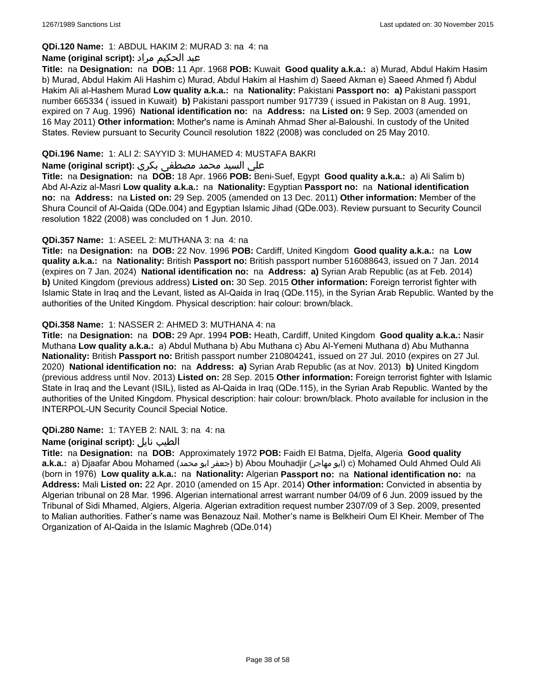## **QDi.120 Name:** 1: ABDUL HAKIM 2: MURAD 3: na 4: na

## عبد الحكيم مراد **:(script original (Name**

**Title:** na **Designation:** na **DOB:** 11 Apr. 1968 **POB:** Kuwait **Good quality a.k.a.:** a) Murad, Abdul Hakim Hasim b) Murad, Abdul Hakim Ali Hashim c) Murad, Abdul Hakim al Hashim d) Saeed Akman e) Saeed Ahmed f) Abdul Hakim Ali al-Hashem Murad **Low quality a.k.a.:** na **Nationality:** Pakistani **Passport no: a)** Pakistani passport number 665334 ( issued in Kuwait) **b)** Pakistani passport number 917739 ( issued in Pakistan on 8 Aug. 1991, expired on 7 Aug. 1996) **National identification no:** na **Address:** na **Listed on:** 9 Sep. 2003 (amended on 16 May 2011) **Other information:** Mother's name is Aminah Ahmad Sher al-Baloushi. In custody of the United States. Review pursuant to Security Council resolution 1822 (2008) was concluded on 25 May 2010.

## **QDi.196 Name:** 1: ALI 2: SAYYID 3: MUHAMED 4: MUSTAFA BAKRI

### علي السيد محمد مصطفى بكري **:(script original (Name**

**Title:** na **Designation:** na **DOB:** 18 Apr. 1966 **POB:** Beni-Suef, Egypt **Good quality a.k.a.:** a) Ali Salim b) Abd Al-Aziz al-Masri **Low quality a.k.a.:** na **Nationality:** Egyptian **Passport no:** na **National identification no:** na **Address:** na **Listed on:** 29 Sep. 2005 (amended on 13 Dec. 2011) **Other information:** Member of the Shura Council of Al-Qaida (QDe.004) and Egyptian Islamic Jihad (QDe.003). Review pursuant to Security Council resolution 1822 (2008) was concluded on 1 Jun. 2010.

### **QDi.357 Name:** 1: ASEEL 2: MUTHANA 3: na 4: na

**Title:** na **Designation:** na **DOB:** 22 Nov. 1996 **POB:** Cardiff, United Kingdom **Good quality a.k.a.:** na **Low quality a.k.a.:** na **Nationality:** British **Passport no:** British passport number 516088643, issued on 7 Jan. 2014 (expires on 7 Jan. 2024) **National identification no:** na **Address: a)** Syrian Arab Republic (as at Feb. 2014) **b)** United Kingdom (previous address) **Listed on:** 30 Sep. 2015 **Other information:** Foreign terrorist fighter with Islamic State in Iraq and the Levant, listed as Al-Qaida in Iraq (QDe.115), in the Syrian Arab Republic. Wanted by the authorities of the United Kingdom. Physical description: hair colour: brown/black.

### **QDi.358 Name:** 1: NASSER 2: AHMED 3: MUTHANA 4: na

**Title:** na **Designation:** na **DOB:** 29 Apr. 1994 **POB:** Heath, Cardiff, United Kingdom **Good quality a.k.a.:** Nasir Muthana **Low quality a.k.a.:** a) Abdul Muthana b) Abu Muthana c) Abu Al-Yemeni Muthana d) Abu Muthanna **Nationality:** British **Passport no:** British passport number 210804241, issued on 27 Jul. 2010 (expires on 27 Jul. 2020) **National identification no:** na **Address: a)** Syrian Arab Republic (as at Nov. 2013) **b)** United Kingdom (previous address until Nov. 2013) **Listed on:** 28 Sep. 2015 **Other information:** Foreign terrorist fighter with Islamic State in Iraq and the Levant (ISIL), listed as Al-Qaida in Iraq (QDe.115), in the Syrian Arab Republic. Wanted by the authorities of the United Kingdom. Physical description: hair colour: brown/black. Photo available for inclusion in the INTERPOL-UN Security Council Special Notice.

### **QDi.280 Name:** 1: TAYEB 2: NAIL 3: na 4: na

### **Name (original script):** نايل الطيب

**Title:** na **Designation:** na **DOB:** Approximately 1972 **POB:** Faidh El Batma, Djelfa, Algeria **Good quality a.k.a.:** a) Djaafar Abou Mohamed (محمد ابو جعفر (b) Abou Mouhadjir (مهاجر ابو (c) Mohamed Ould Ahmed Ould Ali (born in 1976) **Low quality a.k.a.:** na **Nationality:** Algerian **Passport no:** na **National identification no:** na **Address:** Mali **Listed on:** 22 Apr. 2010 (amended on 15 Apr. 2014) **Other information:** Convicted in absentia by Algerian tribunal on 28 Mar. 1996. Algerian international arrest warrant number 04/09 of 6 Jun. 2009 issued by the Tribunal of Sidi Mhamed, Algiers, Algeria. Algerian extradition request number 2307/09 of 3 Sep. 2009, presented to Malian authorities. Father's name was Benazouz Nail. Mother's name is Belkheiri Oum El Kheir. Member of The Organization of Al-Qaida in the Islamic Maghreb (QDe.014)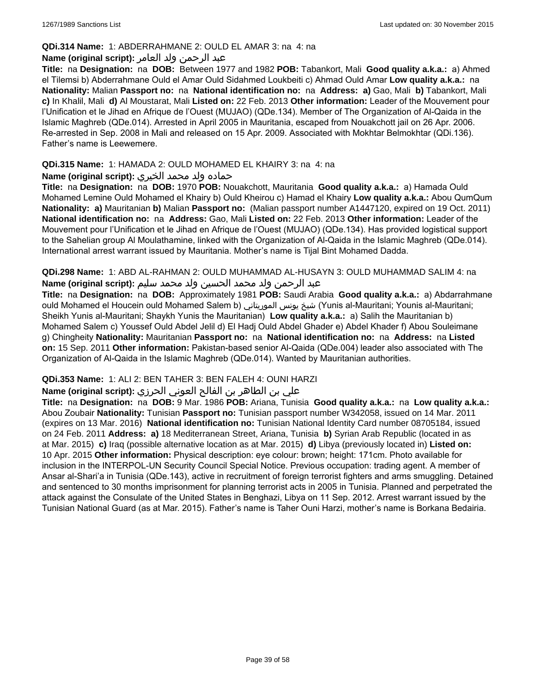### **QDi.314 Name:** 1: ABDERRAHMANE 2: OULD EL AMAR 3: na 4: na

## عبد الرحمن ولد العامر **:(script original (Name**

**Title:** na **Designation:** na **DOB:** Between 1977 and 1982 **POB:** Tabankort, Mali **Good quality a.k.a.:** a) Ahmed el Tilemsi b) Abderrahmane Ould el Amar Ould Sidahmed Loukbeiti c) Ahmad Ould Amar **Low quality a.k.a.:** na **Nationality:** Malian **Passport no:** na **National identification no:** na **Address: a)** Gao, Mali **b)** Tabankort, Mali **c)** In Khalil, Mali **d)** Al Moustarat, Mali **Listed on:** 22 Feb. 2013 **Other information:** Leader of the Mouvement pour l'Unification et le Jihad en Afrique de l'Ouest (MUJAO) (QDe.134). Member of The Organization of Al-Qaida in the Islamic Maghreb (QDe.014). Arrested in April 2005 in Mauritania, escaped from Nouakchott jail on 26 Apr. 2006. Re-arrested in Sep. 2008 in Mali and released on 15 Apr. 2009. Associated with Mokhtar Belmokhtar (QDi.136). Father's name is Leewemere.

## **QDi.315 Name:** 1: HAMADA 2: OULD MOHAMED EL KHAIRY 3: na 4: na

## حماده ولد محمد الخيري **:(script original (Name**

**Title:** na **Designation:** na **DOB:** 1970 **POB:** Nouakchott, Mauritania **Good quality a.k.a.:** a) Hamada Ould Mohamed Lemine Ould Mohamed el Khairy b) Ould Kheirou c) Hamad el Khairy **Low quality a.k.a.:** Abou QumQum **Nationality: a)** Mauritanian **b)** Malian **Passport no:** (Malian passport number A1447120, expired on 19 Oct. 2011) **National identification no:** na **Address:** Gao, Mali **Listed on:** 22 Feb. 2013 **Other information:** Leader of the Mouvement pour l'Unification et le Jihad en Afrique de l'Ouest (MUJAO) (QDe.134). Has provided logistical support to the Sahelian group Al Moulathamine, linked with the Organization of Al-Qaida in the Islamic Maghreb (QDe.014). International arrest warrant issued by Mauritania. Mother's name is Tijal Bint Mohamed Dadda.

**QDi.298 Name:** 1: ABD AL-RAHMAN 2: OULD MUHAMMAD AL-HUSAYN 3: OULD MUHAMMAD SALIM 4: na عبد الرحمن ولد محمد الحسين ولد محمد سليم **:(script original (Name**

**Title:** na **Designation:** na **DOB:** Approximately 1981 **POB:** Saudi Arabia **Good quality a.k.a.:** a) Abdarrahmane ould Mohamed el Houcein ould Mohamed Salem b) الموريتاني يونس شيخ) Yunis al-Mauritani; Younis al-Mauritani; Sheikh Yunis al-Mauritani; Shaykh Yunis the Mauritanian) **Low quality a.k.a.:** a) Salih the Mauritanian b) Mohamed Salem c) Youssef Ould Abdel Jelil d) El Hadj Ould Abdel Ghader e) Abdel Khader f) Abou Souleimane g) Chingheity **Nationality:** Mauritanian **Passport no:** na **National identification no:** na **Address:** na **Listed on:** 15 Sep. 2011 **Other information:** Pakistan-based senior Al-Qaida (QDe.004) leader also associated with The Organization of Al-Qaida in the Islamic Maghreb (QDe.014). Wanted by Mauritanian authorities.

## **QDi.353 Name:** 1: ALI 2: BEN TAHER 3: BEN FALEH 4: OUNI HARZI

## علي بن الطاھر بن الفالح العوني الحرزي **:(script original (Name**

**Title:** na **Designation:** na **DOB:** 9 Mar. 1986 **POB:** Ariana, Tunisia **Good quality a.k.a.:** na **Low quality a.k.a.:** Abou Zoubair **Nationality:** Tunisian **Passport no:** Tunisian passport number W342058, issued on 14 Mar. 2011 (expires on 13 Mar. 2016) **National identification no:** Tunisian National Identity Card number 08705184, issued on 24 Feb. 2011 **Address: a)** 18 Mediterranean Street, Ariana, Tunisia **b)** Syrian Arab Republic (located in as at Mar. 2015) **c)** Iraq (possible alternative location as at Mar. 2015) **d)** Libya (previously located in) **Listed on:** 10 Apr. 2015 **Other information:** Physical description: eye colour: brown; height: 171cm. Photo available for inclusion in the INTERPOL-UN Security Council Special Notice. Previous occupation: trading agent. A member of Ansar al-Shari'a in Tunisia (QDe.143), active in recruitment of foreign terrorist fighters and arms smuggling. Detained and sentenced to 30 months imprisonment for planning terrorist acts in 2005 in Tunisia. Planned and perpetrated the attack against the Consulate of the United States in Benghazi, Libya on 11 Sep. 2012. Arrest warrant issued by the Tunisian National Guard (as at Mar. 2015). Father's name is Taher Ouni Harzi, mother's name is Borkana Bedairia.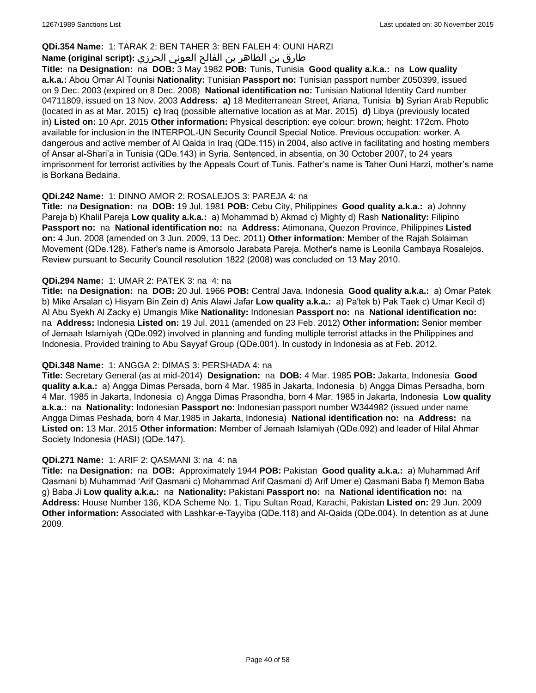## **QDi.354 Name:** 1: TARAK 2: BEN TAHER 3: BEN FALEH 4: OUNI HARZI

## طارق بن الطاھر بن الفالح العوني الحرزي **:(script original (Name**

**Title:** na **Designation:** na **DOB:** 3 May 1982 **POB:** Tunis, Tunisia **Good quality a.k.a.:** na **Low quality a.k.a.:** Abou Omar Al Tounisi **Nationality:** Tunisian **Passport no:** Tunisian passport number Z050399, issued on 9 Dec. 2003 (expired on 8 Dec. 2008) **National identification no:** Tunisian National Identity Card number 04711809, issued on 13 Nov. 2003 **Address: a)** 18 Mediterranean Street, Ariana, Tunisia **b)** Syrian Arab Republic (located in as at Mar. 2015) **c)** Iraq (possible alternative location as at Mar. 2015) **d)** Libya (previously located in) **Listed on:** 10 Apr. 2015 **Other information:** Physical description: eye colour: brown; height: 172cm. Photo available for inclusion in the INTERPOL-UN Security Council Special Notice. Previous occupation: worker. A dangerous and active member of Al Qaida in Iraq (QDe.115) in 2004, also active in facilitating and hosting members of Ansar al-Shari'a in Tunisia (QDe.143) in Syria. Sentenced, in absentia, on 30 October 2007, to 24 years imprisonment for terrorist activities by the Appeals Court of Tunis. Father's name is Taher Ouni Harzi, mother's name is Borkana Bedairia.

### **QDi.242 Name:** 1: DINNO AMOR 2: ROSALEJOS 3: PAREJA 4: na

**Title:** na **Designation:** na **DOB:** 19 Jul. 1981 **POB:** Cebu City, Philippines **Good quality a.k.a.:** a) Johnny Pareja b) Khalil Pareja **Low quality a.k.a.:** a) Mohammad b) Akmad c) Mighty d) Rash **Nationality:** Filipino **Passport no:** na **National identification no:** na **Address:** Atimonana, Quezon Province, Philippines **Listed on:** 4 Jun. 2008 (amended on 3 Jun. 2009, 13 Dec. 2011) **Other information:** Member of the Rajah Solaiman Movement (QDe.128). Father's name is Amorsolo Jarabata Pareja. Mother's name is Leonila Cambaya Rosalejos. Review pursuant to Security Council resolution 1822 (2008) was concluded on 13 May 2010.

### **QDi.294 Name:** 1: UMAR 2: PATEK 3: na 4: na

**Title:** na **Designation:** na **DOB:** 20 Jul. 1966 **POB:** Central Java, Indonesia **Good quality a.k.a.:** a) Omar Patek b) Mike Arsalan c) Hisyam Bin Zein d) Anis Alawi Jafar **Low quality a.k.a.:** a) Pa'tek b) Pak Taek c) Umar Kecil d) Al Abu Syekh Al Zacky e) Umangis Mike **Nationality:** Indonesian **Passport no:** na **National identification no:**  na **Address:** Indonesia **Listed on:** 19 Jul. 2011 (amended on 23 Feb. 2012) **Other information:** Senior member of Jemaah Islamiyah (QDe.092) involved in planning and funding multiple terrorist attacks in the Philippines and Indonesia. Provided training to Abu Sayyaf Group (QDe.001). In custody in Indonesia as at Feb. 2012.

## **QDi.348 Name:** 1: ANGGA 2: DIMAS 3: PERSHADA 4: na

**Title:** Secretary General (as at mid-2014) **Designation:** na **DOB:** 4 Mar. 1985 **POB:** Jakarta, Indonesia **Good quality a.k.a.:** a) Angga Dimas Persada, born 4 Mar. 1985 in Jakarta, Indonesia b) Angga Dimas Persadha, born 4 Mar. 1985 in Jakarta, Indonesia c) Angga Dimas Prasondha, born 4 Mar. 1985 in Jakarta, Indonesia **Low quality a.k.a.:** na **Nationality:** Indonesian **Passport no:** Indonesian passport number W344982 (issued under name Angga Dimas Peshada, born 4 Mar.1985 in Jakarta, Indonesia) **National identification no:** na **Address:** na **Listed on:** 13 Mar. 2015 **Other information:** Member of Jemaah Islamiyah (QDe.092) and leader of Hilal Ahmar Society Indonesia (HASI) (QDe.147).

### **QDi.271 Name:** 1: ARIF 2: QASMANI 3: na 4: na

**Title:** na **Designation:** na **DOB:** Approximately 1944 **POB:** Pakistan **Good quality a.k.a.:** a) Muhammad Arif Qasmani b) Muhammad 'Arif Qasmani c) Mohammad Arif Qasmani d) Arif Umer e) Qasmani Baba f) Memon Baba g) Baba Ji **Low quality a.k.a.:** na **Nationality:** Pakistani **Passport no:** na **National identification no:** na **Address:** House Number 136, KDA Scheme No. 1, Tipu Sultan Road, Karachi, Pakistan **Listed on:** 29 Jun. 2009 **Other information:** Associated with Lashkar-e-Tayyiba (QDe.118) and Al-Qaida (QDe.004). In detention as at June 2009.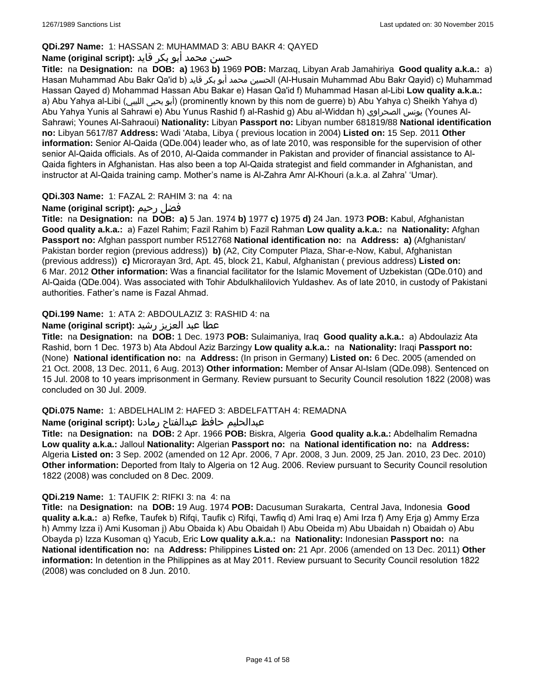## **QDi.297 Name:** 1: HASSAN 2: MUHAMMAD 3: ABU BAKR 4: QAYED

## حسن محمد أبو بكر قايد **:(script original (Name**

**Title:** na **Designation:** na **DOB: a)** 1963 **b)** 1969 **POB:** Marzaq, Libyan Arab Jamahiriya **Good quality a.k.a.:** a) Hasan Muhammad Abu Bakr Qa'id b) قايد بكر أبو محمد الحسين) Al-Husain Muhammad Abu Bakr Qayid) c) Muhammad Hassan Qayed d) Mohammad Hassan Abu Bakar e) Hasan Qa'id f) Muhammad Hasan al-Libi **Low quality a.k.a.:**  a) Abu Yahya al-Libi (الليبي يحيى أبو) (prominently known by this nom de guerre) b) Abu Yahya c) Sheikh Yahya d) Abu Yahya Yunis al Sahrawi e) Abu Yunus Rashid f) al-Rashid g) Abu al-Widdan h) الصحراوي يونس) Younes Al-Sahrawi; Younes Al-Sahraoui) **Nationality:** Libyan **Passport no:** Libyan number 681819/88 **National identification no:** Libyan 5617/87 **Address:** Wadi 'Ataba, Libya ( previous location in 2004) **Listed on:** 15 Sep. 2011 **Other information:** Senior Al-Qaida (QDe.004) leader who, as of late 2010, was responsible for the supervision of other senior Al-Qaida officials. As of 2010, Al-Qaida commander in Pakistan and provider of financial assistance to Al-Qaida fighters in Afghanistan. Has also been a top Al-Qaida strategist and field commander in Afghanistan, and instructor at Al-Qaida training camp. Mother's name is Al-Zahra Amr Al-Khouri (a.k.a. al Zahra' 'Umar).

## **QDi.303 Name:** 1: FAZAL 2: RAHIM 3: na 4: na

## **Name (original script):** رحيم فضل

**Title:** na **Designation:** na **DOB: a)** 5 Jan. 1974 **b)** 1977 **c)** 1975 **d)** 24 Jan. 1973 **POB:** Kabul, Afghanistan **Good quality a.k.a.:** a) Fazel Rahim; Fazil Rahim b) Fazil Rahman **Low quality a.k.a.:** na **Nationality:** Afghan **Passport no:** Afghan passport number R512768 **National identification no:** na **Address: a)** (Afghanistan/ Pakistan border region (previous address)) **b)** (A2, City Computer Plaza, Shar-e-Now, Kabul, Afghanistan (previous address)) **c)** Microrayan 3rd, Apt. 45, block 21, Kabul, Afghanistan ( previous address) **Listed on:** 6 Mar. 2012 **Other information:** Was a financial facilitator for the Islamic Movement of Uzbekistan (QDe.010) and Al-Qaida (QDe.004). Was associated with Tohir Abdulkhalilovich Yuldashev. As of late 2010, in custody of Pakistani authorities. Father's name is Fazal Ahmad.

## **QDi.199 Name:** 1: ATA 2: ABDOULAZIZ 3: RASHID 4: na

## عطا عبد العزيز رشيد **:(script original (Name**

**Title:** na **Designation:** na **DOB:** 1 Dec. 1973 **POB:** Sulaimaniya, Iraq **Good quality a.k.a.:** a) Abdoulaziz Ata Rashid, born 1 Dec. 1973 b) Ata Abdoul Aziz Barzingy **Low quality a.k.a.:** na **Nationality:** Iraqi **Passport no:**  (None) **National identification no:** na **Address:** (In prison in Germany) **Listed on:** 6 Dec. 2005 (amended on 21 Oct. 2008, 13 Dec. 2011, 6 Aug. 2013) **Other information:** Member of Ansar Al-Islam (QDe.098). Sentenced on 15 Jul. 2008 to 10 years imprisonment in Germany. Review pursuant to Security Council resolution 1822 (2008) was concluded on 30 Jul. 2009.

## **QDi.075 Name:** 1: ABDELHALIM 2: HAFED 3: ABDELFATTAH 4: REMADNA

عبدالحليم حافظ عبدالفتاح رمادنا **:(script original (Name**

**Title:** na **Designation:** na **DOB:** 2 Apr. 1966 **POB:** Biskra, Algeria **Good quality a.k.a.:** Abdelhalim Remadna **Low quality a.k.a.:** Jalloul **Nationality:** Algerian **Passport no:** na **National identification no:** na **Address:** Algeria **Listed on:** 3 Sep. 2002 (amended on 12 Apr. 2006, 7 Apr. 2008, 3 Jun. 2009, 25 Jan. 2010, 23 Dec. 2010) **Other information:** Deported from Italy to Algeria on 12 Aug. 2006. Review pursuant to Security Council resolution 1822 (2008) was concluded on 8 Dec. 2009.

## **QDi.219 Name:** 1: TAUFIK 2: RIFKI 3: na 4: na

**Title:** na **Designation:** na **DOB:** 19 Aug. 1974 **POB:** Dacusuman Surakarta, Central Java, Indonesia **Good quality a.k.a.:** a) Refke, Taufek b) Rifqi, Taufik c) Rifqi, Tawfiq d) Ami Iraq e) Ami Irza f) Amy Erja g) Ammy Erza h) Ammy Izza i) Ami Kusoman j) Abu Obaida k) Abu Obaidah l) Abu Obeida m) Abu Ubaidah n) Obaidah o) Abu Obayda p) Izza Kusoman q) Yacub, Eric **Low quality a.k.a.:** na **Nationality:** Indonesian **Passport no:** na **National identification no:** na **Address:** Philippines **Listed on:** 21 Apr. 2006 (amended on 13 Dec. 2011) **Other information:** In detention in the Philippines as at May 2011. Review pursuant to Security Council resolution 1822 (2008) was concluded on 8 Jun. 2010.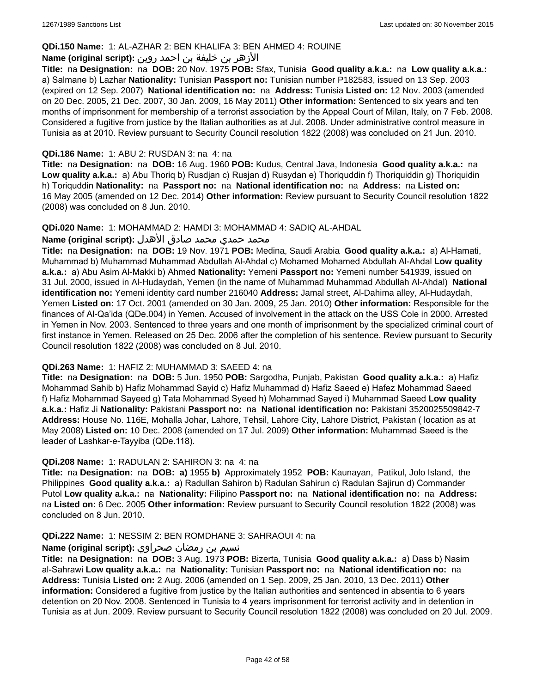## **QDi.150 Name:** 1: AL-AZHAR 2: BEN KHALIFA 3: BEN AHMED 4: ROUINE

## الأزهر بن خليفة بن احمد روين **:(script original (Name**

**Title:** na **Designation:** na **DOB:** 20 Nov. 1975 **POB:** Sfax, Tunisia **Good quality a.k.a.:** na **Low quality a.k.a.:**  a) Salmane b) Lazhar **Nationality:** Tunisian **Passport no:** Tunisian number P182583, issued on 13 Sep. 2003 (expired on 12 Sep. 2007) **National identification no:** na **Address:** Tunisia **Listed on:** 12 Nov. 2003 (amended on 20 Dec. 2005, 21 Dec. 2007, 30 Jan. 2009, 16 May 2011) **Other information:** Sentenced to six years and ten months of imprisonment for membership of a terrorist association by the Appeal Court of Milan, Italy, on 7 Feb. 2008. Considered a fugitive from justice by the Italian authorities as at Jul. 2008. Under administrative control measure in Tunisia as at 2010. Review pursuant to Security Council resolution 1822 (2008) was concluded on 21 Jun. 2010.

### **QDi.186 Name:** 1: ABU 2: RUSDAN 3: na 4: na

**Title:** na **Designation:** na **DOB:** 16 Aug. 1960 **POB:** Kudus, Central Java, Indonesia **Good quality a.k.a.:** na **Low quality a.k.a.:** a) Abu Thoriq b) Rusdjan c) Rusjan d) Rusydan e) Thoriquddin f) Thoriquiddin g) Thoriquidin h) Toriquddin **Nationality:** na **Passport no:** na **National identification no:** na **Address:** na **Listed on:** 16 May 2005 (amended on 12 Dec. 2014) **Other information:** Review pursuant to Security Council resolution 1822 (2008) was concluded on 8 Jun. 2010.

### **QDi.020 Name:** 1: MOHAMMAD 2: HAMDI 3: MOHAMMAD 4: SADIQ AL-AHDAL

### محمد حمدي محمد صادق الأهدل **:Name (original script)**

**Title:** na **Designation:** na **DOB:** 19 Nov. 1971 **POB:** Medina, Saudi Arabia **Good quality a.k.a.:** a) Al-Hamati, Muhammad b) Muhammad Muhammad Abdullah Al-Ahdal c) Mohamed Mohamed Abdullah Al-Ahdal **Low quality a.k.a.:** a) Abu Asim Al-Makki b) Ahmed **Nationality:** Yemeni **Passport no:** Yemeni number 541939, issued on 31 Jul. 2000, issued in Al-Hudaydah, Yemen (in the name of Muhammad Muhammad Abdullah Al-Ahdal) **National identification no:** Yemeni identity card number 216040 **Address:** Jamal street, Al-Dahima alley, Al-Hudaydah, Yemen **Listed on:** 17 Oct. 2001 (amended on 30 Jan. 2009, 25 Jan. 2010) **Other information:** Responsible for the finances of Al-Qa'ida (QDe.004) in Yemen. Accused of involvement in the attack on the USS Cole in 2000. Arrested in Yemen in Nov. 2003. Sentenced to three years and one month of imprisonment by the specialized criminal court of first instance in Yemen. Released on 25 Dec. 2006 after the completion of his sentence. Review pursuant to Security Council resolution 1822 (2008) was concluded on 8 Jul. 2010.

### **QDi.263 Name:** 1: HAFIZ 2: MUHAMMAD 3: SAEED 4: na

**Title:** na **Designation:** na **DOB:** 5 Jun. 1950 **POB:** Sargodha, Punjab, Pakistan **Good quality a.k.a.:** a) Hafiz Mohammad Sahib b) Hafiz Mohammad Sayid c) Hafiz Muhammad d) Hafiz Saeed e) Hafez Mohammad Saeed f) Hafiz Mohammad Sayeed g) Tata Mohammad Syeed h) Mohammad Sayed i) Muhammad Saeed **Low quality a.k.a.:** Hafiz Ji **Nationality:** Pakistani **Passport no:** na **National identification no:** Pakistani 3520025509842-7 **Address:** House No. 116E, Mohalla Johar, Lahore, Tehsil, Lahore City, Lahore District, Pakistan ( location as at May 2008) **Listed on:** 10 Dec. 2008 (amended on 17 Jul. 2009) **Other information:** Muhammad Saeed is the leader of Lashkar-e-Tayyiba (QDe.118).

### **QDi.208 Name:** 1: RADULAN 2: SAHIRON 3: na 4: na

**Title:** na **Designation:** na **DOB: a)** 1955 **b)** Approximately 1952 **POB:** Kaunayan, Patikul, Jolo Island, the Philippines **Good quality a.k.a.:** a) Radullan Sahiron b) Radulan Sahirun c) Radulan Sajirun d) Commander Putol **Low quality a.k.a.:** na **Nationality:** Filipino **Passport no:** na **National identification no:** na **Address:**  na **Listed on:** 6 Dec. 2005 **Other information:** Review pursuant to Security Council resolution 1822 (2008) was concluded on 8 Jun. 2010.

### **QDi.222 Name:** 1: NESSIM 2: BEN ROMDHANE 3: SAHRAOUI 4: na

### نسيم بن رمضان صحراوي **:(script original (Name**

**Title:** na **Designation:** na **DOB:** 3 Aug. 1973 **POB:** Bizerta, Tunisia **Good quality a.k.a.:** a) Dass b) Nasim al-Sahrawi **Low quality a.k.a.:** na **Nationality:** Tunisian **Passport no:** na **National identification no:** na **Address:** Tunisia **Listed on:** 2 Aug. 2006 (amended on 1 Sep. 2009, 25 Jan. 2010, 13 Dec. 2011) **Other information:** Considered a fugitive from justice by the Italian authorities and sentenced in absentia to 6 years detention on 20 Nov. 2008. Sentenced in Tunisia to 4 years imprisonment for terrorist activity and in detention in Tunisia as at Jun. 2009. Review pursuant to Security Council resolution 1822 (2008) was concluded on 20 Jul. 2009.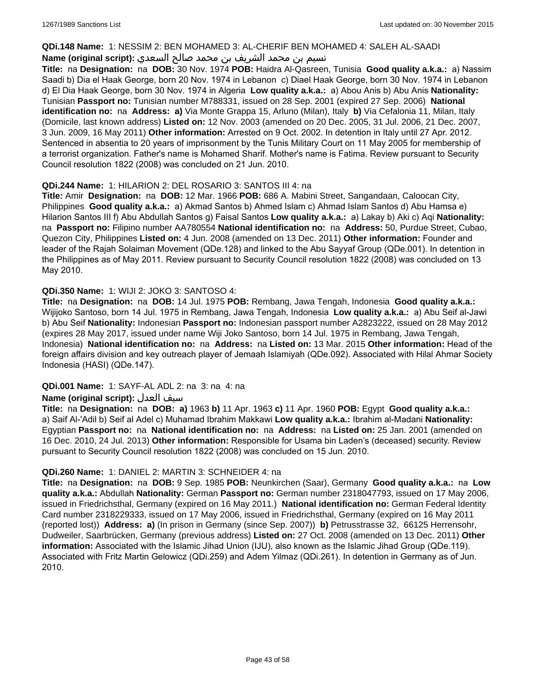### **QDi.148 Name:** 1: NESSIM 2: BEN MOHAMED 3: AL-CHERIF BEN MOHAMED 4: SALEH AL-SAADI

## نسيم بن محمد الشريف بن محمد صالح السعدي **:(script original (Name**

**Title:** na **Designation:** na **DOB:** 30 Nov. 1974 **POB:** Haidra Al-Qasreen, Tunisia **Good quality a.k.a.:** a) Nassim Saadi b) Dia el Haak George, born 20 Nov. 1974 in Lebanon c) Diael Haak George, born 30 Nov. 1974 in Lebanon d) El Dia Haak George, born 30 Nov. 1974 in Algeria **Low quality a.k.a.:** a) Abou Anis b) Abu Anis **Nationality:** Tunisian **Passport no:** Tunisian number M788331, issued on 28 Sep. 2001 (expired 27 Sep. 2006) **National identification no:** na **Address: a)** Via Monte Grappa 15, Arluno (Milan), Italy **b)** Via Cefalonia 11, Milan, Italy (Domicile, last known address) **Listed on:** 12 Nov. 2003 (amended on 20 Dec. 2005, 31 Jul. 2006, 21 Dec. 2007, 3 Jun. 2009, 16 May 2011) **Other information:** Arrested on 9 Oct. 2002. In detention in Italy until 27 Apr. 2012. Sentenced in absentia to 20 years of imprisonment by the Tunis Military Court on 11 May 2005 for membership of a terrorist organization. Father's name is Mohamed Sharif. Mother's name is Fatima. Review pursuant to Security Council resolution 1822 (2008) was concluded on 21 Jun. 2010.

## **QDi.244 Name:** 1: HILARION 2: DEL ROSARIO 3: SANTOS III 4: na

**Title:** Amir **Designation:** na **DOB:** 12 Mar. 1966 **POB:** 686 A. Mabini Street, Sangandaan, Caloocan City, Philippines **Good quality a.k.a.:** a) Akmad Santos b) Ahmed Islam c) Ahmad Islam Santos d) Abu Hamsa e) Hilarion Santos III f) Abu Abdullah Santos g) Faisal Santos **Low quality a.k.a.:** a) Lakay b) Aki c) Aqi **Nationality:**  na **Passport no:** Filipino number AA780554 **National identification no:** na **Address:** 50, Purdue Street, Cubao, Quezon City, Philippines **Listed on:** 4 Jun. 2008 (amended on 13 Dec. 2011) **Other information:** Founder and leader of the Rajah Solaiman Movement (QDe.128) and linked to the Abu Sayyaf Group (QDe.001). In detention in the Philippines as of May 2011. Review pursuant to Security Council resolution 1822 (2008) was concluded on 13 May 2010.

## **QDi.350 Name:** 1: WIJI 2: JOKO 3: SANTOSO 4:

**Title:** na **Designation:** na **DOB:** 14 Jul. 1975 **POB:** Rembang, Jawa Tengah, Indonesia **Good quality a.k.a.:** Wijijoko Santoso, born 14 Jul. 1975 in Rembang, Jawa Tengah, Indonesia **Low quality a.k.a.:** a) Abu Seif al-Jawi b) Abu Seif **Nationality:** Indonesian **Passport no:** Indonesian passport number A2823222, issued on 28 May 2012 (expires 28 May 2017, issued under name Wiji Joko Santoso, born 14 Jul. 1975 in Rembang, Jawa Tengah, Indonesia) **National identification no:** na **Address:** na **Listed on:** 13 Mar. 2015 **Other information:** Head of the foreign affairs division and key outreach player of Jemaah Islamiyah (QDe.092). Associated with Hilal Ahmar Society Indonesia (HASI) (QDe.147).

## **QDi.001 Name:** 1: SAYF-AL ADL 2: na 3: na 4: na

## **Name (original script):** العدل سيف

**Title:** na **Designation:** na **DOB: a)** 1963 **b)** 11 Apr. 1963 **c)** 11 Apr. 1960 **POB:** Egypt **Good quality a.k.a.:**  a) Saif Al-'Adil b) Seif al Adel c) Muhamad Ibrahim Makkawi **Low quality a.k.a.:** Ibrahim al-Madani **Nationality:** Egyptian **Passport no:** na **National identification no:** na **Address:** na **Listed on:** 25 Jan. 2001 (amended on 16 Dec. 2010, 24 Jul. 2013) **Other information:** Responsible for Usama bin Laden's (deceased) security. Review pursuant to Security Council resolution 1822 (2008) was concluded on 15 Jun. 2010.

## **QDi.260 Name:** 1: DANIEL 2: MARTIN 3: SCHNEIDER 4: na

**Title:** na **Designation:** na **DOB:** 9 Sep. 1985 **POB:** Neunkirchen (Saar), Germany **Good quality a.k.a.:** na **Low quality a.k.a.:** Abdullah **Nationality:** German **Passport no:** German number 2318047793, issued on 17 May 2006, issued in Friedrichsthal, Germany (expired on 16 May 2011.) **National identification no:** German Federal Identity Card number 2318229333, issued on 17 May 2006, issued in Friedrichsthal, Germany (expired on 16 May 2011 (reported lost)) **Address: a)** (In prison in Germany (since Sep. 2007)) **b)** Petrusstrasse 32, 66125 Herrensohr, Dudweiler, Saarbrücken, Germany (previous address) **Listed on:** 27 Oct. 2008 (amended on 13 Dec. 2011) **Other information:** Associated with the Islamic Jihad Union (IJU), also known as the Islamic Jihad Group (QDe.119). Associated with Fritz Martin Gelowicz (QDi.259) and Adem Yilmaz (QDi.261). In detention in Germany as of Jun. 2010.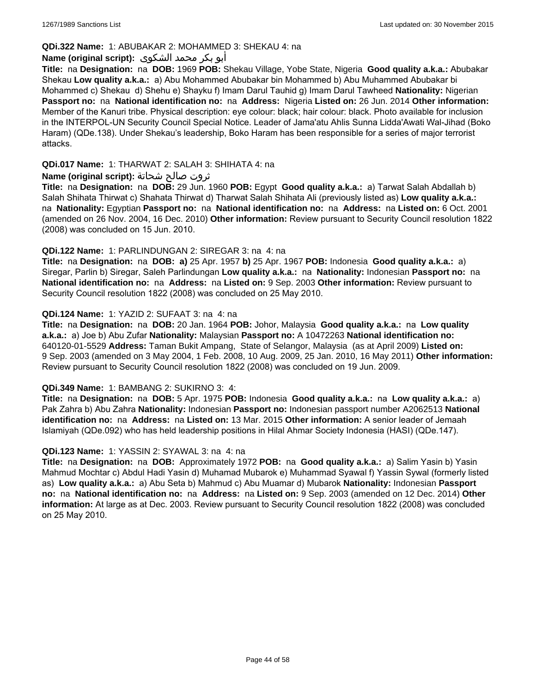## **QDi.322 Name:** 1: ABUBAKAR 2: MOHAMMED 3: SHEKAU 4: na

## أبو بكر محمد الشكوى **:(script original (Name**

**Title:** na **Designation:** na **DOB:** 1969 **POB:** Shekau Village, Yobe State, Nigeria **Good quality a.k.a.:** Abubakar Shekau **Low quality a.k.a.:** a) Abu Mohammed Abubakar bin Mohammed b) Abu Muhammed Abubakar bi Mohammed c) Shekau d) Shehu e) Shayku f) Imam Darul Tauhid g) Imam Darul Tawheed **Nationality:** Nigerian **Passport no:** na **National identification no:** na **Address:** Nigeria **Listed on:** 26 Jun. 2014 **Other information:** Member of the Kanuri tribe. Physical description: eye colour: black; hair colour: black. Photo available for inclusion in the INTERPOL-UN Security Council Special Notice. Leader of Jama'atu Ahlis Sunna Lidda'Awati Wal-Jihad (Boko Haram) (QDe.138). Under Shekau's leadership, Boko Haram has been responsible for a series of major terrorist attacks.

### **QDi.017 Name:** 1: THARWAT 2: SALAH 3: SHIHATA 4: na

### ثروت صالح شحاتة **:(script original (Name**

**Title:** na **Designation:** na **DOB:** 29 Jun. 1960 **POB:** Egypt **Good quality a.k.a.:** a) Tarwat Salah Abdallah b) Salah Shihata Thirwat c) Shahata Thirwat d) Tharwat Salah Shihata Ali (previously listed as) **Low quality a.k.a.:**  na **Nationality:** Egyptian **Passport no:** na **National identification no:** na **Address:** na **Listed on:** 6 Oct. 2001 (amended on 26 Nov. 2004, 16 Dec. 2010) **Other information:** Review pursuant to Security Council resolution 1822 (2008) was concluded on 15 Jun. 2010.

### **QDi.122 Name:** 1: PARLINDUNGAN 2: SIREGAR 3: na 4: na

**Title:** na **Designation:** na **DOB: a)** 25 Apr. 1957 **b)** 25 Apr. 1967 **POB:** Indonesia **Good quality a.k.a.:** a) Siregar, Parlin b) Siregar, Saleh Parlindungan **Low quality a.k.a.:** na **Nationality:** Indonesian **Passport no:** na **National identification no:** na **Address:** na **Listed on:** 9 Sep. 2003 **Other information:** Review pursuant to Security Council resolution 1822 (2008) was concluded on 25 May 2010.

### **QDi.124 Name:** 1: YAZID 2: SUFAAT 3: na 4: na

**Title:** na **Designation:** na **DOB:** 20 Jan. 1964 **POB:** Johor, Malaysia **Good quality a.k.a.:** na **Low quality a.k.a.:** a) Joe b) Abu Zufar **Nationality:** Malaysian **Passport no:** A 10472263 **National identification no:** 640120-01-5529 **Address:** Taman Bukit Ampang, State of Selangor, Malaysia (as at April 2009) **Listed on:** 9 Sep. 2003 (amended on 3 May 2004, 1 Feb. 2008, 10 Aug. 2009, 25 Jan. 2010, 16 May 2011) **Other information:** Review pursuant to Security Council resolution 1822 (2008) was concluded on 19 Jun. 2009.

### **QDi.349 Name:** 1: BAMBANG 2: SUKIRNO 3: 4:

**Title:** na **Designation:** na **DOB:** 5 Apr. 1975 **POB:** Indonesia **Good quality a.k.a.:** na **Low quality a.k.a.:** a) Pak Zahra b) Abu Zahra **Nationality:** Indonesian **Passport no:** Indonesian passport number A2062513 **National identification no:** na **Address:** na **Listed on:** 13 Mar. 2015 **Other information:** A senior leader of Jemaah Islamiyah (QDe.092) who has held leadership positions in Hilal Ahmar Society Indonesia (HASI) (QDe.147).

### **QDi.123 Name:** 1: YASSIN 2: SYAWAL 3: na 4: na

**Title:** na **Designation:** na **DOB:** Approximately 1972 **POB:** na **Good quality a.k.a.:** a) Salim Yasin b) Yasin Mahmud Mochtar c) Abdul Hadi Yasin d) Muhamad Mubarok e) Muhammad Syawal f) Yassin Sywal (formerly listed as) **Low quality a.k.a.:** a) Abu Seta b) Mahmud c) Abu Muamar d) Mubarok **Nationality:** Indonesian **Passport no:** na **National identification no:** na **Address:** na **Listed on:** 9 Sep. 2003 (amended on 12 Dec. 2014) **Other information:** At large as at Dec. 2003. Review pursuant to Security Council resolution 1822 (2008) was concluded on 25 May 2010.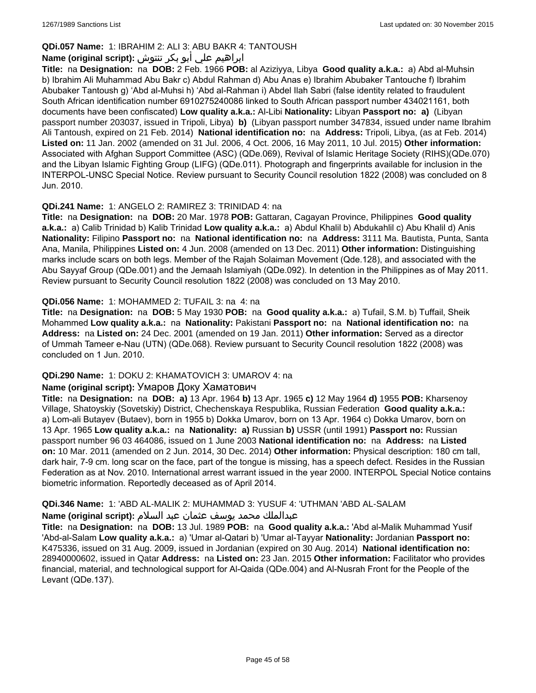## **QDi.057 Name:** 1: IBRAHIM 2: ALI 3: ABU BAKR 4: TANTOUSH

## ابراهيم علي أبو بكر تنتوش **:(script original (Name**

**Title:** na **Designation:** na **DOB:** 2 Feb. 1966 **POB:** al Aziziyya, Libya **Good quality a.k.a.:** a) Abd al-Muhsin b) Ibrahim Ali Muhammad Abu Bakr c) Abdul Rahman d) Abu Anas e) Ibrahim Abubaker Tantouche f) Ibrahim Abubaker Tantoush g) 'Abd al-Muhsi h) 'Abd al-Rahman i) Abdel Ilah Sabri (false identity related to fraudulent South African identification number 6910275240086 linked to South African passport number 434021161, both documents have been confiscated) **Low quality a.k.a.:** Al-Libi **Nationality:** Libyan **Passport no: a)** (Libyan passport number 203037, issued in Tripoli, Libya) **b)** (Libyan passport number 347834, issued under name Ibrahim Ali Tantoush, expired on 21 Feb. 2014) **National identification no:** na **Address:** Tripoli, Libya, (as at Feb. 2014) **Listed on:** 11 Jan. 2002 (amended on 31 Jul. 2006, 4 Oct. 2006, 16 May 2011, 10 Jul. 2015) **Other information:** Associated with Afghan Support Committee (ASC) (QDe.069), Revival of Islamic Heritage Society (RIHS)(QDe.070) and the Libyan Islamic Fighting Group (LIFG) (QDe.011). Photograph and fingerprints available for inclusion in the INTERPOL-UNSC Special Notice. Review pursuant to Security Council resolution 1822 (2008) was concluded on 8 Jun. 2010.

## **QDi.241 Name:** 1: ANGELO 2: RAMIREZ 3: TRINIDAD 4: na

**Title:** na **Designation:** na **DOB:** 20 Mar. 1978 **POB:** Gattaran, Cagayan Province, Philippines **Good quality a.k.a.:** a) Calib Trinidad b) Kalib Trinidad **Low quality a.k.a.:** a) Abdul Khalil b) Abdukahlil c) Abu Khalil d) Anis **Nationality:** Filipino **Passport no:** na **National identification no:** na **Address:** 3111 Ma. Bautista, Punta, Santa Ana, Manila, Philippines **Listed on:** 4 Jun. 2008 (amended on 13 Dec. 2011) **Other information:** Distinguishing marks include scars on both legs. Member of the Rajah Solaiman Movement (Qde.128), and associated with the Abu Sayyaf Group (QDe.001) and the Jemaah Islamiyah (QDe.092). In detention in the Philippines as of May 2011. Review pursuant to Security Council resolution 1822 (2008) was concluded on 13 May 2010.

## **QDi.056 Name:** 1: MOHAMMED 2: TUFAIL 3: na 4: na

**Title:** na **Designation:** na **DOB:** 5 May 1930 **POB:** na **Good quality a.k.a.:** a) Tufail, S.M. b) Tuffail, Sheik Mohammed **Low quality a.k.a.:** na **Nationality:** Pakistani **Passport no:** na **National identification no:** na **Address:** na **Listed on:** 24 Dec. 2001 (amended on 19 Jan. 2011) **Other information:** Served as a director of Ummah Tameer e-Nau (UTN) (QDe.068). Review pursuant to Security Council resolution 1822 (2008) was concluded on 1 Jun. 2010.

## **QDi.290 Name:** 1: DOKU 2: KHAMATOVICH 3: UMAROV 4: na

### **Name (original script):** Умаров Доку Хаматович

**Title:** na **Designation:** na **DOB: a)** 13 Apr. 1964 **b)** 13 Apr. 1965 **c)** 12 May 1964 **d)** 1955 **POB:** Kharsenoy Village, Shatoyskiy (Sovetskiy) District, Chechenskaya Respublika, Russian Federation **Good quality a.k.a.:**  a) Lom-ali Butayev (Butaev), born in 1955 b) Dokka Umarov, born on 13 Apr. 1964 c) Dokka Umarov, born on 13 Apr. 1965 **Low quality a.k.a.:** na **Nationality: a)** Russian **b)** USSR (until 1991) **Passport no:** Russian passport number 96 03 464086, issued on 1 June 2003 **National identification no:** na **Address:** na **Listed on:** 10 Mar. 2011 (amended on 2 Jun. 2014, 30 Dec. 2014) **Other information:** Physical description: 180 cm tall, dark hair, 7-9 cm. long scar on the face, part of the tongue is missing, has a speech defect. Resides in the Russian Federation as at Nov. 2010. International arrest warrant issued in the year 2000. INTERPOL Special Notice contains biometric information. Reportedly deceased as of April 2014.

## **QDi.346 Name:** 1: 'ABD AL-MALIK 2: MUHAMMAD 3: YUSUF 4: 'UTHMAN 'ABD AL-SALAM

### عبدالملك محمد يوسف عثمان عبد السلام **:(script original (Name**

**Title:** na **Designation:** na **DOB:** 13 Jul. 1989 **POB:** na **Good quality a.k.a.:** 'Abd al-Malik Muhammad Yusif 'Abd-al-Salam **Low quality a.k.a.:** a) 'Umar al-Qatari b) 'Umar al-Tayyar **Nationality:** Jordanian **Passport no:** K475336, issued on 31 Aug. 2009, issued in Jordanian (expired on 30 Aug. 2014) **National identification no:** 28940000602, issued in Qatar **Address:** na **Listed on:** 23 Jan. 2015 **Other information:** Facilitator who provides financial, material, and technological support for Al-Qaida (QDe.004) and Al-Nusrah Front for the People of the Levant (QDe.137).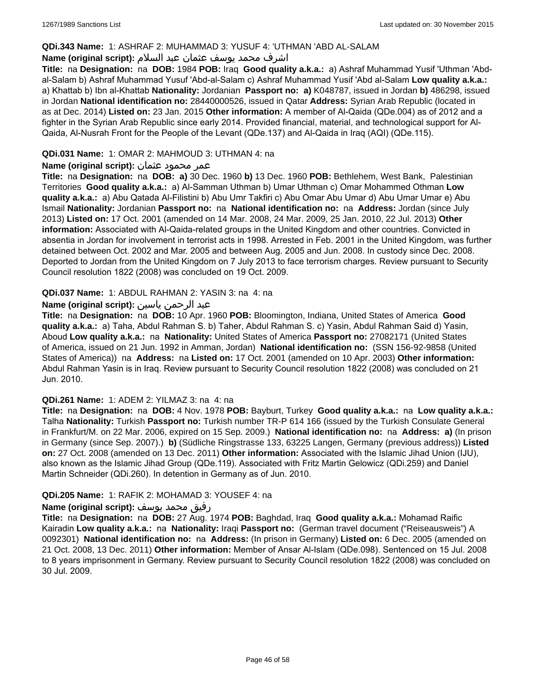### **QDi.343 Name:** 1: ASHRAF 2: MUHAMMAD 3: YUSUF 4: 'UTHMAN 'ABD AL-SALAM

## اشرف محمد يوسف عثمان عبد السلام **:(script original (Name**

**Title:** na **Designation:** na **DOB:** 1984 **POB:** Iraq **Good quality a.k.a.:** a) Ashraf Muhammad Yusif 'Uthman 'Abdal-Salam b) Ashraf Muhammad Yusuf 'Abd-al-Salam c) Ashraf Muhammad Yusif 'Abd al-Salam **Low quality a.k.a.:**  a) Khattab b) Ibn al-Khattab **Nationality:** Jordanian **Passport no: a)** K048787, issued in Jordan **b)** 486298, issued in Jordan **National identification no:** 28440000526, issued in Qatar **Address:** Syrian Arab Republic (located in as at Dec. 2014) **Listed on:** 23 Jan. 2015 **Other information:** A member of Al-Qaida (QDe.004) as of 2012 and a fighter in the Syrian Arab Republic since early 2014. Provided financial, material, and technological support for Al-Qaida, Al-Nusrah Front for the People of the Levant (QDe.137) and Al-Qaida in Iraq (AQI) (QDe.115).

## **QDi.031 Name:** 1: OMAR 2: MAHMOUD 3: UTHMAN 4: na

### عمر محمود عثمان **:(script original (Name**

**Title:** na **Designation:** na **DOB: a)** 30 Dec. 1960 **b)** 13 Dec. 1960 **POB:** Bethlehem, West Bank, Palestinian Territories **Good quality a.k.a.:** a) Al-Samman Uthman b) Umar Uthman c) Omar Mohammed Othman **Low quality a.k.a.:** a) Abu Qatada Al-Filistini b) Abu Umr Takfiri c) Abu Omar Abu Umar d) Abu Umar Umar e) Abu Ismail **Nationality:** Jordanian **Passport no:** na **National identification no:** na **Address:** Jordan (since July 2013) **Listed on:** 17 Oct. 2001 (amended on 14 Mar. 2008, 24 Mar. 2009, 25 Jan. 2010, 22 Jul. 2013) **Other information:** Associated with Al-Qaida-related groups in the United Kingdom and other countries. Convicted in absentia in Jordan for involvement in terrorist acts in 1998. Arrested in Feb. 2001 in the United Kingdom, was further detained between Oct. 2002 and Mar. 2005 and between Aug. 2005 and Jun. 2008. In custody since Dec. 2008. Deported to Jordan from the United Kingdom on 7 July 2013 to face terrorism charges. Review pursuant to Security Council resolution 1822 (2008) was concluded on 19 Oct. 2009.

### **QDi.037 Name:** 1: ABDUL RAHMAN 2: YASIN 3: na 4: na

## عبد الرحمن ياسين **:(script original (Name**

**Title:** na **Designation:** na **DOB:** 10 Apr. 1960 **POB:** Bloomington, Indiana, United States of America **Good quality a.k.a.:** a) Taha, Abdul Rahman S. b) Taher, Abdul Rahman S. c) Yasin, Abdul Rahman Said d) Yasin, Aboud **Low quality a.k.a.:** na **Nationality:** United States of America **Passport no:** 27082171 (United States of America, issued on 21 Jun. 1992 in Amman, Jordan) **National identification no:** (SSN 156-92-9858 (United States of America)) na **Address:** na **Listed on:** 17 Oct. 2001 (amended on 10 Apr. 2003) **Other information:** Abdul Rahman Yasin is in Iraq. Review pursuant to Security Council resolution 1822 (2008) was concluded on 21 Jun. 2010.

### **QDi.261 Name:** 1: ADEM 2: YILMAZ 3: na 4: na

**Title:** na **Designation:** na **DOB:** 4 Nov. 1978 **POB:** Bayburt, Turkey **Good quality a.k.a.:** na **Low quality a.k.a.:** Talha **Nationality:** Turkish **Passport no:** Turkish number TR-P 614 166 (issued by the Turkish Consulate General in Frankfurt/M. on 22 Mar. 2006, expired on 15 Sep. 2009.) **National identification no:** na **Address: a)** (In prison in Germany (since Sep. 2007).) **b)** (Südliche Ringstrasse 133, 63225 Langen, Germany (previous address)) **Listed on:** 27 Oct. 2008 (amended on 13 Dec. 2011) **Other information:** Associated with the Islamic Jihad Union (IJU), also known as the Islamic Jihad Group (QDe.119). Associated with Fritz Martin Gelowicz (QDi.259) and Daniel Martin Schneider (QDi.260). In detention in Germany as of Jun. 2010.

### **QDi.205 Name:** 1: RAFIK 2: MOHAMAD 3: YOUSEF 4: na

### رفيق محمد يوسف **:(script original (Name**

**Title:** na **Designation:** na **DOB:** 27 Aug. 1974 **POB:** Baghdad, Iraq **Good quality a.k.a.:** Mohamad Raific Kairadin **Low quality a.k.a.:** na **Nationality:** Iraqi **Passport no:** (German travel document ("Reiseausweis") A 0092301) **National identification no:** na **Address:** (In prison in Germany) **Listed on:** 6 Dec. 2005 (amended on 21 Oct. 2008, 13 Dec. 2011) **Other information:** Member of Ansar Al-Islam (QDe.098). Sentenced on 15 Jul. 2008 to 8 years imprisonment in Germany. Review pursuant to Security Council resolution 1822 (2008) was concluded on 30 Jul. 2009.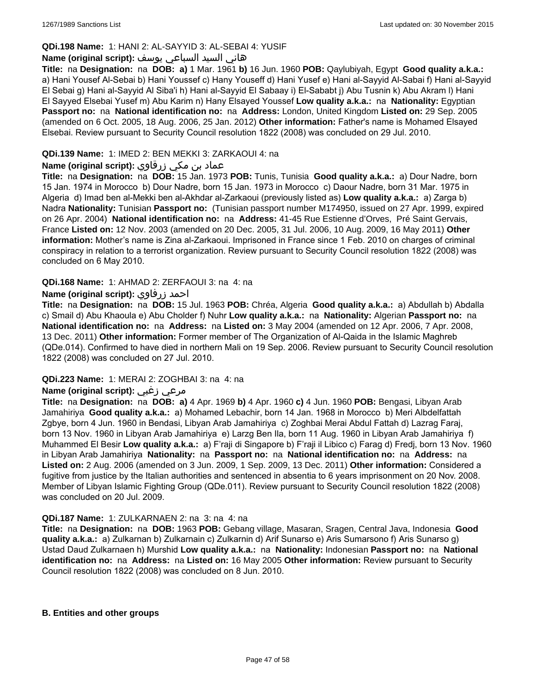## **QDi.198 Name:** 1: HANI 2: AL-SAYYID 3: AL-SEBAI 4: YUSIF

### هاني السيد السباعي يوسف **:(script original (Name**

**Title:** na **Designation:** na **DOB: a)** 1 Mar. 1961 **b)** 16 Jun. 1960 **POB:** Qaylubiyah, Egypt **Good quality a.k.a.:**  a) Hani Yousef Al-Sebai b) Hani Youssef c) Hany Youseff d) Hani Yusef e) Hani al-Sayyid Al-Sabai f) Hani al-Sayyid El Sebai g) Hani al-Sayyid Al Siba'i h) Hani al-Sayyid El Sabaay i) El-Sababt j) Abu Tusnin k) Abu Akram l) Hani El Sayyed Elsebai Yusef m) Abu Karim n) Hany Elsayed Youssef **Low quality a.k.a.:** na **Nationality:** Egyptian **Passport no:** na **National identification no:** na **Address:** London, United Kingdom **Listed on:** 29 Sep. 2005 (amended on 6 Oct. 2005, 18 Aug. 2006, 25 Jan. 2012) **Other information:** Father's name is Mohamed Elsayed Elsebai. Review pursuant to Security Council resolution 1822 (2008) was concluded on 29 Jul. 2010.

## **QDi.139 Name:** 1: IMED 2: BEN MEKKI 3: ZARKAOUI 4: na

## عماد بن مكي زرقاوي **:(script original (Name**

**Title:** na **Designation:** na **DOB:** 15 Jan. 1973 **POB:** Tunis, Tunisia **Good quality a.k.a.:** a) Dour Nadre, born 15 Jan. 1974 in Morocco b) Dour Nadre, born 15 Jan. 1973 in Morocco c) Daour Nadre, born 31 Mar. 1975 in Algeria d) Imad ben al-Mekki ben al-Akhdar al-Zarkaoui (previously listed as) **Low quality a.k.a.:** a) Zarga b) Nadra **Nationality:** Tunisian **Passport no:** (Tunisian passport number M174950, issued on 27 Apr. 1999, expired on 26 Apr. 2004) **National identification no:** na **Address:** 41-45 Rue Estienne d'Orves, Pré Saint Gervais, France **Listed on:** 12 Nov. 2003 (amended on 20 Dec. 2005, 31 Jul. 2006, 10 Aug. 2009, 16 May 2011) **Other information:** Mother's name is Zina al-Zarkaoui. Imprisoned in France since 1 Feb. 2010 on charges of criminal conspiracy in relation to a terrorist organization. Review pursuant to Security Council resolution 1822 (2008) was concluded on 6 May 2010.

### **QDi.168 Name:** 1: AHMAD 2: ZERFAOUI 3: na 4: na

### **Name (original script):** زرفاوي احمد

**Title:** na **Designation:** na **DOB:** 15 Jul. 1963 **POB:** Chréa, Algeria **Good quality a.k.a.:** a) Abdullah b) Abdalla c) Smail d) Abu Khaoula e) Abu Cholder f) Nuhr **Low quality a.k.a.:** na **Nationality:** Algerian **Passport no:** na **National identification no:** na **Address:** na **Listed on:** 3 May 2004 (amended on 12 Apr. 2006, 7 Apr. 2008, 13 Dec. 2011) **Other information:** Former member of The Organization of Al-Qaida in the Islamic Maghreb (QDe.014). Confirmed to have died in northern Mali on 19 Sep. 2006. Review pursuant to Security Council resolution 1822 (2008) was concluded on 27 Jul. 2010.

### **QDi.223 Name:** 1: MERAI 2: ZOGHBAI 3: na 4: na

## **Name (original script):** زغبي مرعي

**Title:** na **Designation:** na **DOB: a)** 4 Apr. 1969 **b)** 4 Apr. 1960 **c)** 4 Jun. 1960 **POB:** Bengasi, Libyan Arab Jamahiriya **Good quality a.k.a.:** a) Mohamed Lebachir, born 14 Jan. 1968 in Morocco b) Meri Albdelfattah Zgbye, born 4 Jun. 1960 in Bendasi, Libyan Arab Jamahiriya c) Zoghbai Merai Abdul Fattah d) Lazrag Faraj, born 13 Nov. 1960 in Libyan Arab Jamahiriya e) Larzg Ben Ila, born 11 Aug. 1960 in Libyan Arab Jamahiriya f) Muhammed El Besir **Low quality a.k.a.:** a) F'raji di Singapore b) F'raji il Libico c) Farag d) Fredj, born 13 Nov. 1960 in Libyan Arab Jamahiriya **Nationality:** na **Passport no:** na **National identification no:** na **Address:** na **Listed on:** 2 Aug. 2006 (amended on 3 Jun. 2009, 1 Sep. 2009, 13 Dec. 2011) **Other information:** Considered a fugitive from justice by the Italian authorities and sentenced in absentia to 6 years imprisonment on 20 Nov. 2008. Member of Libyan Islamic Fighting Group (QDe.011). Review pursuant to Security Council resolution 1822 (2008) was concluded on 20 Jul. 2009.

### **QDi.187 Name:** 1: ZULKARNAEN 2: na 3: na 4: na

**Title:** na **Designation:** na **DOB:** 1963 **POB:** Gebang village, Masaran, Sragen, Central Java, Indonesia **Good quality a.k.a.:** a) Zulkarnan b) Zulkarnain c) Zulkarnin d) Arif Sunarso e) Aris Sumarsono f) Aris Sunarso g) Ustad Daud Zulkarnaen h) Murshid **Low quality a.k.a.:** na **Nationality:** Indonesian **Passport no:** na **National identification no:** na **Address:** na **Listed on:** 16 May 2005 **Other information:** Review pursuant to Security Council resolution 1822 (2008) was concluded on 8 Jun. 2010.

### **B. Entities and other groups**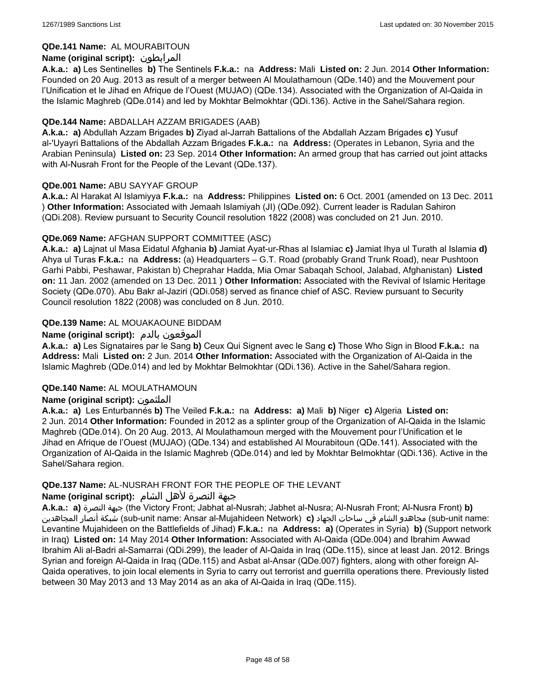## **QDe.141 Name:** AL MOURABITOUN

## **Name (original script):** المرابطون

**A.k.a.: a)** Les Sentinelles **b)** The Sentinels **F.k.a.:** na **Address:** Mali **Listed on:** 2 Jun. 2014 **Other Information:**  Founded on 20 Aug. 2013 as result of a merger between Al Moulathamoun (QDe.140) and the Mouvement pour l'Unification et le Jihad en Afrique de l'Ouest (MUJAO) (QDe.134). Associated with the Organization of Al-Qaida in the Islamic Maghreb (QDe.014) and led by Mokhtar Belmokhtar (QDi.136). Active in the Sahel/Sahara region.

## **QDe.144 Name:** ABDALLAH AZZAM BRIGADES (AAB)

**A.k.a.: a)** Abdullah Azzam Brigades **b)** Ziyad al-Jarrah Battalions of the Abdallah Azzam Brigades **c)** Yusuf al-'Uyayri Battalions of the Abdallah Azzam Brigades **F.k.a.:** na **Address:** (Operates in Lebanon, Syria and the Arabian Peninsula) **Listed on:** 23 Sep. 2014 **Other Information:** An armed group that has carried out joint attacks with Al-Nusrah Front for the People of the Levant (QDe.137).

### **QDe.001 Name:** ABU SAYYAF GROUP

**A.k.a.:** Al Harakat Al Islamiyya **F.k.a.:** na **Address:** Philippines **Listed on:** 6 Oct. 2001 (amended on 13 Dec. 2011 ) **Other Information:** Associated with Jemaah Islamiyah (JI) (QDe.092). Current leader is Radulan Sahiron (QDi.208). Review pursuant to Security Council resolution 1822 (2008) was concluded on 21 Jun. 2010.

## **QDe.069 Name:** AFGHAN SUPPORT COMMITTEE (ASC)

**A.k.a.: a)** Lajnat ul Masa Eidatul Afghania **b)** Jamiat Ayat-ur-Rhas al Islamiac **c)** Jamiat Ihya ul Turath al Islamia **d)** Ahya ul Turas **F.k.a.:** na **Address:** (a) Headquarters – G.T. Road (probably Grand Trunk Road), near Pushtoon Garhi Pabbi, Peshawar, Pakistan b) Cheprahar Hadda, Mia Omar Sabaqah School, Jalabad, Afghanistan) **Listed on:** 11 Jan. 2002 (amended on 13 Dec. 2011 ) **Other Information:** Associated with the Revival of Islamic Heritage Society (QDe.070). Abu Bakr al-Jaziri (QDi.058) served as finance chief of ASC. Review pursuant to Security Council resolution 1822 (2008) was concluded on 8 Jun. 2010.

## **QDe.139 Name:** AL MOUAKAOUNE BIDDAM

## **Name (original script):** بالدم الموقعون

**A.k.a.: a)** Les Signataires par le Sang **b)** Ceux Qui Signent avec le Sang **c)** Those Who Sign in Blood **F.k.a.:** na **Address:** Mali **Listed on:** 2 Jun. 2014 **Other Information:** Associated with the Organization of Al-Qaida in the Islamic Maghreb (QDe.014) and led by Mokhtar Belmokhtar (QDi.136). Active in the Sahel/Sahara region.

### **QDe.140 Name:** AL MOULATHAMOUN

## **Name (original script):** الملثمون

**A.k.a.: a)** Les Enturbannés **b)** The Veiled **F.k.a.:** na **Address: a)** Mali **b)** Niger **c)** Algeria **Listed on:** 2 Jun. 2014 **Other Information:** Founded in 2012 as a splinter group of the Organization of Al-Qaida in the Islamic Maghreb (QDe.014). On 20 Aug. 2013, Al Moulathamoun merged with the Mouvement pour l'Unification et le Jihad en Afrique de l'Ouest (MUJAO) (QDe.134) and established Al Mourabitoun (QDe.141). Associated with the Organization of Al-Qaida in the Islamic Maghreb (QDe.014) and led by Mokhtar Belmokhtar (QDi.136). Active in the Sahel/Sahara region.

### **QDe.137 Name:** AL-NUSRAH FRONT FOR THE PEOPLE OF THE LEVANT

### جبهة النصرة لأهل الشام **:(script original (Name**

**A.k.a.: a)** النصرة جبهة) the Victory Front; Jabhat al-Nusrah; Jabhet al-Nusra; Al-Nusrah Front; Al-Nusra Front) **b)**  المجاهدين أنصار شبكة) sub-unit name: Ansar al-Mujahideen Network) **c)** الجهاد ساحات في الشام مجاهدو) sub-unit name: Levantine Mujahideen on the Battlefields of Jihad) **F.k.a.:** na **Address: a)** (Operates in Syria) **b)** (Support network in Iraq) **Listed on:** 14 May 2014 **Other Information:** Associated with Al-Qaida (QDe.004) and Ibrahim Awwad Ibrahim Ali al-Badri al-Samarrai (QDi.299), the leader of Al-Qaida in Iraq (QDe.115), since at least Jan. 2012. Brings Syrian and foreign Al-Qaida in Iraq (QDe.115) and Asbat al-Ansar (QDe.007) fighters, along with other foreign Al-Qaida operatives, to join local elements in Syria to carry out terrorist and guerrilla operations there. Previously listed between 30 May 2013 and 13 May 2014 as an aka of Al-Qaida in Iraq (QDe.115).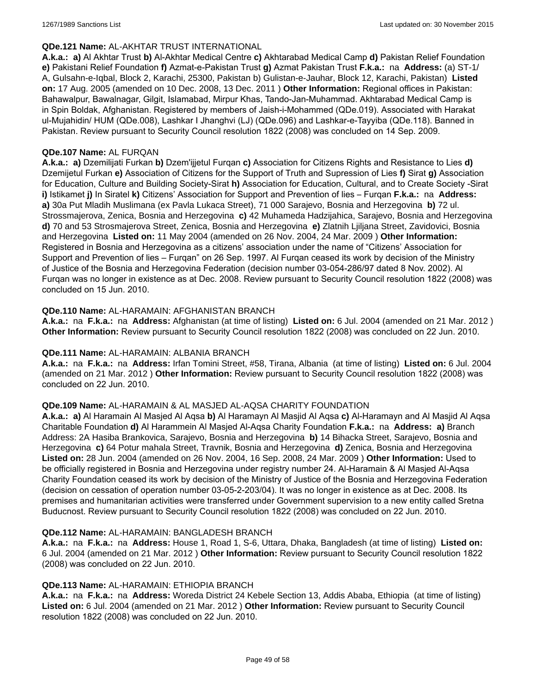### **QDe.121 Name:** AL-AKHTAR TRUST INTERNATIONAL

**A.k.a.: a)** Al Akhtar Trust **b)** Al-Akhtar Medical Centre **c)** Akhtarabad Medical Camp **d)** Pakistan Relief Foundation **e)** Pakistani Relief Foundation **f)** Azmat-e-Pakistan Trust **g)** Azmat Pakistan Trust **F.k.a.:** na **Address:** (a) ST-1/ A, Gulsahn-e-Iqbal, Block 2, Karachi, 25300, Pakistan b) Gulistan-e-Jauhar, Block 12, Karachi, Pakistan) **Listed on:** 17 Aug. 2005 (amended on 10 Dec. 2008, 13 Dec. 2011 ) **Other Information:** Regional offices in Pakistan: Bahawalpur, Bawalnagar, Gilgit, Islamabad, Mirpur Khas, Tando-Jan-Muhammad. Akhtarabad Medical Camp is in Spin Boldak, Afghanistan. Registered by members of Jaish-i-Mohammed (QDe.019). Associated with Harakat ul-Mujahidin/ HUM (QDe.008), Lashkar I Jhanghvi (LJ) (QDe.096) and Lashkar-e-Tayyiba (QDe.118). Banned in Pakistan. Review pursuant to Security Council resolution 1822 (2008) was concluded on 14 Sep. 2009.

### **QDe.107 Name:** AL FURQAN

**A.k.a.: a)** Dzemilijati Furkan **b)** Dzem'ijjetul Furqan **c)** Association for Citizens Rights and Resistance to Lies **d)** Dzemijetul Furkan **e)** Association of Citizens for the Support of Truth and Supression of Lies **f)** Sirat **g)** Association for Education, Culture and Building Society-Sirat **h)** Association for Education, Cultural, and to Create Society -Sirat **i)** Istikamet **j)** In Siratel **k)** Citizens' Association for Support and Prevention of lies – Furqan **F.k.a.:** na **Address: a)** 30a Put Mladih Muslimana (ex Pavla Lukaca Street), 71 000 Sarajevo, Bosnia and Herzegovina **b)** 72 ul. Strossmajerova, Zenica, Bosnia and Herzegovina **c)** 42 Muhameda Hadzijahica, Sarajevo, Bosnia and Herzegovina **d)** 70 and 53 Strosmajerova Street, Zenica, Bosnia and Herzegovina **e)** Zlatnih Ljiljana Street, Zavidovici, Bosnia and Herzegovina **Listed on:** 11 May 2004 (amended on 26 Nov. 2004, 24 Mar. 2009 ) **Other Information:** Registered in Bosnia and Herzegovina as a citizens' association under the name of "Citizens' Association for Support and Prevention of lies – Furqan" on 26 Sep. 1997. Al Furqan ceased its work by decision of the Ministry of Justice of the Bosnia and Herzegovina Federation (decision number 03-054-286/97 dated 8 Nov. 2002). Al Furqan was no longer in existence as at Dec. 2008. Review pursuant to Security Council resolution 1822 (2008) was concluded on 15 Jun. 2010.

### **QDe.110 Name:** AL-HARAMAIN: AFGHANISTAN BRANCH

**A.k.a.:** na **F.k.a.:** na **Address:** Afghanistan (at time of listing) **Listed on:** 6 Jul. 2004 (amended on 21 Mar. 2012 ) **Other Information:** Review pursuant to Security Council resolution 1822 (2008) was concluded on 22 Jun. 2010.

### **QDe.111 Name:** AL-HARAMAIN: ALBANIA BRANCH

**A.k.a.:** na **F.k.a.:** na **Address:** Irfan Tomini Street, #58, Tirana, Albania (at time of listing) **Listed on:** 6 Jul. 2004 (amended on 21 Mar. 2012 ) **Other Information:** Review pursuant to Security Council resolution 1822 (2008) was concluded on 22 Jun. 2010.

### **QDe.109 Name:** AL-HARAMAIN & AL MASJED AL-AQSA CHARITY FOUNDATION

**A.k.a.: a)** Al Haramain Al Masjed Al Aqsa **b)** Al Haramayn Al Masjid Al Aqsa **c)** Al-Haramayn and Al Masjid Al Aqsa Charitable Foundation **d)** Al Harammein Al Masjed Al-Aqsa Charity Foundation **F.k.a.:** na **Address: a)** Branch Address: 2A Hasiba Brankovica, Sarajevo, Bosnia and Herzegovina **b)** 14 Bihacka Street, Sarajevo, Bosnia and Herzegovina **c)** 64 Potur mahala Street, Travnik, Bosnia and Herzegovina **d)** Zenica, Bosnia and Herzegovina **Listed on:** 28 Jun. 2004 (amended on 26 Nov. 2004, 16 Sep. 2008, 24 Mar. 2009 ) **Other Information:** Used to be officially registered in Bosnia and Herzegovina under registry number 24. Al-Haramain & Al Masjed Al-Aqsa Charity Foundation ceased its work by decision of the Ministry of Justice of the Bosnia and Herzegovina Federation (decision on cessation of operation number 03-05-2-203/04). It was no longer in existence as at Dec. 2008. Its premises and humanitarian activities were transferred under Government supervision to a new entity called Sretna Buducnost. Review pursuant to Security Council resolution 1822 (2008) was concluded on 22 Jun. 2010.

### **QDe.112 Name:** AL-HARAMAIN: BANGLADESH BRANCH

**A.k.a.:** na **F.k.a.:** na **Address:** House 1, Road 1, S-6, Uttara, Dhaka, Bangladesh (at time of listing) **Listed on:** 6 Jul. 2004 (amended on 21 Mar. 2012 ) **Other Information:** Review pursuant to Security Council resolution 1822 (2008) was concluded on 22 Jun. 2010.

### **QDe.113 Name:** AL-HARAMAIN: ETHIOPIA BRANCH

**A.k.a.:** na **F.k.a.:** na **Address:** Woreda District 24 Kebele Section 13, Addis Ababa, Ethiopia (at time of listing) **Listed on:** 6 Jul. 2004 (amended on 21 Mar. 2012 ) **Other Information:** Review pursuant to Security Council resolution 1822 (2008) was concluded on 22 Jun. 2010.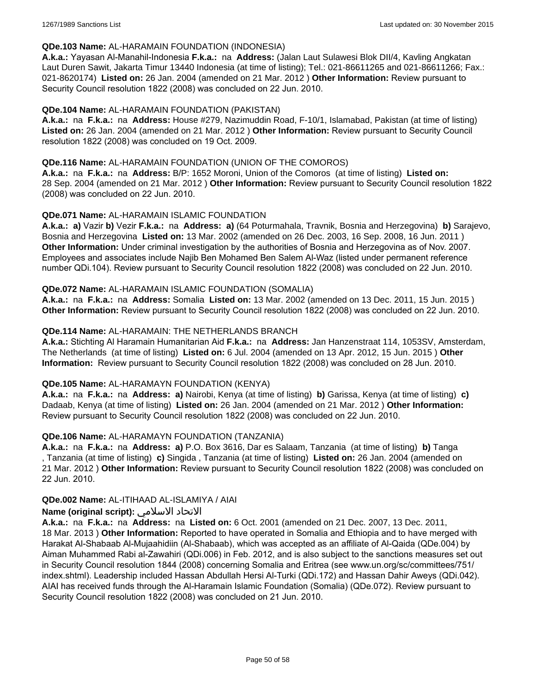### **QDe.103 Name:** AL-HARAMAIN FOUNDATION (INDONESIA)

**A.k.a.:** Yayasan Al-Manahil-Indonesia **F.k.a.:** na **Address:** (Jalan Laut Sulawesi Blok DII/4, Kavling Angkatan Laut Duren Sawit, Jakarta Timur 13440 Indonesia (at time of listing); Tel.: 021-86611265 and 021-86611266; Fax.: 021-8620174) **Listed on:** 26 Jan. 2004 (amended on 21 Mar. 2012 ) **Other Information:** Review pursuant to Security Council resolution 1822 (2008) was concluded on 22 Jun. 2010.

### **QDe.104 Name:** AL-HARAMAIN FOUNDATION (PAKISTAN)

**A.k.a.:** na **F.k.a.:** na **Address:** House #279, Nazimuddin Road, F-10/1, Islamabad, Pakistan (at time of listing) **Listed on:** 26 Jan. 2004 (amended on 21 Mar. 2012 ) **Other Information:** Review pursuant to Security Council resolution 1822 (2008) was concluded on 19 Oct. 2009.

### **QDe.116 Name:** AL-HARAMAIN FOUNDATION (UNION OF THE COMOROS)

**A.k.a.:** na **F.k.a.:** na **Address:** B/P: 1652 Moroni, Union of the Comoros (at time of listing) **Listed on:** 28 Sep. 2004 (amended on 21 Mar. 2012 ) **Other Information:** Review pursuant to Security Council resolution 1822 (2008) was concluded on 22 Jun. 2010.

### **QDe.071 Name:** AL-HARAMAIN ISLAMIC FOUNDATION

**A.k.a.: a)** Vazir **b)** Vezir **F.k.a.:** na **Address: a)** (64 Poturmahala, Travnik, Bosnia and Herzegovina) **b)** Sarajevo, Bosnia and Herzegovina **Listed on:** 13 Mar. 2002 (amended on 26 Dec. 2003, 16 Sep. 2008, 16 Jun. 2011 ) **Other Information:** Under criminal investigation by the authorities of Bosnia and Herzegovina as of Nov. 2007. Employees and associates include Najib Ben Mohamed Ben Salem Al-Waz (listed under permanent reference number QDi.104). Review pursuant to Security Council resolution 1822 (2008) was concluded on 22 Jun. 2010.

### **QDe.072 Name:** AL-HARAMAIN ISLAMIC FOUNDATION (SOMALIA)

**A.k.a.:** na **F.k.a.:** na **Address:** Somalia **Listed on:** 13 Mar. 2002 (amended on 13 Dec. 2011, 15 Jun. 2015 ) **Other Information:** Review pursuant to Security Council resolution 1822 (2008) was concluded on 22 Jun. 2010.

### **QDe.114 Name:** AL-HARAMAIN: THE NETHERLANDS BRANCH

**A.k.a.:** Stichting Al Haramain Humanitarian Aid **F.k.a.:** na **Address:** Jan Hanzenstraat 114, 1053SV, Amsterdam, The Netherlands (at time of listing) **Listed on:** 6 Jul. 2004 (amended on 13 Apr. 2012, 15 Jun. 2015 ) **Other Information:** Review pursuant to Security Council resolution 1822 (2008) was concluded on 28 Jun. 2010.

### **QDe.105 Name:** AL-HARAMAYN FOUNDATION (KENYA)

**A.k.a.:** na **F.k.a.:** na **Address: a)** Nairobi, Kenya (at time of listing) **b)** Garissa, Kenya (at time of listing) **c)** Dadaab, Kenya (at time of listing) **Listed on:** 26 Jan. 2004 (amended on 21 Mar. 2012 ) **Other Information:** Review pursuant to Security Council resolution 1822 (2008) was concluded on 22 Jun. 2010.

### **QDe.106 Name:** AL-HARAMAYN FOUNDATION (TANZANIA)

**A.k.a.:** na **F.k.a.:** na **Address: a)** P.O. Box 3616, Dar es Salaam, Tanzania (at time of listing) **b)** Tanga , Tanzania (at time of listing) **c)** Singida , Tanzania (at time of listing) **Listed on:** 26 Jan. 2004 (amended on 21 Mar. 2012 ) **Other Information:** Review pursuant to Security Council resolution 1822 (2008) was concluded on 22 Jun. 2010.

### **QDe.002 Name:** AL-ITIHAAD AL-ISLAMIYA / AIAI

## **Name (original script):** الاسلامي الاتحاد

**A.k.a.:** na **F.k.a.:** na **Address:** na **Listed on:** 6 Oct. 2001 (amended on 21 Dec. 2007, 13 Dec. 2011, 18 Mar. 2013 ) **Other Information:** Reported to have operated in Somalia and Ethiopia and to have merged with Harakat Al-Shabaab Al-Mujaahidiin (Al-Shabaab), which was accepted as an affiliate of Al-Qaida (QDe.004) by Aiman Muhammed Rabi al-Zawahiri (QDi.006) in Feb. 2012, and is also subject to the sanctions measures set out in Security Council resolution 1844 (2008) concerning Somalia and Eritrea (see www.un.org/sc/committees/751/ index.shtml). Leadership included Hassan Abdullah Hersi Al-Turki (QDi.172) and Hassan Dahir Aweys (QDi.042). AIAI has received funds through the Al-Haramain Islamic Foundation (Somalia) (QDe.072). Review pursuant to Security Council resolution 1822 (2008) was concluded on 21 Jun. 2010.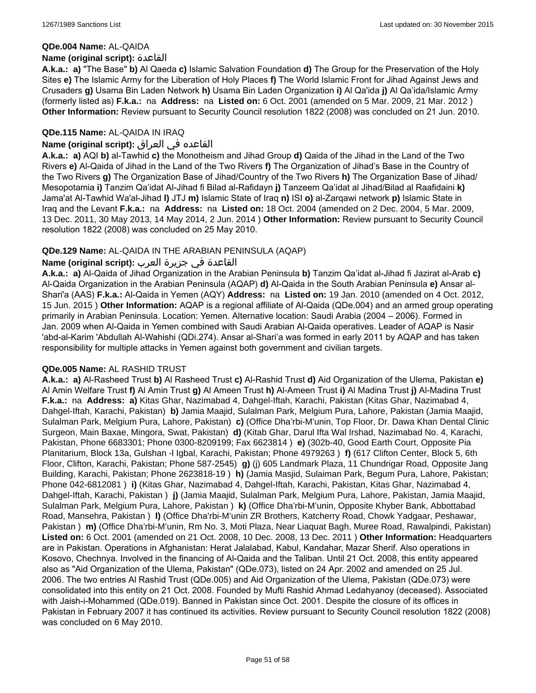### **QDe.004 Name:** AL-QAIDA

### **Name (original script):** القاعدة

**A.k.a.: a)** "The Base" **b)** Al Qaeda **c)** Islamic Salvation Foundation **d)** The Group for the Preservation of the Holy Sites **e)** The Islamic Army for the Liberation of Holy Places **f)** The World Islamic Front for Jihad Against Jews and Crusaders **g)** Usama Bin Laden Network **h)** Usama Bin Laden Organization **i)** Al Qa'ida **j)** Al Qa'ida/Islamic Army (formerly listed as) **F.k.a.:** na **Address:** na **Listed on:** 6 Oct. 2001 (amended on 5 Mar. 2009, 21 Mar. 2012 ) **Other Information:** Review pursuant to Security Council resolution 1822 (2008) was concluded on 21 Jun. 2010.

## **QDe.115 Name:** AL-QAIDA IN IRAQ

## القاعده في العراق **:(script original (Name**

**A.k.a.: a)** AQI **b)** al-Tawhid **c)** the Monotheism and Jihad Group **d)** Qaida of the Jihad in the Land of the Two Rivers **e)** Al-Qaida of Jihad in the Land of the Two Rivers **f)** The Organization of Jihad's Base in the Country of the Two Rivers **g)** The Organization Base of Jihad/Country of the Two Rivers **h)** The Organization Base of Jihad/ Mesopotamia **i)** Tanzim Qa'idat Al-Jihad fi Bilad al-Rafidayn **j)** Tanzeem Qa'idat al Jihad/Bilad al Raafidaini **k)** Jama'at Al-Tawhid Wa'al-Jihad **l)** JTJ **m)** Islamic State of Iraq **n)** ISI **o)** al-Zarqawi network **p)** Islamic State in Iraq and the Levant **F.k.a.:** na **Address:** na **Listed on:** 18 Oct. 2004 (amended on 2 Dec. 2004, 5 Mar. 2009, 13 Dec. 2011, 30 May 2013, 14 May 2014, 2 Jun. 2014 ) **Other Information:** Review pursuant to Security Council resolution 1822 (2008) was concluded on 25 May 2010.

## **QDe.129 Name:** AL-QAIDA IN THE ARABIAN PENINSULA (AQAP)

## القاعدة في جزيرة العرب **:(script original (Name**

**A.k.a.: a)** Al-Qaida of Jihad Organization in the Arabian Peninsula **b)** Tanzim Qa'idat al-Jihad fi Jazirat al-Arab **c)** Al-Qaida Organization in the Arabian Peninsula (AQAP) **d)** Al-Qaida in the South Arabian Peninsula **e)** Ansar al-Shari'a (AAS) **F.k.a.:** Al-Qaida in Yemen (AQY) **Address:** na **Listed on:** 19 Jan. 2010 (amended on 4 Oct. 2012, 15 Jun. 2015 ) **Other Information:** AQAP is a regional affiliate of Al-Qaida (QDe.004) and an armed group operating primarily in Arabian Peninsula. Location: Yemen. Alternative location: Saudi Arabia (2004 – 2006). Formed in Jan. 2009 when Al-Qaida in Yemen combined with Saudi Arabian Al-Qaida operatives. Leader of AQAP is Nasir 'abd-al-Karim 'Abdullah Al-Wahishi (QDi.274). Ansar al-Shari'a was formed in early 2011 by AQAP and has taken responsibility for multiple attacks in Yemen against both government and civilian targets.

## **QDe.005 Name:** AL RASHID TRUST

**A.k.a.: a)** Al-Rasheed Trust **b)** Al Rasheed Trust **c)** Al-Rashid Trust **d)** Aid Organization of the Ulema, Pakistan **e)** Al Amin Welfare Trust **f)** Al Amin Trust **g)** Al Ameen Trust **h)** Al-Ameen Trust **i)** Al Madina Trust **j)** Al-Madina Trust **F.k.a.:** na **Address: a)** Kitas Ghar, Nazimabad 4, Dahgel-Iftah, Karachi, Pakistan (Kitas Ghar, Nazimabad 4, Dahgel-Iftah, Karachi, Pakistan) **b)** Jamia Maajid, Sulalman Park, Melgium Pura, Lahore, Pakistan (Jamia Maajid, Sulalman Park, Melgium Pura, Lahore, Pakistan) **c)** (Office Dha'rbi-M'unin, Top Floor, Dr. Dawa Khan Dental Clinic Surgeon, Main Baxae, Mingora, Swat, Pakistan) **d)** (Kitab Ghar, Darul Ifta Wal Irshad, Nazimabad No. 4, Karachi, Pakistan, Phone 6683301; Phone 0300-8209199; Fax 6623814 ) **e)** (302b-40, Good Earth Court, Opposite Pia Planitarium, Block 13a, Gulshan -l Igbal, Karachi, Pakistan; Phone 4979263 ) **f)** (617 Clifton Center, Block 5, 6th Floor, Clifton, Karachi, Pakistan; Phone 587-2545) **g)** (j) 605 Landmark Plaza, 11 Chundrigar Road, Opposite Jang Building, Karachi, Pakistan; Phone 2623818-19 ) **h)** (Jamia Masjid, Sulaiman Park, Begum Pura, Lahore, Pakistan; Phone 042-6812081 ) **i)** (Kitas Ghar, Nazimabad 4, Dahgel-Iftah, Karachi, Pakistan, Kitas Ghar, Nazimabad 4, Dahgel-Iftah, Karachi, Pakistan ) **j)** (Jamia Maajid, Sulalman Park, Melgium Pura, Lahore, Pakistan, Jamia Maajid, Sulalman Park, Melgium Pura, Lahore, Pakistan ) **k)** (Office Dha'rbi-M'unin, Opposite Khyber Bank, Abbottabad Road, Mansehra, Pakistan ) **l)** (Office Dha'rbi-M'unin ZR Brothers, Katcherry Road, Chowk Yadgaar, Peshawar, Pakistan ) **m)** (Office Dha'rbi-M'unin, Rm No. 3, Moti Plaza, Near Liaquat Bagh, Muree Road, Rawalpindi, Pakistan) **Listed on:** 6 Oct. 2001 (amended on 21 Oct. 2008, 10 Dec. 2008, 13 Dec. 2011 ) **Other Information:** Headquarters are in Pakistan. Operations in Afghanistan: Herat Jalalabad, Kabul, Kandahar, Mazar Sherif. Also operations in Kosovo, Chechnya. Involved in the financing of Al-Qaida and the Taliban. Until 21 Oct. 2008, this entity appeared also as "Aid Organization of the Ulema, Pakistan" (QDe.073), listed on 24 Apr. 2002 and amended on 25 Jul. 2006. The two entries Al Rashid Trust (QDe.005) and Aid Organization of the Ulema, Pakistan (QDe.073) were consolidated into this entity on 21 Oct. 2008. Founded by Mufti Rashid Ahmad Ledahyanoy (deceased). Associated with Jaish-i-Mohammed (QDe.019). Banned in Pakistan since Oct. 2001. Despite the closure of its offices in Pakistan in February 2007 it has continued its activities. Review pursuant to Security Council resolution 1822 (2008) was concluded on 6 May 2010.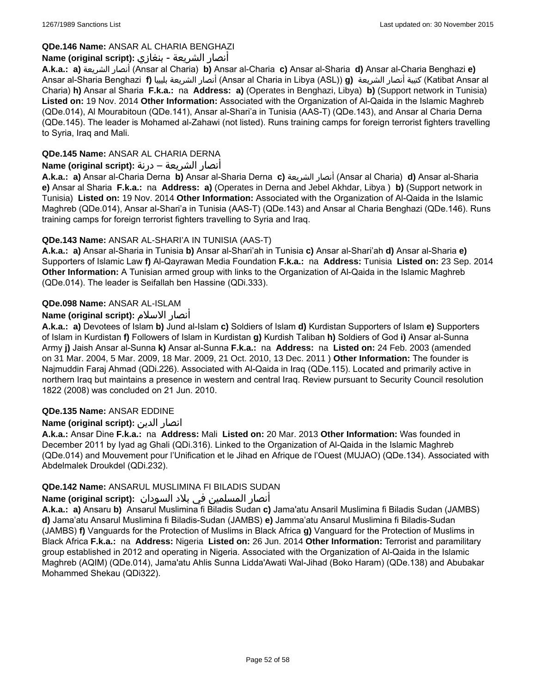## **QDe.146 Name:** ANSAR AL CHARIA BENGHAZI

## أنصار الشريعة - بنغازي **:(script original (Name**

**A.k.a.: a)** الشريعة أنصار) Ansar al Charia) **b)** Ansar al-Charia **c)** Ansar al-Sharia **d)** Ansar al-Charia Benghazi **e)** Ansar al-Sharia Benghazi **f)** بليبيا الشريعة أنصار) Ansar al Charia in Libya (ASL)) **g)** الشريعة أنصار كتيبة) Katibat Ansar al Charia) **h)** Ansar al Sharia **F.k.a.:** na **Address: a)** (Operates in Benghazi, Libya) **b)** (Support network in Tunisia) **Listed on:** 19 Nov. 2014 **Other Information:** Associated with the Organization of Al-Qaida in the Islamic Maghreb (QDe.014), Al Mourabitoun (QDe.141), Ansar al-Shari'a in Tunisia (AAS-T) (QDe.143), and Ansar al Charia Derna (QDe.145). The leader is Mohamed al-Zahawi (not listed). Runs training camps for foreign terrorist fighters travelling to Syria, Iraq and Mali.

## **QDe.145 Name:** ANSAR AL CHARIA DERNA

## أنصار الشريعة – درنة **:(script original (Name**

**A.k.a.: a)** Ansar al-Charia Derna **b)** Ansar al-Sharia Derna **c)** الشريعة أنصار) Ansar al Charia) **d)** Ansar al-Sharia **e)** Ansar al Sharia **F.k.a.:** na **Address: a)** (Operates in Derna and Jebel Akhdar, Libya ) **b)** (Support network in Tunisia) **Listed on:** 19 Nov. 2014 **Other Information:** Associated with the Organization of Al-Qaida in the Islamic Maghreb (QDe.014), Ansar al-Shari'a in Tunisia (AAS-T) (QDe.143) and Ansar al Charia Benghazi (QDe.146). Runs training camps for foreign terrorist fighters travelling to Syria and Iraq.

## **QDe.143 Name:** ANSAR AL-SHARI'A IN TUNISIA (AAS-T)

**A.k.a.: a)** Ansar al-Sharia in Tunisia **b)** Ansar al-Shari'ah in Tunisia **c)** Ansar al-Shari'ah **d)** Ansar al-Sharia **e)** Supporters of Islamic Law **f)** Al-Qayrawan Media Foundation **F.k.a.:** na **Address:** Tunisia **Listed on:** 23 Sep. 2014 **Other Information:** A Tunisian armed group with links to the Organization of Al-Qaida in the Islamic Maghreb (QDe.014). The leader is Seifallah ben Hassine (QDi.333).

## **QDe.098 Name:** ANSAR AL-ISLAM

## **Name (original script):** الاسلام أنصار

**A.k.a.: a)** Devotees of Islam **b)** Jund al-Islam **c)** Soldiers of Islam **d)** Kurdistan Supporters of Islam **e)** Supporters of Islam in Kurdistan **f)** Followers of Islam in Kurdistan **g)** Kurdish Taliban **h)** Soldiers of God **i)** Ansar al-Sunna Army **j)** Jaish Ansar al-Sunna **k)** Ansar al-Sunna **F.k.a.:** na **Address:** na **Listed on:** 24 Feb. 2003 (amended on 31 Mar. 2004, 5 Mar. 2009, 18 Mar. 2009, 21 Oct. 2010, 13 Dec. 2011 ) **Other Information:** The founder is Najmuddin Faraj Ahmad (QDi.226). Associated with Al-Qaida in Iraq (QDe.115). Located and primarily active in northern Iraq but maintains a presence in western and central Iraq. Review pursuant to Security Council resolution 1822 (2008) was concluded on 21 Jun. 2010.

## **QDe.135 Name:** ANSAR EDDINE

## **Name (original script):** الدين انصار

**A.k.a.:** Ansar Dine **F.k.a.:** na **Address:** Mali **Listed on:** 20 Mar. 2013 **Other Information:** Was founded in December 2011 by Iyad ag Ghali (QDi.316). Linked to the Organization of Al-Qaida in the Islamic Maghreb (QDe.014) and Mouvement pour l'Unification et le Jihad en Afrique de l'Ouest (MUJAO) (QDe.134). Associated with Abdelmalek Droukdel (QDi.232).

## **QDe.142 Name:** ANSARUL MUSLIMINA FI BILADIS SUDAN

## أنصار المسلمین في بلاد السودان **:(script original (Name**

**A.k.a.: a)** Ansaru **b)** Ansarul Muslimina fi Biladis Sudan **c)** Jama'atu Ansaril Muslimina fi Biladis Sudan (JAMBS) **d)** Jama'atu Ansarul Muslimina fi Biladis-Sudan (JAMBS) **e)** Jamma'atu Ansarul Muslimina fi Biladis-Sudan (JAMBS) **f)** Vanguards for the Protection of Muslims in Black Africa **g)** Vanguard for the Protection of Muslims in Black Africa **F.k.a.:** na **Address:** Nigeria **Listed on:** 26 Jun. 2014 **Other Information:** Terrorist and paramilitary group established in 2012 and operating in Nigeria. Associated with the Organization of Al-Qaida in the Islamic Maghreb (AQIM) (QDe.014), Jama'atu Ahlis Sunna Lidda'Awati Wal-Jihad (Boko Haram) (QDe.138) and Abubakar Mohammed Shekau (QDi322).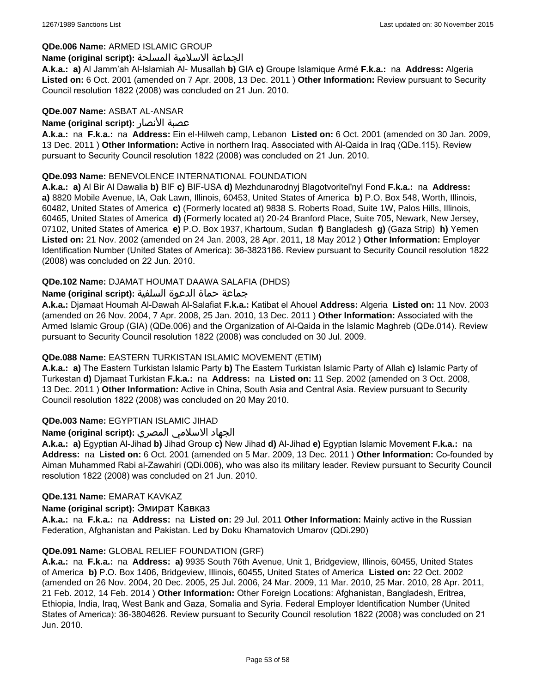### **QDe.006 Name:** ARMED ISLAMIC GROUP

### الجماعة الاسلامية المسلحة **:(script original (Name**

**A.k.a.: a)** Al Jamm'ah Al-Islamiah Al- Musallah **b)** GIA **c)** Groupe Islamique Armé **F.k.a.:** na **Address:** Algeria **Listed on:** 6 Oct. 2001 (amended on 7 Apr. 2008, 13 Dec. 2011 ) **Other Information:** Review pursuant to Security Council resolution 1822 (2008) was concluded on 21 Jun. 2010.

### **QDe.007 Name:** ASBAT AL-ANSAR

### **Name (original script):** الأنصار عصبة

**A.k.a.:** na **F.k.a.:** na **Address:** Ein el-Hilweh camp, Lebanon **Listed on:** 6 Oct. 2001 (amended on 30 Jan. 2009, 13 Dec. 2011 ) **Other Information:** Active in northern Iraq. Associated with Al-Qaida in Iraq (QDe.115). Review pursuant to Security Council resolution 1822 (2008) was concluded on 21 Jun. 2010.

### **QDe.093 Name:** BENEVOLENCE INTERNATIONAL FOUNDATION

**A.k.a.: a)** Al Bir Al Dawalia **b)** BIF **c)** BIF-USA **d)** Mezhdunarodnyj Blagotvoritel'nyl Fond **F.k.a.:** na **Address: a)** 8820 Mobile Avenue, IA, Oak Lawn, Illinois, 60453, United States of America **b)** P.O. Box 548, Worth, Illinois, 60482, United States of America **c)** (Formerly located at) 9838 S. Roberts Road, Suite 1W, Palos Hills, Illinois, 60465, United States of America **d)** (Formerly located at) 20-24 Branford Place, Suite 705, Newark, New Jersey, 07102, United States of America **e)** P.O. Box 1937, Khartoum, Sudan **f)** Bangladesh **g)** (Gaza Strip) **h)** Yemen **Listed on:** 21 Nov. 2002 (amended on 24 Jan. 2003, 28 Apr. 2011, 18 May 2012 ) **Other Information:** Employer Identification Number (United States of America): 36-3823186. Review pursuant to Security Council resolution 1822 (2008) was concluded on 22 Jun. 2010.

### **QDe.102 Name:** DJAMAT HOUMAT DAAWA SALAFIA (DHDS)

### جماعة حماة الدعوة السلفية **:(script original (Name**

**A.k.a.:** Djamaat Houmah Al-Dawah Al-Salafiat **F.k.a.:** Katibat el Ahouel **Address:** Algeria **Listed on:** 11 Nov. 2003 (amended on 26 Nov. 2004, 7 Apr. 2008, 25 Jan. 2010, 13 Dec. 2011 ) **Other Information:** Associated with the Armed Islamic Group (GIA) (QDe.006) and the Organization of Al-Qaida in the Islamic Maghreb (QDe.014). Review pursuant to Security Council resolution 1822 (2008) was concluded on 30 Jul. 2009.

## **QDe.088 Name:** EASTERN TURKISTAN ISLAMIC MOVEMENT (ETIM)

**A.k.a.: a)** The Eastern Turkistan Islamic Party **b)** The Eastern Turkistan Islamic Party of Allah **c)** Islamic Party of Turkestan **d)** Djamaat Turkistan **F.k.a.:** na **Address:** na **Listed on:** 11 Sep. 2002 (amended on 3 Oct. 2008, 13 Dec. 2011 ) **Other Information:** Active in China, South Asia and Central Asia. Review pursuant to Security Council resolution 1822 (2008) was concluded on 20 May 2010.

## **QDe.003 Name:** EGYPTIAN ISLAMIC JIHAD

## الجهاد الاسلامي المصري **:(script original (Name**

**A.k.a.: a)** Egyptian Al-Jihad **b)** Jihad Group **c)** New Jihad **d)** Al-Jihad **e)** Egyptian Islamic Movement **F.k.a.:** na **Address:** na **Listed on:** 6 Oct. 2001 (amended on 5 Mar. 2009, 13 Dec. 2011 ) **Other Information:** Co-founded by Aiman Muhammed Rabi al-Zawahiri (QDi.006), who was also its military leader. Review pursuant to Security Council resolution 1822 (2008) was concluded on 21 Jun. 2010.

### **QDe.131 Name:** EMARAT KAVKAZ

### **Name (original script):** Эмират Кавказ

**A.k.a.:** na **F.k.a.:** na **Address:** na **Listed on:** 29 Jul. 2011 **Other Information:** Mainly active in the Russian Federation, Afghanistan and Pakistan. Led by Doku Khamatovich Umarov (QDi.290)

### **QDe.091 Name:** GLOBAL RELIEF FOUNDATION (GRF)

**A.k.a.:** na **F.k.a.:** na **Address: a)** 9935 South 76th Avenue, Unit 1, Bridgeview, Illinois, 60455, United States of America **b)** P.O. Box 1406, Bridgeview, Illinois, 60455, United States of America **Listed on:** 22 Oct. 2002 (amended on 26 Nov. 2004, 20 Dec. 2005, 25 Jul. 2006, 24 Mar. 2009, 11 Mar. 2010, 25 Mar. 2010, 28 Apr. 2011, 21 Feb. 2012, 14 Feb. 2014 ) **Other Information:** Other Foreign Locations: Afghanistan, Bangladesh, Eritrea, Ethiopia, India, Iraq, West Bank and Gaza, Somalia and Syria. Federal Employer Identification Number (United States of America): 36-3804626. Review pursuant to Security Council resolution 1822 (2008) was concluded on 21 Jun. 2010.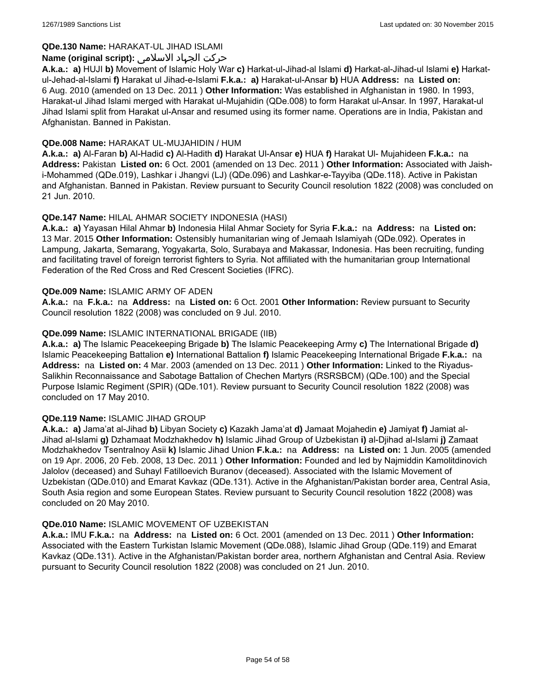## **QDe.130 Name:** HARAKAT-UL JIHAD ISLAMI

## حرکت الجہاد الاسلامی **:(script original (Name**

**A.k.a.: a)** HUJI **b)** Movement of Islamic Holy War **c)** Harkat-ul-Jihad-al Islami **d)** Harkat-al-Jihad-ul Islami **e)** Harkatul-Jehad-al-Islami **f)** Harakat ul Jihad-e-Islami **F.k.a.: a)** Harakat-ul-Ansar **b)** HUA **Address:** na **Listed on:** 6 Aug. 2010 (amended on 13 Dec. 2011 ) **Other Information:** Was established in Afghanistan in 1980. In 1993, Harakat-ul Jihad Islami merged with Harakat ul-Mujahidin (QDe.008) to form Harakat ul-Ansar. In 1997, Harakat-ul Jihad Islami split from Harakat ul-Ansar and resumed using its former name. Operations are in India, Pakistan and Afghanistan. Banned in Pakistan.

### **QDe.008 Name:** HARAKAT UL-MUJAHIDIN / HUM

**A.k.a.: a)** Al-Faran **b)** Al-Hadid **c)** Al-Hadith **d)** Harakat Ul-Ansar **e)** HUA **f)** Harakat Ul- Mujahideen **F.k.a.:** na **Address:** Pakistan **Listed on:** 6 Oct. 2001 (amended on 13 Dec. 2011 ) **Other Information:** Associated with Jaishi-Mohammed (QDe.019), Lashkar i Jhangvi (LJ) (QDe.096) and Lashkar-e-Tayyiba (QDe.118). Active in Pakistan and Afghanistan. Banned in Pakistan. Review pursuant to Security Council resolution 1822 (2008) was concluded on 21 Jun. 2010.

## **QDe.147 Name:** HILAL AHMAR SOCIETY INDONESIA (HASI)

**A.k.a.: a)** Yayasan Hilal Ahmar **b)** Indonesia Hilal Ahmar Society for Syria **F.k.a.:** na **Address:** na **Listed on:** 13 Mar. 2015 **Other Information:** Ostensibly humanitarian wing of Jemaah Islamiyah (QDe.092). Operates in Lampung, Jakarta, Semarang, Yogyakarta, Solo, Surabaya and Makassar, Indonesia. Has been recruiting, funding and facilitating travel of foreign terrorist fighters to Syria. Not affiliated with the humanitarian group International Federation of the Red Cross and Red Crescent Societies (IFRC).

### **QDe.009 Name:** ISLAMIC ARMY OF ADEN

**A.k.a.:** na **F.k.a.:** na **Address:** na **Listed on:** 6 Oct. 2001 **Other Information:** Review pursuant to Security Council resolution 1822 (2008) was concluded on 9 Jul. 2010.

### **QDe.099 Name:** ISLAMIC INTERNATIONAL BRIGADE (IIB)

**A.k.a.: a)** The Islamic Peacekeeping Brigade **b)** The Islamic Peacekeeping Army **c)** The International Brigade **d)** Islamic Peacekeeping Battalion **e)** International Battalion **f)** Islamic Peacekeeping International Brigade **F.k.a.:** na **Address:** na **Listed on:** 4 Mar. 2003 (amended on 13 Dec. 2011 ) **Other Information:** Linked to the Riyadus-Salikhin Reconnaissance and Sabotage Battalion of Chechen Martyrs (RSRSBCM) (QDe.100) and the Special Purpose Islamic Regiment (SPIR) (QDe.101). Review pursuant to Security Council resolution 1822 (2008) was concluded on 17 May 2010.

### **QDe.119 Name:** ISLAMIC JIHAD GROUP

**A.k.a.: a)** Jama'at al-Jihad **b)** Libyan Society **c)** Kazakh Jama'at **d)** Jamaat Mojahedin **e)** Jamiyat **f)** Jamiat al-Jihad al-Islami **g)** Dzhamaat Modzhakhedov **h)** Islamic Jihad Group of Uzbekistan **i)** al-Djihad al-Islami **j)** Zamaat Modzhakhedov Tsentralnoy Asii **k)** Islamic Jihad Union **F.k.a.:** na **Address:** na **Listed on:** 1 Jun. 2005 (amended on 19 Apr. 2006, 20 Feb. 2008, 13 Dec. 2011 ) **Other Information:** Founded and led by Najmiddin Kamolitdinovich Jalolov (deceased) and Suhayl Fatilloevich Buranov (deceased). Associated with the Islamic Movement of Uzbekistan (QDe.010) and Emarat Kavkaz (QDe.131). Active in the Afghanistan/Pakistan border area, Central Asia, South Asia region and some European States. Review pursuant to Security Council resolution 1822 (2008) was concluded on 20 May 2010.

### **QDe.010 Name:** ISLAMIC MOVEMENT OF UZBEKISTAN

**A.k.a.:** IMU **F.k.a.:** na **Address:** na **Listed on:** 6 Oct. 2001 (amended on 13 Dec. 2011 ) **Other Information:** Associated with the Eastern Turkistan Islamic Movement (QDe.088), Islamic Jihad Group (QDe.119) and Emarat Kavkaz (QDe.131). Active in the Afghanistan/Pakistan border area, northern Afghanistan and Central Asia. Review pursuant to Security Council resolution 1822 (2008) was concluded on 21 Jun. 2010.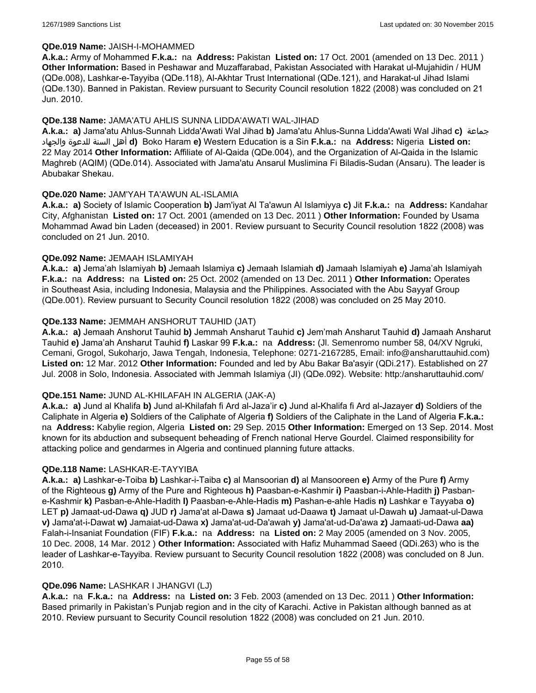### **QDe.019 Name:** JAISH-I-MOHAMMED

**A.k.a.:** Army of Mohammed **F.k.a.:** na **Address:** Pakistan **Listed on:** 17 Oct. 2001 (amended on 13 Dec. 2011 ) **Other Information:** Based in Peshawar and Muzaffarabad, Pakistan Associated with Harakat ul-Mujahidin / HUM (QDe.008), Lashkar-e-Tayyiba (QDe.118), Al-Akhtar Trust International (QDe.121), and Harakat-ul Jihad Islami (QDe.130). Banned in Pakistan. Review pursuant to Security Council resolution 1822 (2008) was concluded on 21 Jun. 2010.

### **QDe.138 Name:** JAMA'ATU AHLIS SUNNA LIDDA'AWATI WAL-JIHAD

**A.k.a.: a)** Jama'atu Ahlus-Sunnah Lidda'Awati Wal Jihad **b)** Jama'atu Ahlus-Sunna Lidda'Awati Wal Jihad **c)** جماعة والجهاد للدعوة السنة أهل **d)** Boko Haram **e)** Western Education is a Sin **F.k.a.:** na **Address:** Nigeria **Listed on:** 22 May 2014 **Other Information:** Affiliate of Al-Qaida (QDe.004), and the Organization of Al-Qaida in the Islamic Maghreb (AQIM) (QDe.014). Associated with Jama'atu Ansarul Muslimina Fi Biladis-Sudan (Ansaru). The leader is Abubakar Shekau.

### **QDe.020 Name:** JAM'YAH TA'AWUN AL-ISLAMIA

**A.k.a.: a)** Society of Islamic Cooperation **b)** Jam'iyat Al Ta'awun Al Islamiyya **c)** Jit **F.k.a.:** na **Address:** Kandahar City, Afghanistan **Listed on:** 17 Oct. 2001 (amended on 13 Dec. 2011 ) **Other Information:** Founded by Usama Mohammad Awad bin Laden (deceased) in 2001. Review pursuant to Security Council resolution 1822 (2008) was concluded on 21 Jun. 2010.

### **QDe.092 Name:** JEMAAH ISLAMIYAH

**A.k.a.: a)** Jema'ah Islamiyah **b)** Jemaah Islamiya **c)** Jemaah Islamiah **d)** Jamaah Islamiyah **e)** Jama'ah Islamiyah **F.k.a.:** na **Address:** na **Listed on:** 25 Oct. 2002 (amended on 13 Dec. 2011 ) **Other Information:** Operates in Southeast Asia, including Indonesia, Malaysia and the Philippines. Associated with the Abu Sayyaf Group (QDe.001). Review pursuant to Security Council resolution 1822 (2008) was concluded on 25 May 2010.

### **QDe.133 Name:** JEMMAH ANSHORUT TAUHID (JAT)

**A.k.a.: a)** Jemaah Anshorut Tauhid **b)** Jemmah Ansharut Tauhid **c)** Jem'mah Ansharut Tauhid **d)** Jamaah Ansharut Tauhid **e)** Jama'ah Ansharut Tauhid **f)** Laskar 99 **F.k.a.:** na **Address:** (Jl. Semenromo number 58, 04/XV Ngruki, Cemani, Grogol, Sukoharjo, Jawa Tengah, Indonesia, Telephone: 0271-2167285, Email: info@ansharuttauhid.com) **Listed on:** 12 Mar. 2012 **Other Information:** Founded and led by Abu Bakar Ba'asyir (QDi.217). Established on 27 Jul. 2008 in Solo, Indonesia. Associated with Jemmah Islamiya (JI) (QDe.092). Website: http:/ansharuttauhid.com/

### **QDe.151 Name:** JUND AL-KHILAFAH IN ALGERIA (JAK-A)

**A.k.a.: a)** Jund al Khalifa **b)** Jund al-Khilafah fi Ard al-Jaza'ir **c)** Jund al-Khalifa fi Ard al-Jazayer **d)** Soldiers of the Caliphate in Algeria **e)** Soldiers of the Caliphate of Algeria **f)** Soldiers of the Caliphate in the Land of Algeria **F.k.a.:**  na **Address:** Kabylie region, Algeria **Listed on:** 29 Sep. 2015 **Other Information:** Emerged on 13 Sep. 2014. Most known for its abduction and subsequent beheading of French national Herve Gourdel. Claimed responsibility for attacking police and gendarmes in Algeria and continued planning future attacks.

### **QDe.118 Name:** LASHKAR-E-TAYYIBA

**A.k.a.: a)** Lashkar-e-Toiba **b)** Lashkar-i-Taiba **c)** al Mansoorian **d)** al Mansooreen **e)** Army of the Pure **f)** Army of the Righteous **g)** Army of the Pure and Righteous **h)** Paasban-e-Kashmir **i)** Paasban-i-Ahle-Hadith **j)** Pasbane-Kashmir **k)** Pasban-e-Ahle-Hadith **l)** Paasban-e-Ahle-Hadis **m)** Pashan-e-ahle Hadis **n)** Lashkar e Tayyaba **o)** LET **p)** Jamaat-ud-Dawa **q)** JUD **r)** Jama'at al-Dawa **s)** Jamaat ud-Daawa **t)** Jamaat ul-Dawah **u)** Jamaat-ul-Dawa **v)** Jama'at-i-Dawat **w)** Jamaiat-ud-Dawa **x)** Jama'at-ud-Da'awah **y)** Jama'at-ud-Da'awa **z)** Jamaati-ud-Dawa **aa)** Falah-i-Insaniat Foundation (FIF) **F.k.a.:** na **Address:** na **Listed on:** 2 May 2005 (amended on 3 Nov. 2005, 10 Dec. 2008, 14 Mar. 2012 ) **Other Information:** Associated with Hafiz Muhammad Saeed (QDi.263) who is the leader of Lashkar-e-Tayyiba. Review pursuant to Security Council resolution 1822 (2008) was concluded on 8 Jun. 2010.

### **QDe.096 Name:** LASHKAR I JHANGVI (LJ)

**A.k.a.:** na **F.k.a.:** na **Address:** na **Listed on:** 3 Feb. 2003 (amended on 13 Dec. 2011 ) **Other Information:** Based primarily in Pakistan's Punjab region and in the city of Karachi. Active in Pakistan although banned as at 2010. Review pursuant to Security Council resolution 1822 (2008) was concluded on 21 Jun. 2010.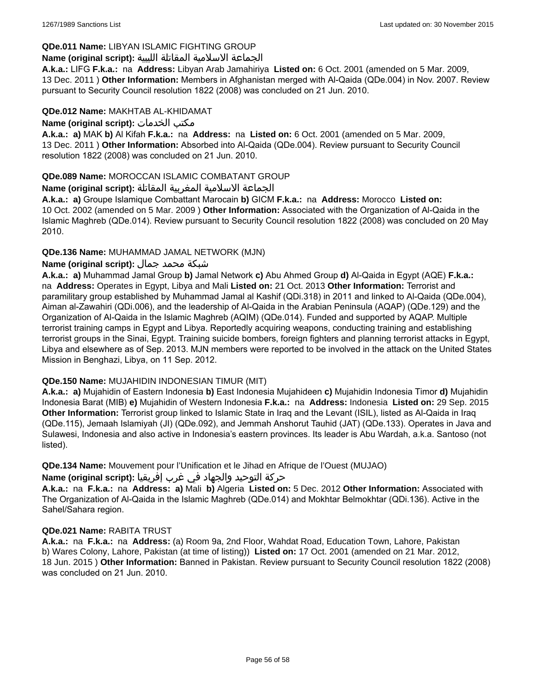## **QDe.011 Name:** LIBYAN ISLAMIC FIGHTING GROUP

## الجماعة الاسلامية المقاتلة الليبية **:(script original (Name**

**A.k.a.:** LIFG **F.k.a.:** na **Address:** Libyan Arab Jamahiriya **Listed on:** 6 Oct. 2001 (amended on 5 Mar. 2009, 13 Dec. 2011 ) **Other Information:** Members in Afghanistan merged with Al-Qaida (QDe.004) in Nov. 2007. Review pursuant to Security Council resolution 1822 (2008) was concluded on 21 Jun. 2010.

## **QDe.012 Name:** MAKHTAB AL-KHIDAMAT

**Name (original script):** الخدمات مكتب

**A.k.a.: a)** MAK **b)** Al Kifah **F.k.a.:** na **Address:** na **Listed on:** 6 Oct. 2001 (amended on 5 Mar. 2009, 13 Dec. 2011 ) **Other Information:** Absorbed into Al-Qaida (QDe.004). Review pursuant to Security Council resolution 1822 (2008) was concluded on 21 Jun. 2010.

## **QDe.089 Name:** MOROCCAN ISLAMIC COMBATANT GROUP

## الجماعة الاسلامية المغربية المقاتلة **:(script original (Name**

**A.k.a.: a)** Groupe Islamique Combattant Marocain **b)** GICM **F.k.a.:** na **Address:** Morocco **Listed on:** 10 Oct. 2002 (amended on 5 Mar. 2009 ) **Other Information:** Associated with the Organization of Al-Qaida in the Islamic Maghreb (QDe.014). Review pursuant to Security Council resolution 1822 (2008) was concluded on 20 May 2010.

## **QDe.136 Name:** MUHAMMAD JAMAL NETWORK (MJN)

## شبكة محمد جمال **:(script original (Name**

**A.k.a.: a)** Muhammad Jamal Group **b)** Jamal Network **c)** Abu Ahmed Group **d)** Al-Qaida in Egypt (AQE) **F.k.a.:**  na **Address:** Operates in Egypt, Libya and Mali **Listed on:** 21 Oct. 2013 **Other Information:** Terrorist and paramilitary group established by Muhammad Jamal al Kashif (QDi.318) in 2011 and linked to Al-Qaida (QDe.004), Aiman al-Zawahiri (QDi.006), and the leadership of Al-Qaida in the Arabian Peninsula (AQAP) (QDe.129) and the Organization of Al-Qaida in the Islamic Maghreb (AQIM) (QDe.014). Funded and supported by AQAP. Multiple terrorist training camps in Egypt and Libya. Reportedly acquiring weapons, conducting training and establishing terrorist groups in the Sinai, Egypt. Training suicide bombers, foreign fighters and planning terrorist attacks in Egypt, Libya and elsewhere as of Sep. 2013. MJN members were reported to be involved in the attack on the United States Mission in Benghazi, Libya, on 11 Sep. 2012.

## **QDe.150 Name:** MUJAHIDIN INDONESIAN TIMUR (MIT)

**A.k.a.: a)** Mujahidin of Eastern Indonesia **b)** East Indonesia Mujahideen **c)** Mujahidin Indonesia Timor **d)** Mujahidin Indonesia Barat (MIB) **e)** Mujahidin of Western Indonesia **F.k.a.:** na **Address:** Indonesia **Listed on:** 29 Sep. 2015 **Other Information:** Terrorist group linked to Islamic State in Iraq and the Levant (ISIL), listed as Al-Qaida in Iraq (QDe.115), Jemaah Islamiyah (JI) (QDe.092), and Jemmah Anshorut Tauhid (JAT) (QDe.133). Operates in Java and Sulawesi, Indonesia and also active in Indonesia's eastern provinces. Its leader is Abu Wardah, a.k.a. Santoso (not listed).

**QDe.134 Name:** Mouvement pour l'Unification et le Jihad en Afrique de l'Ouest (MUJAO)

## حركة التوحيد والجهاد في غرب إفريقيا **:Name (original script)**

**A.k.a.:** na **F.k.a.:** na **Address: a)** Mali **b)** Algeria **Listed on:** 5 Dec. 2012 **Other Information:** Associated with The Organization of Al-Qaida in the Islamic Maghreb (QDe.014) and Mokhtar Belmokhtar (QDi.136). Active in the Sahel/Sahara region.

## **QDe.021 Name:** RABITA TRUST

**A.k.a.:** na **F.k.a.:** na **Address:** (a) Room 9a, 2nd Floor, Wahdat Road, Education Town, Lahore, Pakistan b) Wares Colony, Lahore, Pakistan (at time of listing)) **Listed on:** 17 Oct. 2001 (amended on 21 Mar. 2012, 18 Jun. 2015 ) **Other Information:** Banned in Pakistan. Review pursuant to Security Council resolution 1822 (2008) was concluded on 21 Jun. 2010.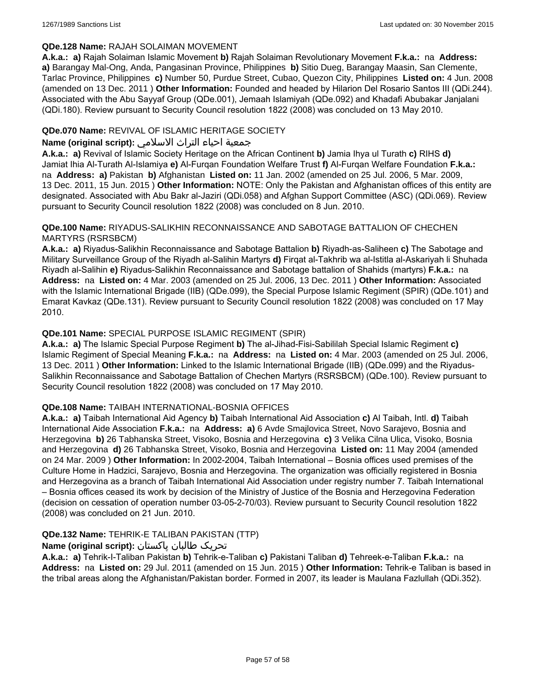## **QDe.128 Name:** RAJAH SOLAIMAN MOVEMENT

**A.k.a.: a)** Rajah Solaiman Islamic Movement **b)** Rajah Solaiman Revolutionary Movement **F.k.a.:** na **Address: a)** Barangay Mal-Ong, Anda, Pangasinan Province, Philippines **b)** Sitio Dueg, Barangay Maasin, San Clemente, Tarlac Province, Philippines **c)** Number 50, Purdue Street, Cubao, Quezon City, Philippines **Listed on:** 4 Jun. 2008 (amended on 13 Dec. 2011 ) **Other Information:** Founded and headed by Hilarion Del Rosario Santos III (QDi.244). Associated with the Abu Sayyaf Group (QDe.001), Jemaah Islamiyah (QDe.092) and Khadafi Abubakar Janjalani (QDi.180). Review pursuant to Security Council resolution 1822 (2008) was concluded on 13 May 2010.

## **QDe.070 Name:** REVIVAL OF ISLAMIC HERITAGE SOCIETY

## جمعية احياء التراث الاسلامي **:(script original (Name**

**A.k.a.: a)** Revival of Islamic Society Heritage on the African Continent **b)** Jamia Ihya ul Turath **c)** RIHS **d)** Jamiat Ihia Al-Turath Al-Islamiya **e)** Al-Furqan Foundation Welfare Trust **f)** Al-Furqan Welfare Foundation **F.k.a.:**  na **Address: a)** Pakistan **b)** Afghanistan **Listed on:** 11 Jan. 2002 (amended on 25 Jul. 2006, 5 Mar. 2009, 13 Dec. 2011, 15 Jun. 2015 ) **Other Information:** NOTE: Only the Pakistan and Afghanistan offices of this entity are designated. Associated with Abu Bakr al-Jaziri (QDi.058) and Afghan Support Committee (ASC) (QDi.069). Review pursuant to Security Council resolution 1822 (2008) was concluded on 8 Jun. 2010.

### **QDe.100 Name:** RIYADUS-SALIKHIN RECONNAISSANCE AND SABOTAGE BATTALION OF CHECHEN MARTYRS (RSRSBCM)

**A.k.a.: a)** Riyadus-Salikhin Reconnaissance and Sabotage Battalion **b)** Riyadh-as-Saliheen **c)** The Sabotage and Military Surveillance Group of the Riyadh al-Salihin Martyrs **d)** Firqat al-Takhrib wa al-Istitla al-Askariyah li Shuhada Riyadh al-Salihin **e)** Riyadus-Salikhin Reconnaissance and Sabotage battalion of Shahids (martyrs) **F.k.a.:** na **Address:** na **Listed on:** 4 Mar. 2003 (amended on 25 Jul. 2006, 13 Dec. 2011 ) **Other Information:** Associated with the Islamic International Brigade (IIB) (QDe.099), the Special Purpose Islamic Regiment (SPIR) (QDe.101) and Emarat Kavkaz (QDe.131). Review pursuant to Security Council resolution 1822 (2008) was concluded on 17 May 2010.

## **QDe.101 Name:** SPECIAL PURPOSE ISLAMIC REGIMENT (SPIR)

**A.k.a.: a)** The Islamic Special Purpose Regiment **b)** The al-Jihad-Fisi-Sabililah Special Islamic Regiment **c)** Islamic Regiment of Special Meaning **F.k.a.:** na **Address:** na **Listed on:** 4 Mar. 2003 (amended on 25 Jul. 2006, 13 Dec. 2011 ) **Other Information:** Linked to the Islamic International Brigade (IIB) (QDe.099) and the Riyadus-Salikhin Reconnaissance and Sabotage Battalion of Chechen Martyrs (RSRSBCM) (QDe.100). Review pursuant to Security Council resolution 1822 (2008) was concluded on 17 May 2010.

## **QDe.108 Name:** TAIBAH INTERNATIONAL-BOSNIA OFFICES

**A.k.a.: a)** Taibah International Aid Agency **b)** Taibah International Aid Association **c)** Al Taibah, Intl. **d)** Taibah International Aide Association **F.k.a.:** na **Address: a)** 6 Avde Smajlovica Street, Novo Sarajevo, Bosnia and Herzegovina **b)** 26 Tabhanska Street, Visoko, Bosnia and Herzegovina **c)** 3 Velika Cilna Ulica, Visoko, Bosnia and Herzegovina **d)** 26 Tabhanska Street, Visoko, Bosnia and Herzegovina **Listed on:** 11 May 2004 (amended on 24 Mar. 2009 ) **Other Information:** In 2002-2004, Taibah International – Bosnia offices used premises of the Culture Home in Hadzici, Sarajevo, Bosnia and Herzegovina. The organization was officially registered in Bosnia and Herzegovina as a branch of Taibah International Aid Association under registry number 7. Taibah International – Bosnia offices ceased its work by decision of the Ministry of Justice of the Bosnia and Herzegovina Federation (decision on cessation of operation number 03-05-2-70/03). Review pursuant to Security Council resolution 1822 (2008) was concluded on 21 Jun. 2010.

## **QDe.132 Name:** TEHRIK-E TALIBAN PAKISTAN (TTP)

## تحریک طالبان پاکستان **:(script original (Name**

**A.k.a.: a)** Tehrik-I-Taliban Pakistan **b)** Tehrik-e-Taliban **c)** Pakistani Taliban **d)** Tehreek-e-Taliban **F.k.a.:** na **Address:** na **Listed on:** 29 Jul. 2011 (amended on 15 Jun. 2015 ) **Other Information:** Tehrik-e Taliban is based in the tribal areas along the Afghanistan/Pakistan border. Formed in 2007, its leader is Maulana Fazlullah (QDi.352).